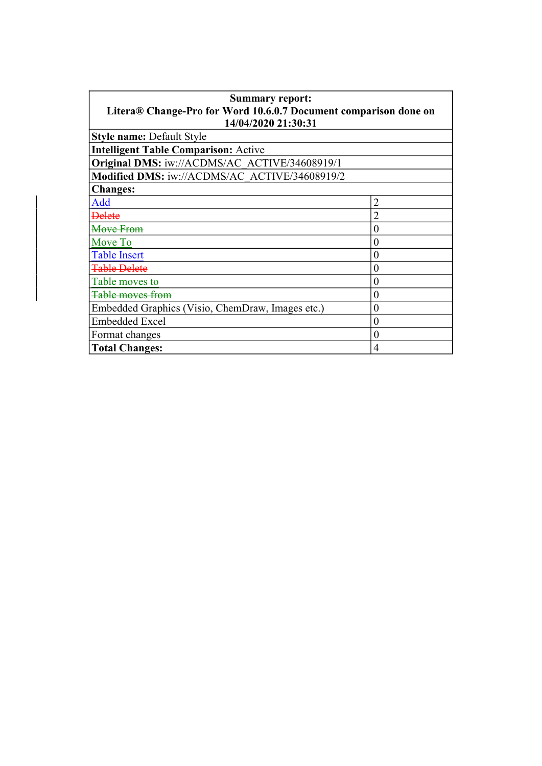| <b>Summary report:</b>                                           |   |  |
|------------------------------------------------------------------|---|--|
| Litera® Change-Pro for Word 10.6.0.7 Document comparison done on |   |  |
| 14/04/2020 21:30:31                                              |   |  |
| <b>Style name: Default Style</b>                                 |   |  |
| <b>Intelligent Table Comparison: Active</b>                      |   |  |
| Original DMS: iw://ACDMS/AC ACTIVE/34608919/1                    |   |  |
| Modified DMS: iw://ACDMS/AC_ACTIVE/34608919/2                    |   |  |
| <b>Changes:</b>                                                  |   |  |
| Add                                                              |   |  |
| <b>Delete</b>                                                    |   |  |
| Move From                                                        | 0 |  |
| Move To                                                          | 0 |  |
| <b>Table Insert</b>                                              | 0 |  |
| <b>Table Delete</b>                                              | 0 |  |
| Table moves to                                                   | 0 |  |
| <del>Table moves from</del>                                      | 0 |  |
| Embedded Graphics (Visio, ChemDraw, Images etc.)                 | 0 |  |
| <b>Embedded Excel</b>                                            | 0 |  |
| Format changes                                                   | 0 |  |
| <b>Total Changes:</b>                                            | 4 |  |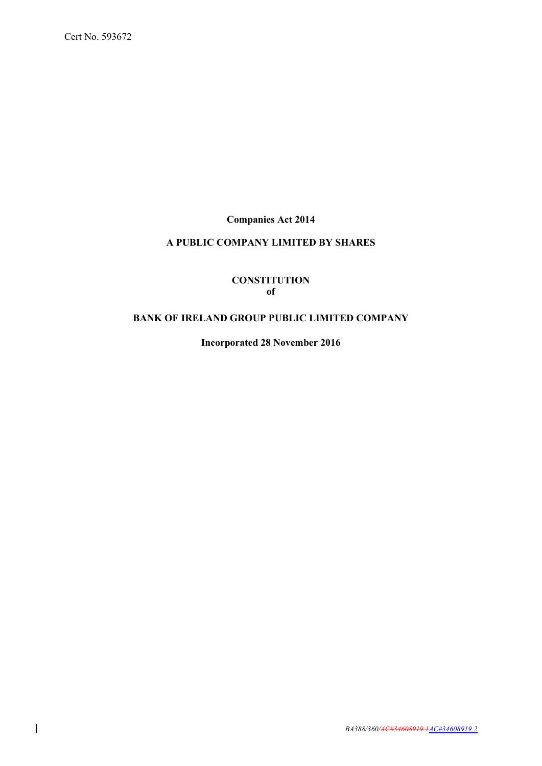**Companies Act 2014**

# **A PUBLIC COMPANY LIMITED BY SHARES**

# **CONSTITUTION of**

# **BANK OF IRELAND GROUP PUBLIC LIMITED COMPANY**

**Incorporated 28 November 2016**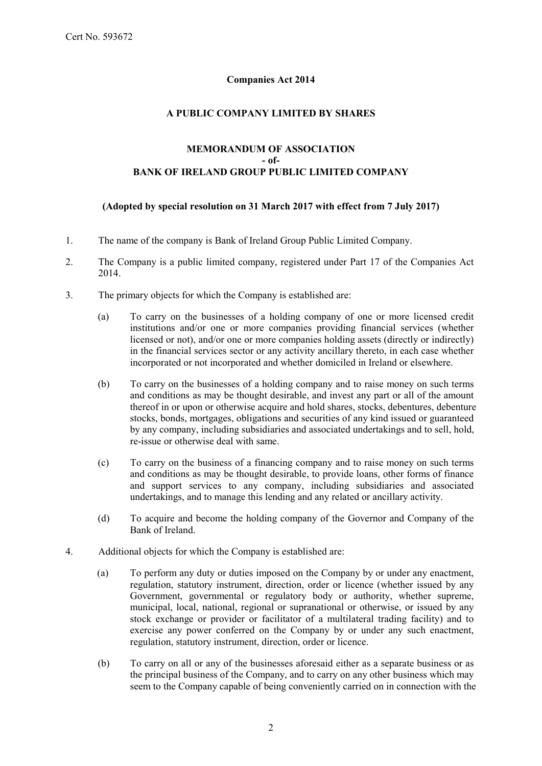# **Companies Act 2014**

# **A PUBLIC COMPANY LIMITED BY SHARES**

# **MEMORANDUM OF ASSOCIATION - of-BANK OF IRELAND GROUP PUBLIC LIMITED COMPANY**

# **(Adopted by special resolution on 31 March 2017 with effect from 7 July 2017)**

- 1. The name of the company is Bank of Ireland Group Public Limited Company.
- 2. The Company is a public limited company, registered under Part 17 of the Companies Act 2014.
- 3. The primary objects for which the Company is established are:
	- (a) To carry on the businesses of a holding company of one or more licensed credit institutions and/or one or more companies providing financial services (whether licensed or not), and/or one or more companies holding assets (directly or indirectly) in the financial services sector or any activity ancillary thereto, in each case whether incorporated or not incorporated and whether domiciled in Ireland or elsewhere.
	- (b) To carry on the businesses of a holding company and to raise money on such terms and conditions as may be thought desirable, and invest any part or all of the amount thereof in or upon or otherwise acquire and hold shares, stocks, debentures, debenture stocks, bonds, mortgages, obligations and securities of any kind issued or guaranteed by any company, including subsidiaries and associated undertakings and to sell, hold, re-issue or otherwise deal with same.
	- (c) To carry on the business of a financing company and to raise money on such terms and conditions as may be thought desirable, to provide loans, other forms of finance and support services to any company, including subsidiaries and associated undertakings, and to manage this lending and any related or ancillary activity.
	- (d) To acquire and become the holding company of the Governor and Company of the Bank of Ireland.
- 4. Additional objects for which the Company is established are:
	- (a) To perform any duty or duties imposed on the Company by or under any enactment, regulation, statutory instrument, direction, order or licence (whether issued by any Government, governmental or regulatory body or authority, whether supreme, municipal, local, national, regional or supranational or otherwise, or issued by any stock exchange or provider or facilitator of a multilateral trading facility) and to exercise any power conferred on the Company by or under any such enactment, regulation, statutory instrument, direction, order or licence.
	- (b) To carry on all or any of the businesses aforesaid either as a separate business or as the principal business of the Company, and to carry on any other business which may seem to the Company capable of being conveniently carried on in connection with the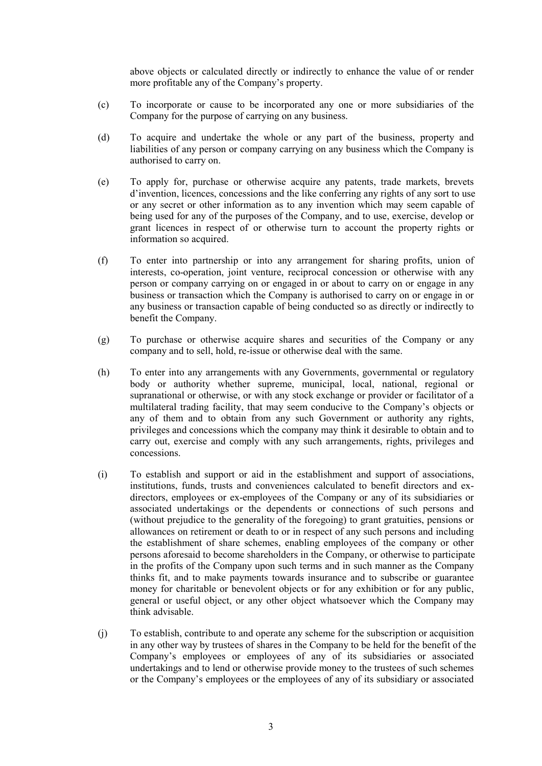above objects or calculated directly or indirectly to enhance the value of or render more profitable any of the Company's property.

- (c) To incorporate or cause to be incorporated any one or more subsidiaries of the Company for the purpose of carrying on any business.
- (d) To acquire and undertake the whole or any part of the business, property and liabilities of any person or company carrying on any business which the Company is authorised to carry on.
- (e) To apply for, purchase or otherwise acquire any patents, trade markets, brevets d'invention, licences, concessions and the like conferring any rights of any sort to use or any secret or other information as to any invention which may seem capable of being used for any of the purposes of the Company, and to use, exercise, develop or grant licences in respect of or otherwise turn to account the property rights or information so acquired.
- (f) To enter into partnership or into any arrangement for sharing profits, union of interests, co-operation, joint venture, reciprocal concession or otherwise with any person or company carrying on or engaged in or about to carry on or engage in any business or transaction which the Company is authorised to carry on or engage in or any business or transaction capable of being conducted so as directly or indirectly to benefit the Company.
- (g) To purchase or otherwise acquire shares and securities of the Company or any company and to sell, hold, re-issue or otherwise deal with the same.
- (h) To enter into any arrangements with any Governments, governmental or regulatory body or authority whether supreme, municipal, local, national, regional or supranational or otherwise, or with any stock exchange or provider or facilitator of a multilateral trading facility, that may seem conducive to the Company's objects or any of them and to obtain from any such Government or authority any rights, privileges and concessions which the company may think it desirable to obtain and to carry out, exercise and comply with any such arrangements, rights, privileges and concessions.
- (i) To establish and support or aid in the establishment and support of associations, institutions, funds, trusts and conveniences calculated to benefit directors and exdirectors, employees or ex-employees of the Company or any of its subsidiaries or associated undertakings or the dependents or connections of such persons and (without prejudice to the generality of the foregoing) to grant gratuities, pensions or allowances on retirement or death to or in respect of any such persons and including the establishment of share schemes, enabling employees of the company or other persons aforesaid to become shareholders in the Company, or otherwise to participate in the profits of the Company upon such terms and in such manner as the Company thinks fit, and to make payments towards insurance and to subscribe or guarantee money for charitable or benevolent objects or for any exhibition or for any public, general or useful object, or any other object whatsoever which the Company may think advisable.
- (j) To establish, contribute to and operate any scheme for the subscription or acquisition in any other way by trustees of shares in the Company to be held for the benefit of the Company's employees or employees of any of its subsidiaries or associated undertakings and to lend or otherwise provide money to the trustees of such schemes or the Company's employees or the employees of any of its subsidiary or associated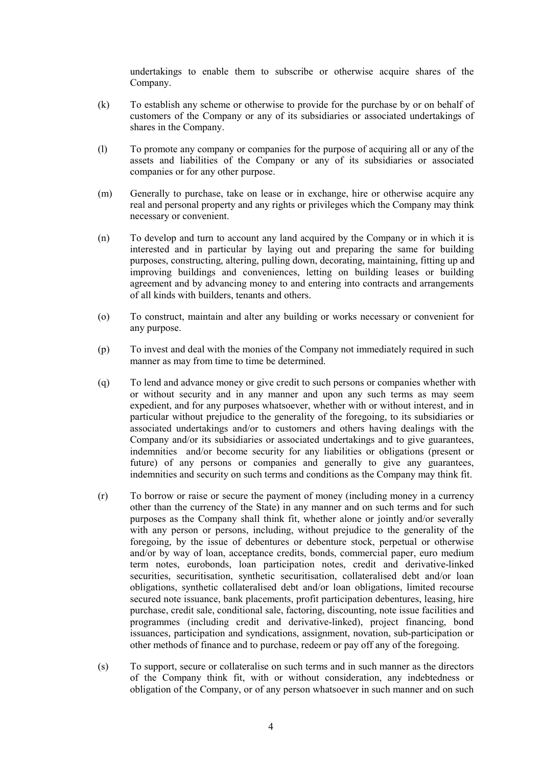undertakings to enable them to subscribe or otherwise acquire shares of the Company.

- (k) To establish any scheme or otherwise to provide for the purchase by or on behalf of customers of the Company or any of its subsidiaries or associated undertakings of shares in the Company.
- (l) To promote any company or companies for the purpose of acquiring all or any of the assets and liabilities of the Company or any of its subsidiaries or associated companies or for any other purpose.
- (m) Generally to purchase, take on lease or in exchange, hire or otherwise acquire any real and personal property and any rights or privileges which the Company may think necessary or convenient.
- (n) To develop and turn to account any land acquired by the Company or in which it is interested and in particular by laying out and preparing the same for building purposes, constructing, altering, pulling down, decorating, maintaining, fitting up and improving buildings and conveniences, letting on building leases or building agreement and by advancing money to and entering into contracts and arrangements of all kinds with builders, tenants and others.
- (o) To construct, maintain and alter any building or works necessary or convenient for any purpose.
- (p) To invest and deal with the monies of the Company not immediately required in such manner as may from time to time be determined.
- (q) To lend and advance money or give credit to such persons or companies whether with or without security and in any manner and upon any such terms as may seem expedient, and for any purposes whatsoever, whether with or without interest, and in particular without prejudice to the generality of the foregoing, to its subsidiaries or associated undertakings and/or to customers and others having dealings with the Company and/or its subsidiaries or associated undertakings and to give guarantees, indemnities and/or become security for any liabilities or obligations (present or future) of any persons or companies and generally to give any guarantees, indemnities and security on such terms and conditions as the Company may think fit.
- (r) To borrow or raise or secure the payment of money (including money in a currency other than the currency of the State) in any manner and on such terms and for such purposes as the Company shall think fit, whether alone or jointly and/or severally with any person or persons, including, without prejudice to the generality of the foregoing, by the issue of debentures or debenture stock, perpetual or otherwise and/or by way of loan, acceptance credits, bonds, commercial paper, euro medium term notes, eurobonds, loan participation notes, credit and derivative-linked securities, securitisation, synthetic securitisation, collateralised debt and/or loan obligations, synthetic collateralised debt and/or loan obligations, limited recourse secured note issuance, bank placements, profit participation debentures, leasing, hire purchase, credit sale, conditional sale, factoring, discounting, note issue facilities and programmes (including credit and derivative-linked), project financing, bond issuances, participation and syndications, assignment, novation, sub-participation or other methods of finance and to purchase, redeem or pay off any of the foregoing.
- (s) To support, secure or collateralise on such terms and in such manner as the directors of the Company think fit, with or without consideration, any indebtedness or obligation of the Company, or of any person whatsoever in such manner and on such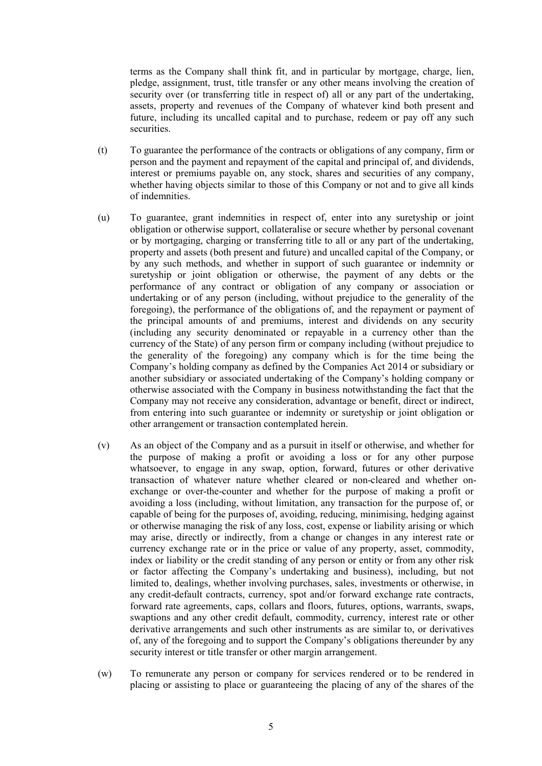terms as the Company shall think fit, and in particular by mortgage, charge, lien, pledge, assignment, trust, title transfer or any other means involving the creation of security over (or transferring title in respect of) all or any part of the undertaking, assets, property and revenues of the Company of whatever kind both present and future, including its uncalled capital and to purchase, redeem or pay off any such securities.

- (t) To guarantee the performance of the contracts or obligations of any company, firm or person and the payment and repayment of the capital and principal of, and dividends, interest or premiums payable on, any stock, shares and securities of any company, whether having objects similar to those of this Company or not and to give all kinds of indemnities.
- (u) To guarantee, grant indemnities in respect of, enter into any suretyship or joint obligation or otherwise support, collateralise or secure whether by personal covenant or by mortgaging, charging or transferring title to all or any part of the undertaking, property and assets (both present and future) and uncalled capital of the Company, or by any such methods, and whether in support of such guarantee or indemnity or suretyship or joint obligation or otherwise, the payment of any debts or the performance of any contract or obligation of any company or association or undertaking or of any person (including, without prejudice to the generality of the foregoing), the performance of the obligations of, and the repayment or payment of the principal amounts of and premiums, interest and dividends on any security (including any security denominated or repayable in a currency other than the currency of the State) of any person firm or company including (without prejudice to the generality of the foregoing) any company which is for the time being the Company's holding company as defined by the Companies Act 2014 or subsidiary or another subsidiary or associated undertaking of the Company's holding company or otherwise associated with the Company in business notwithstanding the fact that the Company may not receive any consideration, advantage or benefit, direct or indirect, from entering into such guarantee or indemnity or suretyship or joint obligation or other arrangement or transaction contemplated herein.
- (v) As an object of the Company and as a pursuit in itself or otherwise, and whether for the purpose of making a profit or avoiding a loss or for any other purpose whatsoever, to engage in any swap, option, forward, futures or other derivative transaction of whatever nature whether cleared or non-cleared and whether onexchange or over-the-counter and whether for the purpose of making a profit or avoiding a loss (including, without limitation, any transaction for the purpose of, or capable of being for the purposes of, avoiding, reducing, minimising, hedging against or otherwise managing the risk of any loss, cost, expense or liability arising or which may arise, directly or indirectly, from a change or changes in any interest rate or currency exchange rate or in the price or value of any property, asset, commodity, index or liability or the credit standing of any person or entity or from any other risk or factor affecting the Company's undertaking and business), including, but not limited to, dealings, whether involving purchases, sales, investments or otherwise, in any credit-default contracts, currency, spot and/or forward exchange rate contracts, forward rate agreements, caps, collars and floors, futures, options, warrants, swaps, swaptions and any other credit default, commodity, currency, interest rate or other derivative arrangements and such other instruments as are similar to, or derivatives of, any of the foregoing and to support the Company's obligations thereunder by any security interest or title transfer or other margin arrangement.
- (w) To remunerate any person or company for services rendered or to be rendered in placing or assisting to place or guaranteeing the placing of any of the shares of the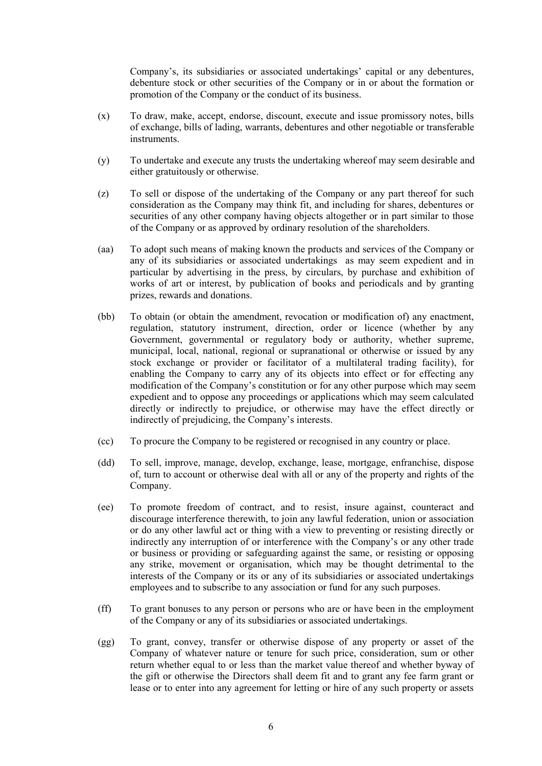Company's, its subsidiaries or associated undertakings' capital or any debentures, debenture stock or other securities of the Company or in or about the formation or promotion of the Company or the conduct of its business.

- (x) To draw, make, accept, endorse, discount, execute and issue promissory notes, bills of exchange, bills of lading, warrants, debentures and other negotiable or transferable instruments.
- (y) To undertake and execute any trusts the undertaking whereof may seem desirable and either gratuitously or otherwise.
- (z) To sell or dispose of the undertaking of the Company or any part thereof for such consideration as the Company may think fit, and including for shares, debentures or securities of any other company having objects altogether or in part similar to those of the Company or as approved by ordinary resolution of the shareholders.
- (aa) To adopt such means of making known the products and services of the Company or any of its subsidiaries or associated undertakings as may seem expedient and in particular by advertising in the press, by circulars, by purchase and exhibition of works of art or interest, by publication of books and periodicals and by granting prizes, rewards and donations.
- (bb) To obtain (or obtain the amendment, revocation or modification of) any enactment, regulation, statutory instrument, direction, order or licence (whether by any Government, governmental or regulatory body or authority, whether supreme, municipal, local, national, regional or supranational or otherwise or issued by any stock exchange or provider or facilitator of a multilateral trading facility), for enabling the Company to carry any of its objects into effect or for effecting any modification of the Company's constitution or for any other purpose which may seem expedient and to oppose any proceedings or applications which may seem calculated directly or indirectly to prejudice, or otherwise may have the effect directly or indirectly of prejudicing, the Company's interests.
- (cc) To procure the Company to be registered or recognised in any country or place.
- (dd) To sell, improve, manage, develop, exchange, lease, mortgage, enfranchise, dispose of, turn to account or otherwise deal with all or any of the property and rights of the Company.
- (ee) To promote freedom of contract, and to resist, insure against, counteract and discourage interference therewith, to join any lawful federation, union or association or do any other lawful act or thing with a view to preventing or resisting directly or indirectly any interruption of or interference with the Company's or any other trade or business or providing or safeguarding against the same, or resisting or opposing any strike, movement or organisation, which may be thought detrimental to the interests of the Company or its or any of its subsidiaries or associated undertakings employees and to subscribe to any association or fund for any such purposes.
- (ff) To grant bonuses to any person or persons who are or have been in the employment of the Company or any of its subsidiaries or associated undertakings.
- (gg) To grant, convey, transfer or otherwise dispose of any property or asset of the Company of whatever nature or tenure for such price, consideration, sum or other return whether equal to or less than the market value thereof and whether byway of the gift or otherwise the Directors shall deem fit and to grant any fee farm grant or lease or to enter into any agreement for letting or hire of any such property or assets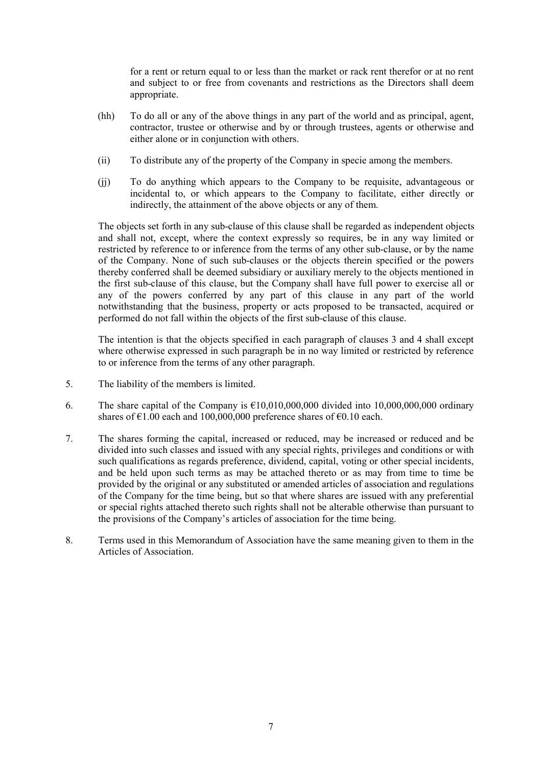for a rent or return equal to or less than the market or rack rent therefor or at no rent and subject to or free from covenants and restrictions as the Directors shall deem appropriate.

- (hh) To do all or any of the above things in any part of the world and as principal, agent, contractor, trustee or otherwise and by or through trustees, agents or otherwise and either alone or in conjunction with others.
- (ii) To distribute any of the property of the Company in specie among the members.
- (jj) To do anything which appears to the Company to be requisite, advantageous or incidental to, or which appears to the Company to facilitate, either directly or indirectly, the attainment of the above objects or any of them.

The objects set forth in any sub-clause of this clause shall be regarded as independent objects and shall not, except, where the context expressly so requires, be in any way limited or restricted by reference to or inference from the terms of any other sub-clause, or by the name of the Company. None of such sub-clauses or the objects therein specified or the powers thereby conferred shall be deemed subsidiary or auxiliary merely to the objects mentioned in the first sub-clause of this clause, but the Company shall have full power to exercise all or any of the powers conferred by any part of this clause in any part of the world notwithstanding that the business, property or acts proposed to be transacted, acquired or performed do not fall within the objects of the first sub-clause of this clause.

The intention is that the objects specified in each paragraph of clauses 3 and 4 shall except where otherwise expressed in such paragraph be in no way limited or restricted by reference to or inference from the terms of any other paragraph.

- 5. The liability of the members is limited.
- 6. The share capital of the Company is  $\epsilon$ 10,010,000,000 divided into 10,000,000,000 ordinary shares of  $\epsilon$ 1.00 each and 100,000,000 preference shares of  $\epsilon$ 0.10 each.
- 7. The shares forming the capital, increased or reduced, may be increased or reduced and be divided into such classes and issued with any special rights, privileges and conditions or with such qualifications as regards preference, dividend, capital, voting or other special incidents, and be held upon such terms as may be attached thereto or as may from time to time be provided by the original or any substituted or amended articles of association and regulations of the Company for the time being, but so that where shares are issued with any preferential or special rights attached thereto such rights shall not be alterable otherwise than pursuant to the provisions of the Company's articles of association for the time being.
- 8. Terms used in this Memorandum of Association have the same meaning given to them in the Articles of Association.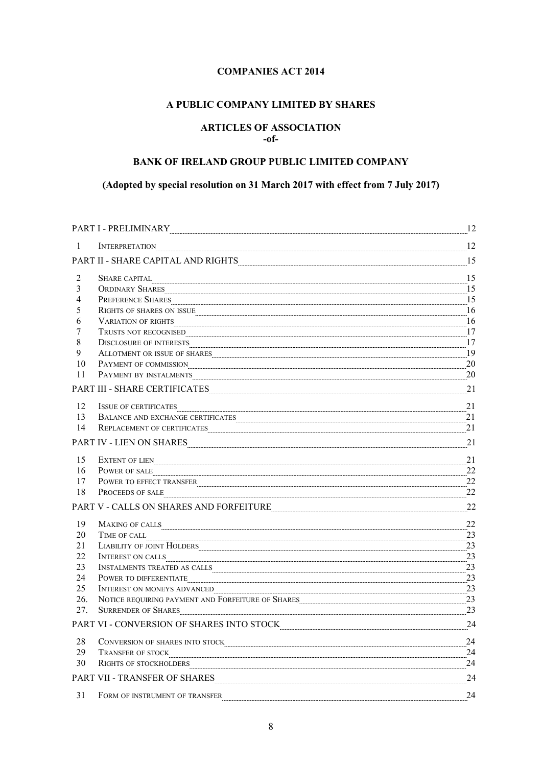# **COMPANIES ACT 2014**

# **A PUBLIC COMPANY LIMITED BY SHARES**

# **ARTICLES OF ASSOCIATION -of-**

# **BANK OF IRELAND GROUP PUBLIC LIMITED COMPANY**

# **(Adopted by special resolution on 31 March 2017 with effect from 7 July 2017)**

|                | PART I - PRELIMINARY                                                                                                                                                                                                                                                                                                                                                                                                                                                                                                      |                |
|----------------|---------------------------------------------------------------------------------------------------------------------------------------------------------------------------------------------------------------------------------------------------------------------------------------------------------------------------------------------------------------------------------------------------------------------------------------------------------------------------------------------------------------------------|----------------|
| -1             | <b>INTERPRETATION</b>                                                                                                                                                                                                                                                                                                                                                                                                                                                                                                     | 12             |
|                | PART II - SHARE CAPITAL AND RIGHTS PART AND PROPERTY AND ALL PART II - SHARE CAPITAL AND RIGHTS                                                                                                                                                                                                                                                                                                                                                                                                                           | 15             |
| 2              |                                                                                                                                                                                                                                                                                                                                                                                                                                                                                                                           | 15             |
| 3              |                                                                                                                                                                                                                                                                                                                                                                                                                                                                                                                           | 15             |
| $\overline{4}$ | PREFERENCE SHARES                                                                                                                                                                                                                                                                                                                                                                                                                                                                                                         | $\frac{15}{2}$ |
| 5              | RIGHTS OF SHARES ON ISSUE <b>CONSUMERS AND ALL ASSESS</b>                                                                                                                                                                                                                                                                                                                                                                                                                                                                 | 16             |
| 6              |                                                                                                                                                                                                                                                                                                                                                                                                                                                                                                                           | 16             |
| 7              | TRUSTS NOT RECOGNISED                                                                                                                                                                                                                                                                                                                                                                                                                                                                                                     | 17             |
| 8              | DISCLOSURE OF INTERESTS [[17] 17                                                                                                                                                                                                                                                                                                                                                                                                                                                                                          |                |
| 9              | ALLOTMENT OR ISSUE OF SHARES PERSON AND ALLOTMENT OR ISSUE OF SHARES                                                                                                                                                                                                                                                                                                                                                                                                                                                      | 19             |
| 10             | PAYMENT OF COMMISSION                                                                                                                                                                                                                                                                                                                                                                                                                                                                                                     | 20             |
| 11             | PAYMENT BY INSTALMENTS <b>CONSERVENTS</b>                                                                                                                                                                                                                                                                                                                                                                                                                                                                                 | 20             |
|                | PART III - SHARE CERTIFICATES <b>[19]</b> 21                                                                                                                                                                                                                                                                                                                                                                                                                                                                              |                |
| 12             | ISSUE OF CERTIFICATES                                                                                                                                                                                                                                                                                                                                                                                                                                                                                                     | 21             |
| 13             | $\textbf{BALANCE AND EXCHANGE CERTIFICATES} \label{eq:1} \begin{minipage}{0.9\linewidth} \textbf{BALANCE AND EXCHANGE CERTIFICATES} \end{minipage}$                                                                                                                                                                                                                                                                                                                                                                       | 21             |
| 14             | REPLACEMENT OF CERTIFICATES <b>CONSERVERS CONSERVERS CONSERVERS CONSERVERS CONSERVERS CONSERVERS CONSERVERS CONSERVERS CONSERVERS CONSERVERS CONSERVERS CONSERVERS CONSERVERS CONSERVERS CONSERVERS</b>                                                                                                                                                                                                                                                                                                                   | 21             |
|                | PART IV - LIEN ON SHARES 21                                                                                                                                                                                                                                                                                                                                                                                                                                                                                               |                |
| 15             |                                                                                                                                                                                                                                                                                                                                                                                                                                                                                                                           | 21             |
| 16             | POWER OF SALE                                                                                                                                                                                                                                                                                                                                                                                                                                                                                                             | 22             |
| 17             | POWER TO EFFECT TRANSFER                                                                                                                                                                                                                                                                                                                                                                                                                                                                                                  | 22             |
| 18             | PROCEEDS OF SALE 22                                                                                                                                                                                                                                                                                                                                                                                                                                                                                                       |                |
|                | PART V - CALLS ON SHARES AND FORFEITURE 22                                                                                                                                                                                                                                                                                                                                                                                                                                                                                |                |
| 19             |                                                                                                                                                                                                                                                                                                                                                                                                                                                                                                                           | 22             |
| 20             |                                                                                                                                                                                                                                                                                                                                                                                                                                                                                                                           |                |
| 21             | LIABILITY OF JOINT HOLDERS 23                                                                                                                                                                                                                                                                                                                                                                                                                                                                                             |                |
| 22             | INTEREST ON CALLS 23                                                                                                                                                                                                                                                                                                                                                                                                                                                                                                      |                |
| 23             | $\label{thm:main} \mbox{INSTALMENTS TREATED AS CALLS} \begin{minipage}{14.5\textwidth} \centering \vspace{0.04cm} \includegraphics[width=0.043\textwidth]{Figures/14.04cm} \includegraphics[width=0.043\textwidth]{Figures/14.04cm} \includegraphics[width=0.043\textwidth]{Figures/14.04cm} \includegraphics[width=0.043\textwidth]{Figures/14.04cm} \includegraphics[width=0.043\textwidth]{Figures/14.04cm} \includegraphics[width=0.043\textwidth]{Figures/14.04cm} \includegraphics[width=0.043\textwidth]{Figures/$ | 23             |
| 24             | $\label{eq:power} \textbf{Power~TO~DIFFERENTIALTE} \textcolor{red}{\underbrace{\textbf{.}}\textbf{.} \textbf{.} \textbf{.} \textbf{.} \textbf{.} \textbf{.} \textbf{.} \textbf{.} \textbf{.} \textbf{.} \textbf{.} \textbf{.} \textbf{.} \textbf{.} \textbf{.} \textbf{.} \textbf{.} \textbf{.} \textbf{.} \textbf{.} \textbf{.} \textbf{.} \textbf{.} \textbf{.} \textbf{.} \textbf{.} \textbf{.} \textbf{.} \textbf{.} \textbf{.} \textbf{.$                                                                            | 23             |
| 25             | INTEREST ON MONEYS ADVANCED                                                                                                                                                                                                                                                                                                                                                                                                                                                                                               | 23             |
| 26.            |                                                                                                                                                                                                                                                                                                                                                                                                                                                                                                                           |                |
| 27.            | SURRENDER OF SHARES                                                                                                                                                                                                                                                                                                                                                                                                                                                                                                       | 23             |
|                | PART VI - CONVERSION OF SHARES INTO STOCK                                                                                                                                                                                                                                                                                                                                                                                                                                                                                 | 24             |
| 28             | CONVERSION OF SHARES INTO STOCK PARALLEL AND AND TOOK CONVERSION OF SHARES INTO STOCK                                                                                                                                                                                                                                                                                                                                                                                                                                     | 24             |
| 29             | <b>TRANSFER OF STOCK</b>                                                                                                                                                                                                                                                                                                                                                                                                                                                                                                  | 24             |
| 30             | RIGHTS OF STOCKHOLDERS                                                                                                                                                                                                                                                                                                                                                                                                                                                                                                    | 24             |
|                | PART VII - TRANSFER OF SHARES PART AND A SERVE AND TRANSFER OF SHARES                                                                                                                                                                                                                                                                                                                                                                                                                                                     | 24             |
| 31             | FORM OF INSTRUMENT OF TRANSFER                                                                                                                                                                                                                                                                                                                                                                                                                                                                                            | 24             |
|                |                                                                                                                                                                                                                                                                                                                                                                                                                                                                                                                           |                |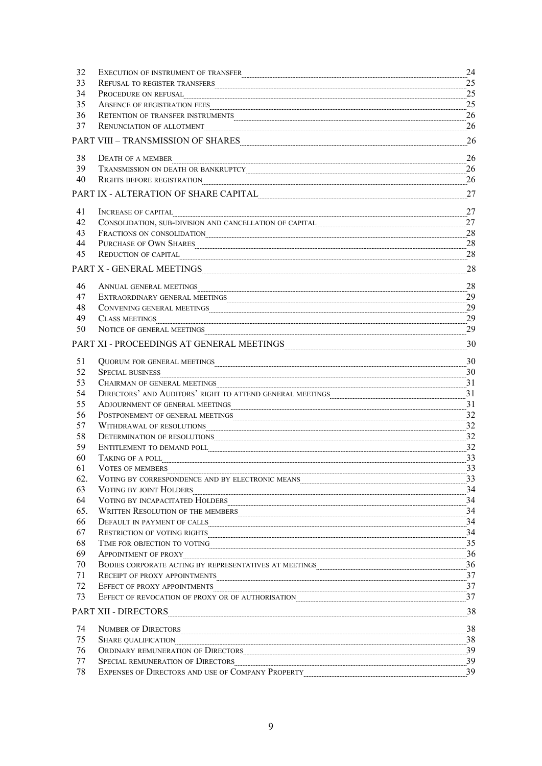| 32        | EXECUTION OF INSTRUMENT OF TRANSFER                                                                                                                                                                                                                                                                                                                                                                                                                                                                                                             | 24 |
|-----------|-------------------------------------------------------------------------------------------------------------------------------------------------------------------------------------------------------------------------------------------------------------------------------------------------------------------------------------------------------------------------------------------------------------------------------------------------------------------------------------------------------------------------------------------------|----|
| 33        | REFUSAL TO REGISTER TRANSFERS <b>CONSERVERT AND REGISTER</b> TRANSFERS                                                                                                                                                                                                                                                                                                                                                                                                                                                                          | 25 |
| 34        | PROCEDURE ON REFUSAL                                                                                                                                                                                                                                                                                                                                                                                                                                                                                                                            | 25 |
| 35        | ABSENCE OF REGISTRATION FEES                                                                                                                                                                                                                                                                                                                                                                                                                                                                                                                    | 25 |
| 36        |                                                                                                                                                                                                                                                                                                                                                                                                                                                                                                                                                 | 26 |
| 37        | <b>RENUNCIATION OF ALLOTMENT</b>                                                                                                                                                                                                                                                                                                                                                                                                                                                                                                                | 26 |
|           | PART VIII – TRANSMISSION OF SHARES PART MARTIN AND PART VIII – TRANSMISSION OF SHARES                                                                                                                                                                                                                                                                                                                                                                                                                                                           | 26 |
| 38        | DEATH OF A MEMBER                                                                                                                                                                                                                                                                                                                                                                                                                                                                                                                               | 26 |
| 39        |                                                                                                                                                                                                                                                                                                                                                                                                                                                                                                                                                 | 26 |
| 40        | RIGHTS BEFORE REGISTRATION POWER CONTINUES.                                                                                                                                                                                                                                                                                                                                                                                                                                                                                                     | 26 |
|           | PART IX - ALTERATION OF SHARE CAPITAL PART AND PART IX - ALTERATION OF SHARE CAPITAL                                                                                                                                                                                                                                                                                                                                                                                                                                                            | 27 |
| 41        | INCREASE OF CAPITAL                                                                                                                                                                                                                                                                                                                                                                                                                                                                                                                             | 27 |
| 42        | CONSOLIDATION, SUB-DIVISION AND CANCELLATION OF CAPITAL <b>CONSOLIDATION</b> , SUB-DIVISION AND CANCELLATION OF CAPITAL                                                                                                                                                                                                                                                                                                                                                                                                                         | 27 |
| 43        | FRACTIONS ON CONSOLIDATION 28                                                                                                                                                                                                                                                                                                                                                                                                                                                                                                                   |    |
| 44        | PURCHASE OF OWN SHARES PURCHASE AND SHARES                                                                                                                                                                                                                                                                                                                                                                                                                                                                                                      | 28 |
| 45        | REDUCTION OF CAPITAL Express that the contract of the contract of the contract of the contract of the contract of the contract of the contract of the contract of the contract of the contract of the contract of the contract                                                                                                                                                                                                                                                                                                                  | 28 |
|           | $\textbf{PART}\ \textbf{X}\textbf{-}\textbf{GENERAL}\ \textbf{MEETINGS}\footnotesize\centering \textbf{19.13}\footnotesize\centering \textbf{10.14}\footnotesize\centering \textbf{11.14}\footnotesize\centering \textbf{12.14}\footnotesize\centering \textbf{13.14}\footnotesize\centering \textbf{13.14}\footnotesize\centering \textbf{14.14}\footnotesize\centering \textbf{15.14}\footnotesize\centering \textbf{16.14}\footnotesize\centering \textbf{17.14}\footnotesize\centering \textbf{19.14}\footnotesize\centering \textbf{19.14$ | 28 |
| 46        | ANNUAL GENERAL MEETINGS ENTERTAINMENT AND A STATISTIC STATISTIC STATISTIC STATISTIC STATISTIC STATISTIC STATISTIC STATISTIC STATISTIC STATISTIC STATISTIC STATISTIC STATISTIC STATISTIC STATISTIC STATISTIC STATISTIC STATISTI                                                                                                                                                                                                                                                                                                                  | 28 |
| 47        |                                                                                                                                                                                                                                                                                                                                                                                                                                                                                                                                                 | 29 |
| 48        |                                                                                                                                                                                                                                                                                                                                                                                                                                                                                                                                                 | 29 |
| 49        | CLASS MEETINGS <b>CLASS MEETINGS</b>                                                                                                                                                                                                                                                                                                                                                                                                                                                                                                            | 29 |
| 50        | NOTICE OF GENERAL MEETINGS                                                                                                                                                                                                                                                                                                                                                                                                                                                                                                                      | 29 |
|           | PART XI - PROCEEDINGS AT GENERAL MEETINGS ADECEMBRE 2014                                                                                                                                                                                                                                                                                                                                                                                                                                                                                        | 30 |
| 51        | QUORUM FOR GENERAL MEETINGS <b>CONSTRUCTED</b> FOR A CONTROL CONTROL OF A CONTROL CONTROL OF A CONTROL CONTROL CONTROL CONTROL CONTROL CONTROL CONTROL CONTROL CONTROL CONTROL CONTROL CONTROL CONTROL CONTROL CONTROL CONTROL CONT                                                                                                                                                                                                                                                                                                             | 30 |
| 52        | <b>SPECIAL BUSINESS</b>                                                                                                                                                                                                                                                                                                                                                                                                                                                                                                                         |    |
| 53        | CHAIRMAN OF GENERAL MEETINGS                                                                                                                                                                                                                                                                                                                                                                                                                                                                                                                    | 31 |
| 54        | DIRECTORS' AND AUDITORS' RIGHT TO ATTEND GENERAL MEETINGS <b>CONSUMING AND AUDITORS'</b> RIGHT TO ATTEND GENERAL MEETINGS                                                                                                                                                                                                                                                                                                                                                                                                                       | 31 |
| 55        |                                                                                                                                                                                                                                                                                                                                                                                                                                                                                                                                                 | 31 |
| 56        | POSTPONEMENT OF GENERAL MEETINGS <b>CONSUMING ASSESS</b> A CONSUMING THE SET OF GENERAL MEETINGS <b>CONSUMING THE SET OF GENERAL</b>                                                                                                                                                                                                                                                                                                                                                                                                            | 32 |
| 57        | WITHDRAWAL OF RESOLUTIONS PERSOLUTIONS                                                                                                                                                                                                                                                                                                                                                                                                                                                                                                          | 32 |
| 58        | DETERMINATION OF RESOLUTIONS ENTITY AND THE RESOLUTIONS OF RESOLUTIONS AND ALL ASSESSMENT AND RESOLUTIONS OF RESOLUTIONS                                                                                                                                                                                                                                                                                                                                                                                                                        | 32 |
| 59        | ${\bf ENTITLEMENT\,\, TO\,\, DEMAND\,\, POLL} \label{eq:1}$                                                                                                                                                                                                                                                                                                                                                                                                                                                                                     | 32 |
| 60        | TAKING OF A POLL                                                                                                                                                                                                                                                                                                                                                                                                                                                                                                                                | 33 |
| 61        | <b>VOTES OF MEMBERS</b>                                                                                                                                                                                                                                                                                                                                                                                                                                                                                                                         | 33 |
| 62.       | VOTING BY CORRESPONDENCE AND BY ELECTRONIC MEANS <b>CONSERVERS</b> AND THE RESERVER AND READER AND READER MEANS <b>CONSERVERS</b>                                                                                                                                                                                                                                                                                                                                                                                                               | 33 |
| 63        | VOTING BY JOINT HOLDERS                                                                                                                                                                                                                                                                                                                                                                                                                                                                                                                         |    |
| 64<br>65. | $\label{eq:VOTING BY INCAPACITATED HOLDERS} \text{VOTING BY INCAPACITATED HOLDERS} \vspace{-0.05cm} \begin{minipage}[t]{0.03\textwidth} \includegraphics[width=0.03\textwidth]{Figures/10.03\textwidth} \includegraphics[width=0.03\textwidth]{Figures/10.03\textwidth} \includegraphics[width=0.03\textwidth]{Figures/10.03\textwidth} \includegraphics[width=0.03\textwidth]{Figures/10.03\textwidth} \includegraphics[width=0.03\textwidth]{Figures/10.03\textwidth} \includegraphics[width=0.03\textwidth]{Figures/10.03\textwidth} \$      | 34 |
| 66        | WRITTEN RESOLUTION OF THE MEMBERS <b>CONSUMING THE SET ASSESS</b> 34                                                                                                                                                                                                                                                                                                                                                                                                                                                                            |    |
| 67        | DEFAULT IN PAYMENT OF CALLS <b>2000 PAYMENT OF CALLS</b>                                                                                                                                                                                                                                                                                                                                                                                                                                                                                        | 34 |
| 68        | RESTRICTION OF VOTING RIGHTS SERVICES AND RESERVE TO A SERVICE OF VOTING RIGHTS                                                                                                                                                                                                                                                                                                                                                                                                                                                                 |    |
| 69        | APPOINTMENT OF PROXY 36                                                                                                                                                                                                                                                                                                                                                                                                                                                                                                                         |    |
| 70        | BODIES CORPORATE ACTING BY REPRESENTATIVES AT MEETINGS <b>CORPORATE ACTING</b> 36                                                                                                                                                                                                                                                                                                                                                                                                                                                               |    |
| 71        | RECEIPT OF PROXY APPOINTMENTS                                                                                                                                                                                                                                                                                                                                                                                                                                                                                                                   |    |
| 72        | EFFECT OF PROXY APPOINTMENTS 37                                                                                                                                                                                                                                                                                                                                                                                                                                                                                                                 |    |
| 73        | EFFECT OF REVOCATION OF PROXY OR OF AUTHORISATION <b>CONSUMING THE CONSUMING TERM</b> 37                                                                                                                                                                                                                                                                                                                                                                                                                                                        |    |
|           | PART XII - DIRECTORS                                                                                                                                                                                                                                                                                                                                                                                                                                                                                                                            |    |
| 74        | NUMBER OF DIRECTORS 38                                                                                                                                                                                                                                                                                                                                                                                                                                                                                                                          |    |
| 75        | $-38$<br>SHARE QUALIFICATION                                                                                                                                                                                                                                                                                                                                                                                                                                                                                                                    |    |
| 76        |                                                                                                                                                                                                                                                                                                                                                                                                                                                                                                                                                 |    |
| 77        |                                                                                                                                                                                                                                                                                                                                                                                                                                                                                                                                                 | 39 |
| 78        | EXPENSES OF DIRECTORS AND USE OF COMPANY PROPERTY                                                                                                                                                                                                                                                                                                                                                                                                                                                                                               | 39 |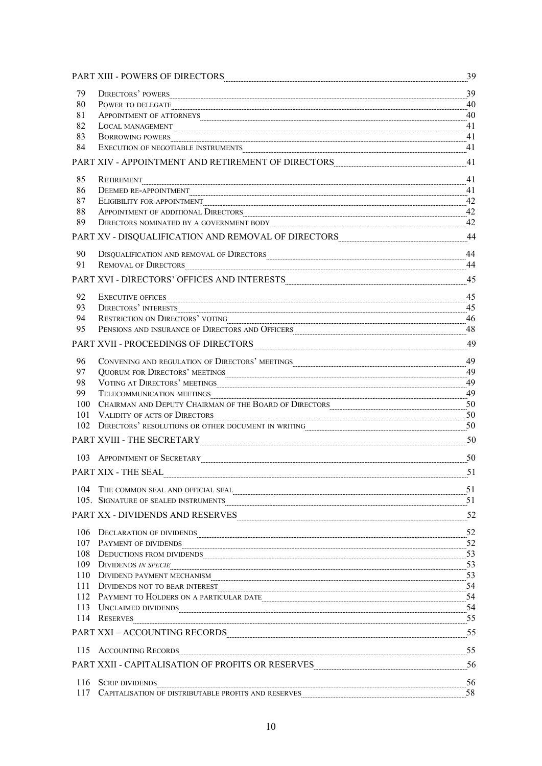|     | PART XIII - POWERS OF DIRECTORS PART AND AN ARREST OF DERECTORS                                                                                                                                                                                                                                                                                                                                                                                                                                                                                              | 39 |
|-----|--------------------------------------------------------------------------------------------------------------------------------------------------------------------------------------------------------------------------------------------------------------------------------------------------------------------------------------------------------------------------------------------------------------------------------------------------------------------------------------------------------------------------------------------------------------|----|
| 79  | <b>DIRECTORS' POWERS</b>                                                                                                                                                                                                                                                                                                                                                                                                                                                                                                                                     | 39 |
| 80  | POWER TO DELEGATE                                                                                                                                                                                                                                                                                                                                                                                                                                                                                                                                            | 40 |
| 81  | APPOINTMENT OF ATTORNEYS <b>CONSERVENTS</b>                                                                                                                                                                                                                                                                                                                                                                                                                                                                                                                  | 40 |
| 82  | LOCAL MANAGEMENT                                                                                                                                                                                                                                                                                                                                                                                                                                                                                                                                             | 41 |
| 83  | <b>BORROWING POWERS</b>                                                                                                                                                                                                                                                                                                                                                                                                                                                                                                                                      | 41 |
| 84  |                                                                                                                                                                                                                                                                                                                                                                                                                                                                                                                                                              | 41 |
|     | PART XIV - APPOINTMENT AND RETIREMENT OF DIRECTORS 41 Apple of the state of the state of the state of the state of the state of the state of the state of the state of the state of the state of the state of the state of the                                                                                                                                                                                                                                                                                                                               |    |
| 85  | RETIREMENT                                                                                                                                                                                                                                                                                                                                                                                                                                                                                                                                                   | 41 |
| 86  | DEEMED RE-APPOINTMENT                                                                                                                                                                                                                                                                                                                                                                                                                                                                                                                                        | 41 |
| 87  | ELIGIBILITY FOR APPOINTMENT                                                                                                                                                                                                                                                                                                                                                                                                                                                                                                                                  |    |
| 88  |                                                                                                                                                                                                                                                                                                                                                                                                                                                                                                                                                              | 42 |
| 89  |                                                                                                                                                                                                                                                                                                                                                                                                                                                                                                                                                              | 42 |
|     | PART XV - DISQUALIFICATION AND REMOVAL OF DIRECTORS                                                                                                                                                                                                                                                                                                                                                                                                                                                                                                          | 44 |
| 90  |                                                                                                                                                                                                                                                                                                                                                                                                                                                                                                                                                              | 44 |
| 91  | REMOVAL OF DIRECTORS 44                                                                                                                                                                                                                                                                                                                                                                                                                                                                                                                                      |    |
|     | PART XVI - DIRECTORS' OFFICES AND INTERESTS <b>Example 2018</b> 45                                                                                                                                                                                                                                                                                                                                                                                                                                                                                           |    |
| 92  | <b>EXECUTIVE OFFICES</b>                                                                                                                                                                                                                                                                                                                                                                                                                                                                                                                                     | 45 |
| 93  | DIRECTORS' INTERESTS                                                                                                                                                                                                                                                                                                                                                                                                                                                                                                                                         | 45 |
| 94  |                                                                                                                                                                                                                                                                                                                                                                                                                                                                                                                                                              |    |
| 95  | PENSIONS AND INSURANCE OF DIRECTORS AND OFFICERS MARIE AND ASSESSMENT RESERVE ASSESSMENT RESERVE ASSESSMENT RESERVE ASSESSMENT RESERVE ASSESSMENT RESERVE ASSESSMENT RESERVE ASSESSMENT RESERVE ASSESSMENT RESERVE AND MODEL A                                                                                                                                                                                                                                                                                                                               |    |
|     | PART XVII - PROCEEDINGS OF DIRECTORS PRODUCTION CONTRACT AND THE PROCEEDINGS OF DIRECTORS                                                                                                                                                                                                                                                                                                                                                                                                                                                                    | 49 |
| 96  |                                                                                                                                                                                                                                                                                                                                                                                                                                                                                                                                                              | 49 |
| 97  | QUORUM FOR DIRECTORS' MEETINGS                                                                                                                                                                                                                                                                                                                                                                                                                                                                                                                               | 49 |
| 98  | VOTING AT DIRECTORS' MEETINGS                                                                                                                                                                                                                                                                                                                                                                                                                                                                                                                                | 49 |
| 99  | TELECOMMUNICATION MEETINGS                                                                                                                                                                                                                                                                                                                                                                                                                                                                                                                                   | 49 |
| 100 | CHAIRMAN AND DEPUTY CHAIRMAN OF THE BOARD OF DIRECTORS <b>CHAIRMAN AND SEPTEMBENT CHAIRMAN</b>                                                                                                                                                                                                                                                                                                                                                                                                                                                               | 50 |
| 101 | VALIDITY OF ACTS OF DIRECTORS                                                                                                                                                                                                                                                                                                                                                                                                                                                                                                                                | 50 |
|     | 102 DIRECTORS' RESOLUTIONS OR OTHER DOCUMENT IN WRITING <b>CONSUMING AND SET A SET AND RESOLUTIONS</b> OR OTHER DOCUMENT IN WRITING                                                                                                                                                                                                                                                                                                                                                                                                                          |    |
|     | $\textbf{PART XVIII - THE SECRETARY}\footnotesize\begin{minipage}{14.5\textwidth} \includegraphics[width=0.49\textwidth]{Figures/PART XVIII-11.png} \caption{The SECRETARY \textit{NCT} and the SECRETARY \textit{NCT} and the SECRETARY \textit{NCT} and the SECRETARY \textit{NCT} and the SECRETARY \textit{NCT} and the SECRETARY \textit{NCT} and the SECRETARY \textit{NCT} and the SECRETARY \textit{NCT} and the SECRETARY \textit{NCT} and the SECRETARY \textit{NCT} and the SECRETARY \textit{NCT} and the SECRETARY \textit{NCT} and the SECRET$ | 50 |
|     | 103 APPOINTMENT OF SECRETARY ELECTRIC CONTROL AT A PRODUCT OF SECRETARY CONTROL ASSEMBLY TO A PRODUCT OF SECRETARY                                                                                                                                                                                                                                                                                                                                                                                                                                           | 50 |
|     |                                                                                                                                                                                                                                                                                                                                                                                                                                                                                                                                                              |    |
|     | 104 THE COMMON SEAL AND OFFICIAL SEAL <b>EXAMPLE 2014</b> THE COMMON SEAL AND OFFICIAL SEAL <b>EXAMPLE 2014</b>                                                                                                                                                                                                                                                                                                                                                                                                                                              |    |
|     | 105. SIGNATURE OF SEALED INSTRUMENTS <b>CONSUMERTS CONSUMER CONSUMER CONSUMER CONSUMER CONSUMER CONSUMER CONSUMER CONSUMER CONSUMER CONSUMER CONSUMER CONSUMER CONSUMER CONSUMER CONSUMER CONSUM</b>                                                                                                                                                                                                                                                                                                                                                         |    |
|     | PART XX - DIVIDENDS AND RESERVES 52                                                                                                                                                                                                                                                                                                                                                                                                                                                                                                                          |    |
|     | 106 DECLARATION OF DIVIDENDS 52                                                                                                                                                                                                                                                                                                                                                                                                                                                                                                                              |    |
|     | 107 PAYMENT OF DIVIDENDS 52                                                                                                                                                                                                                                                                                                                                                                                                                                                                                                                                  |    |
|     | 108 DEDUCTIONS FROM DIVIDENDS 63                                                                                                                                                                                                                                                                                                                                                                                                                                                                                                                             |    |
|     | 109 DIVIDENDS IN SPECIE 53                                                                                                                                                                                                                                                                                                                                                                                                                                                                                                                                   |    |
|     | 110 DIVIDEND PAYMENT MECHANISM                                                                                                                                                                                                                                                                                                                                                                                                                                                                                                                               |    |
|     | 111 DIVIDENDS NOT TO BEAR INTEREST 54                                                                                                                                                                                                                                                                                                                                                                                                                                                                                                                        |    |
|     | 112 PAYMENT TO HOLDERS ON A PARTICULAR DATE 54                                                                                                                                                                                                                                                                                                                                                                                                                                                                                                               |    |
|     | 113 UNCLAIMED DIVIDENDS                                                                                                                                                                                                                                                                                                                                                                                                                                                                                                                                      |    |
|     | 114 RESERVES                                                                                                                                                                                                                                                                                                                                                                                                                                                                                                                                                 |    |
|     | PART XXI - ACCOUNTING RECORDS 55                                                                                                                                                                                                                                                                                                                                                                                                                                                                                                                             |    |
|     | 115 ACCOUNTING RECORDS                                                                                                                                                                                                                                                                                                                                                                                                                                                                                                                                       |    |
|     |                                                                                                                                                                                                                                                                                                                                                                                                                                                                                                                                                              | 56 |
|     | 116 SCRIP DIVIDENDS                                                                                                                                                                                                                                                                                                                                                                                                                                                                                                                                          | 56 |
|     | 117 CAPITALISATION OF DISTRIBUTABLE PROFITS AND RESERVES <b>CONSUMING THE CONTRACT OF DISTRIBUTABLE PROFITS</b> AND RESERVES                                                                                                                                                                                                                                                                                                                                                                                                                                 | 58 |
|     |                                                                                                                                                                                                                                                                                                                                                                                                                                                                                                                                                              |    |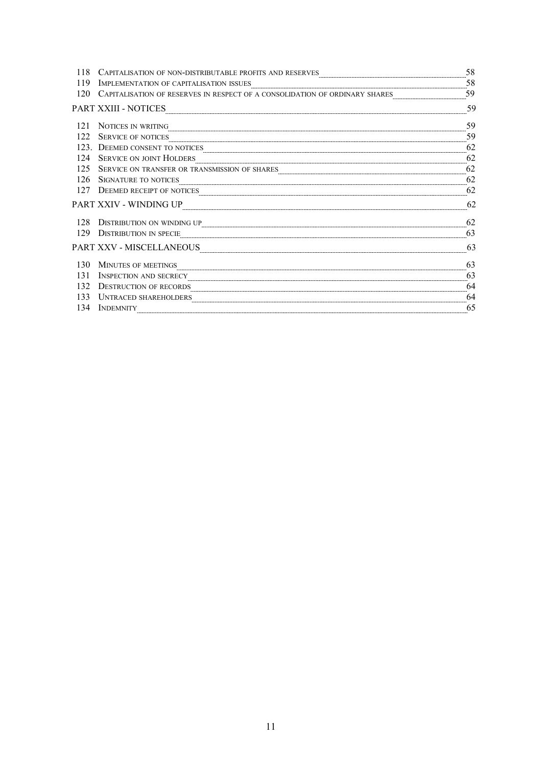| 118 | CAPITALISATION OF NON-DISTRIBUTABLE PROFITS AND RESERVES                          | 58 |
|-----|-----------------------------------------------------------------------------------|----|
| 119 | ${\bf IMPLEMENTATION\ OF\ CAPITALISATION\ ISSUES} \label{th:ex1} {\bf 58}$        |    |
| 120 | CAPITALISATION OF RESERVES IN RESPECT OF A CONSOLIDATION OF ORDINARY SHARES 59 59 |    |
|     | <b>PART XXIII - NOTICES</b>                                                       | 59 |
| 121 | NOTICES IN WRITING                                                                | 59 |
| 122 | SERVICE OF NOTICES                                                                | 59 |
|     | 123. DEEMED CONSENT TO NOTICES                                                    | 62 |
| 124 | SERVICE ON JOINT HOLDERS                                                          | 62 |
| 125 |                                                                                   | 62 |
| 126 | SIGNATURE TO NOTICES                                                              |    |
| 127 | DEEMED RECEIPT OF NOTICES                                                         | 62 |
|     | PART XXIV - WINDING UP                                                            | 62 |
| 128 | DISTRIBUTION ON WINDING UP                                                        | 62 |
| 129 | <b>DISTRIBUTION IN SPECIE</b>                                                     | 63 |
|     | <b>PART XXV - MISCELLANEOUS</b>                                                   | 63 |
| 130 | MINUTES OF MEETINGS                                                               | 63 |
| 131 | <b>INSPECTION AND SECRECY</b>                                                     | 63 |
| 132 | DESTRUCTION OF RECORDS                                                            | 64 |
| 133 | UNTRACED SHAREHOLDERS                                                             | 64 |
| 134 | <b>INDEMNITY</b>                                                                  | 65 |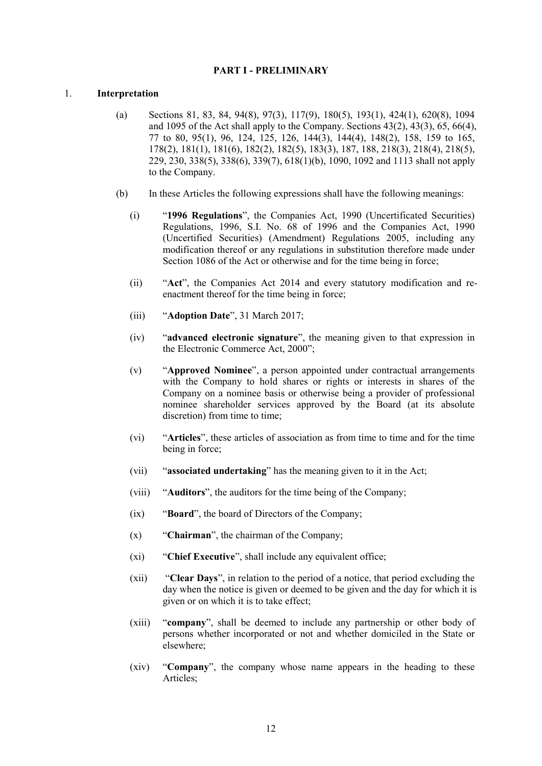# **PART I - PRELIMINARY**

### 1. **Interpretation**

- (a) Sections 81, 83, 84, 94(8), 97(3), 117(9), 180(5), 193(1), 424(1), 620(8), 1094 and 1095 of the Act shall apply to the Company. Sections  $43(2)$ ,  $43(3)$ ,  $65$ ,  $66(4)$ , 77 to 80, 95(1), 96, 124, 125, 126, 144(3), 144(4), 148(2), 158, 159 to 165, 178(2), 181(1), 181(6), 182(2), 182(5), 183(3), 187, 188, 218(3), 218(4), 218(5), 229, 230, 338(5), 338(6), 339(7), 618(1)(b), 1090, 1092 and 1113 shall not apply to the Company.
- (b) In these Articles the following expressions shall have the following meanings:
	- (i) "**1996 Regulations**", the Companies Act, 1990 (Uncertificated Securities) Regulations, 1996, S.I. No. 68 of 1996 and the Companies Act, 1990 (Uncertified Securities) (Amendment) Regulations 2005, including any modification thereof or any regulations in substitution therefore made under Section 1086 of the Act or otherwise and for the time being in force;
	- (ii) "**Act**", the Companies Act 2014 and every statutory modification and reenactment thereof for the time being in force;
	- (iii) "**Adoption Date**", 31 March 2017;
	- (iv) "**advanced electronic signature**", the meaning given to that expression in the Electronic Commerce Act, 2000";
	- (v) "**Approved Nominee**", a person appointed under contractual arrangements with the Company to hold shares or rights or interests in shares of the Company on a nominee basis or otherwise being a provider of professional nominee shareholder services approved by the Board (at its absolute discretion) from time to time;
	- (vi) "**Articles**", these articles of association as from time to time and for the time being in force;
	- (vii) "**associated undertaking**" has the meaning given to it in the Act;
	- (viii) "**Auditors**", the auditors for the time being of the Company;
	- (ix) "**Board**", the board of Directors of the Company;
	- (x) "**Chairman**", the chairman of the Company;
	- (xi) "**Chief Executive**", shall include any equivalent office;
	- (xii) "**Clear Days**", in relation to the period of a notice, that period excluding the day when the notice is given or deemed to be given and the day for which it is given or on which it is to take effect;
	- (xiii) "**company**", shall be deemed to include any partnership or other body of persons whether incorporated or not and whether domiciled in the State or elsewhere;
	- (xiv) "**Company**", the company whose name appears in the heading to these Articles: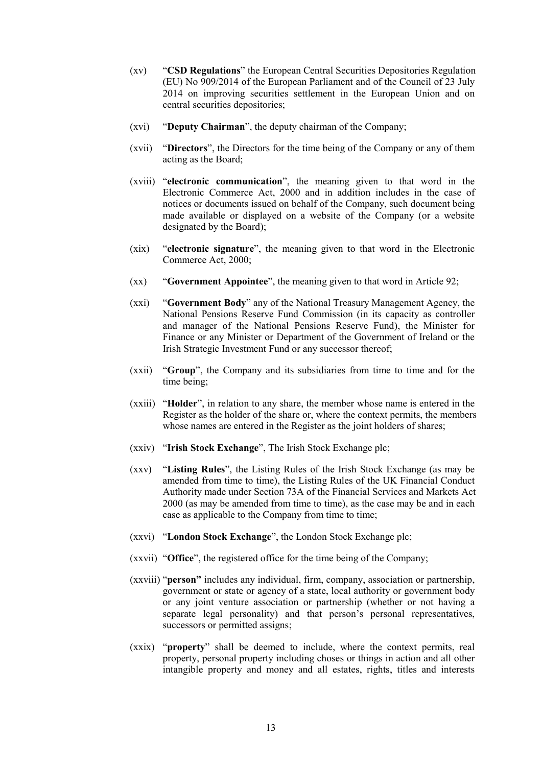- (xv) "**CSD Regulations**" the European Central Securities Depositories Regulation (EU) No 909/2014 of the European Parliament and of the Council of 23 July 2014 on improving securities settlement in the European Union and on central securities depositories;
- (xvi) "**Deputy Chairman**", the deputy chairman of the Company;
- (xvii) "**Directors**", the Directors for the time being of the Company or any of them acting as the Board;
- (xviii) "**electronic communication**", the meaning given to that word in the Electronic Commerce Act, 2000 and in addition includes in the case of notices or documents issued on behalf of the Company, such document being made available or displayed on a website of the Company (or a website designated by the Board);
- (xix) "**electronic signature**", the meaning given to that word in the Electronic Commerce Act, 2000;
- (xx) "**Government Appointee**", the meaning given to that word in Article 92;
- (xxi) "**Government Body**" any of the National Treasury Management Agency, the National Pensions Reserve Fund Commission (in its capacity as controller and manager of the National Pensions Reserve Fund), the Minister for Finance or any Minister or Department of the Government of Ireland or the Irish Strategic Investment Fund or any successor thereof;
- (xxii) "**Group**", the Company and its subsidiaries from time to time and for the time being;
- (xxiii) "**Holder**", in relation to any share, the member whose name is entered in the Register as the holder of the share or, where the context permits, the members whose names are entered in the Register as the joint holders of shares;
- (xxiv) "**Irish Stock Exchange**", The Irish Stock Exchange plc;
- (xxv) "**Listing Rules**", the Listing Rules of the Irish Stock Exchange (as may be amended from time to time), the Listing Rules of the UK Financial Conduct Authority made under Section 73A of the Financial Services and Markets Act 2000 (as may be amended from time to time), as the case may be and in each case as applicable to the Company from time to time;
- (xxvi) "**London Stock Exchange**", the London Stock Exchange plc;
- (xxvii) "**Office**", the registered office for the time being of the Company;
- (xxviii) "**person"** includes any individual, firm, company, association or partnership, government or state or agency of a state, local authority or government body or any joint venture association or partnership (whether or not having a separate legal personality) and that person's personal representatives, successors or permitted assigns;
- (xxix) "**property**" shall be deemed to include, where the context permits, real property, personal property including choses or things in action and all other intangible property and money and all estates, rights, titles and interests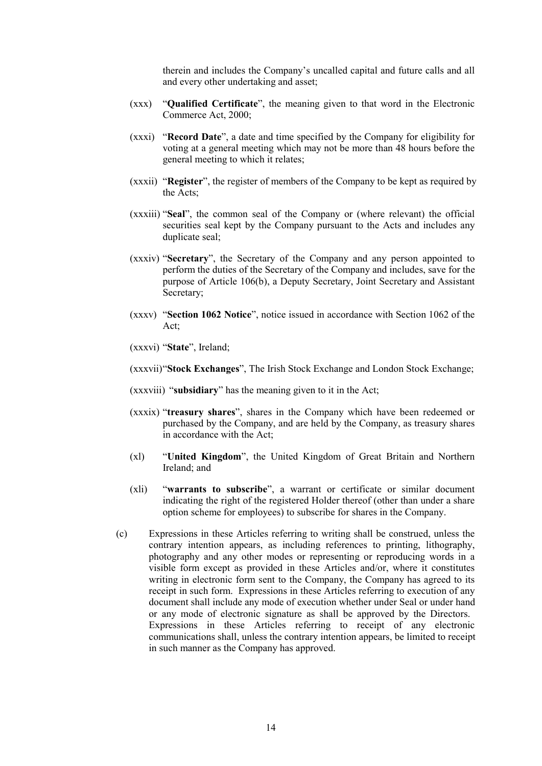therein and includes the Company's uncalled capital and future calls and all and every other undertaking and asset;

- (xxx) "**Qualified Certificate**", the meaning given to that word in the Electronic Commerce Act, 2000;
- (xxxi) "**Record Date**", a date and time specified by the Company for eligibility for voting at a general meeting which may not be more than 48 hours before the general meeting to which it relates;
- (xxxii) "**Register**", the register of members of the Company to be kept as required by the Acts;
- (xxxiii) "**Seal**", the common seal of the Company or (where relevant) the official securities seal kept by the Company pursuant to the Acts and includes any duplicate seal;
- (xxxiv) "**Secretary**", the Secretary of the Company and any person appointed to perform the duties of the Secretary of the Company and includes, save for the purpose of Article 106(b), a Deputy Secretary, Joint Secretary and Assistant Secretary;
- (xxxv) "**Section 1062 Notice**", notice issued in accordance with Section 1062 of the Act;
- (xxxvi) "**State**", Ireland;
- (xxxvii)"**Stock Exchanges**", The Irish Stock Exchange and London Stock Exchange;
- (xxxviii) "**subsidiary**" has the meaning given to it in the Act;
- (xxxix) "**treasury shares**", shares in the Company which have been redeemed or purchased by the Company, and are held by the Company, as treasury shares in accordance with the Act;
- (xl) "**United Kingdom**", the United Kingdom of Great Britain and Northern Ireland; and
- (xli) "**warrants to subscribe**", a warrant or certificate or similar document indicating the right of the registered Holder thereof (other than under a share option scheme for employees) to subscribe for shares in the Company.
- (c) Expressions in these Articles referring to writing shall be construed, unless the contrary intention appears, as including references to printing, lithography, photography and any other modes or representing or reproducing words in a visible form except as provided in these Articles and/or, where it constitutes writing in electronic form sent to the Company, the Company has agreed to its receipt in such form. Expressions in these Articles referring to execution of any document shall include any mode of execution whether under Seal or under hand or any mode of electronic signature as shall be approved by the Directors. Expressions in these Articles referring to receipt of any electronic communications shall, unless the contrary intention appears, be limited to receipt in such manner as the Company has approved.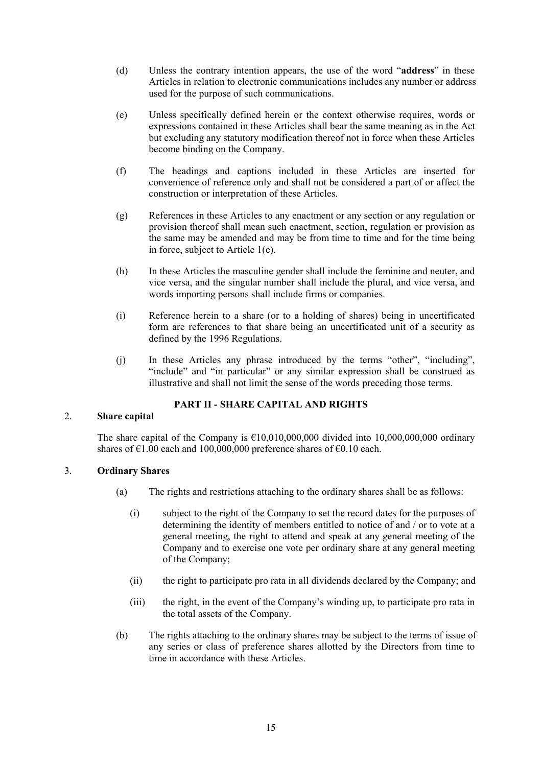- (d) Unless the contrary intention appears, the use of the word "**address**" in these Articles in relation to electronic communications includes any number or address used for the purpose of such communications.
- (e) Unless specifically defined herein or the context otherwise requires, words or expressions contained in these Articles shall bear the same meaning as in the Act but excluding any statutory modification thereof not in force when these Articles become binding on the Company.
- (f) The headings and captions included in these Articles are inserted for convenience of reference only and shall not be considered a part of or affect the construction or interpretation of these Articles.
- (g) References in these Articles to any enactment or any section or any regulation or provision thereof shall mean such enactment, section, regulation or provision as the same may be amended and may be from time to time and for the time being in force, subject to Article 1(e).
- (h) In these Articles the masculine gender shall include the feminine and neuter, and vice versa, and the singular number shall include the plural, and vice versa, and words importing persons shall include firms or companies.
- (i) Reference herein to a share (or to a holding of shares) being in uncertificated form are references to that share being an uncertificated unit of a security as defined by the 1996 Regulations.
- (j) In these Articles any phrase introduced by the terms "other", "including", "include" and "in particular" or any similar expression shall be construed as illustrative and shall not limit the sense of the words preceding those terms.

# **PART II - SHARE CAPITAL AND RIGHTS**

# 2. **Share capital**

The share capital of the Company is  $\epsilon$ 10,010,000,000 divided into 10,000,000,000 ordinary shares of  $\epsilon$ 1.00 each and 100,000,000 preference shares of  $\epsilon$ 0.10 each.

# 3. **Ordinary Shares**

- (a) The rights and restrictions attaching to the ordinary shares shall be as follows:
	- (i) subject to the right of the Company to set the record dates for the purposes of determining the identity of members entitled to notice of and / or to vote at a general meeting, the right to attend and speak at any general meeting of the Company and to exercise one vote per ordinary share at any general meeting of the Company;
	- (ii) the right to participate pro rata in all dividends declared by the Company; and
	- (iii) the right, in the event of the Company's winding up, to participate pro rata in the total assets of the Company.
- (b) The rights attaching to the ordinary shares may be subject to the terms of issue of any series or class of preference shares allotted by the Directors from time to time in accordance with these Articles.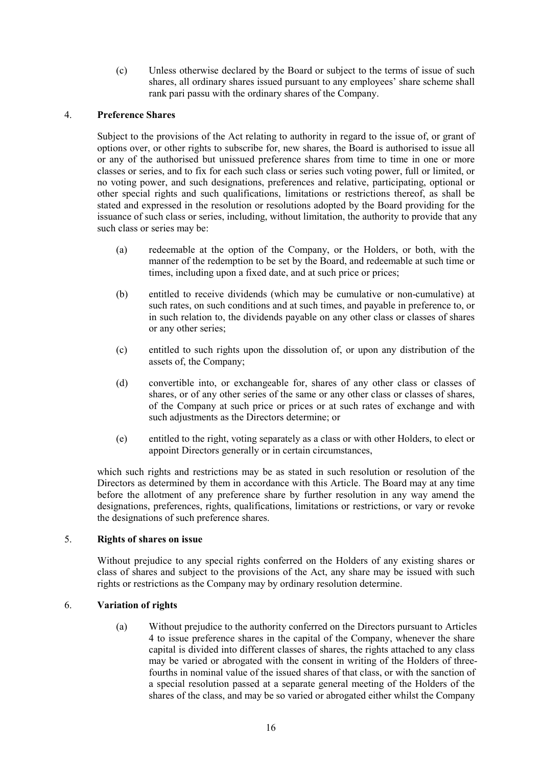(c) Unless otherwise declared by the Board or subject to the terms of issue of such shares, all ordinary shares issued pursuant to any employees' share scheme shall rank pari passu with the ordinary shares of the Company.

# 4. **Preference Shares**

Subject to the provisions of the Act relating to authority in regard to the issue of, or grant of options over, or other rights to subscribe for, new shares, the Board is authorised to issue all or any of the authorised but unissued preference shares from time to time in one or more classes or series, and to fix for each such class or series such voting power, full or limited, or no voting power, and such designations, preferences and relative, participating, optional or other special rights and such qualifications, limitations or restrictions thereof, as shall be stated and expressed in the resolution or resolutions adopted by the Board providing for the issuance of such class or series, including, without limitation, the authority to provide that any such class or series may be:

- (a) redeemable at the option of the Company, or the Holders, or both, with the manner of the redemption to be set by the Board, and redeemable at such time or times, including upon a fixed date, and at such price or prices;
- (b) entitled to receive dividends (which may be cumulative or non-cumulative) at such rates, on such conditions and at such times, and payable in preference to, or in such relation to, the dividends payable on any other class or classes of shares or any other series;
- (c) entitled to such rights upon the dissolution of, or upon any distribution of the assets of, the Company;
- (d) convertible into, or exchangeable for, shares of any other class or classes of shares, or of any other series of the same or any other class or classes of shares, of the Company at such price or prices or at such rates of exchange and with such adjustments as the Directors determine; or
- (e) entitled to the right, voting separately as a class or with other Holders, to elect or appoint Directors generally or in certain circumstances,

which such rights and restrictions may be as stated in such resolution or resolution of the Directors as determined by them in accordance with this Article. The Board may at any time before the allotment of any preference share by further resolution in any way amend the designations, preferences, rights, qualifications, limitations or restrictions, or vary or revoke the designations of such preference shares.

# 5. **Rights of shares on issue**

Without prejudice to any special rights conferred on the Holders of any existing shares or class of shares and subject to the provisions of the Act, any share may be issued with such rights or restrictions as the Company may by ordinary resolution determine.

# 6. **Variation of rights**

(a) Without prejudice to the authority conferred on the Directors pursuant to Articles 4 to issue preference shares in the capital of the Company, whenever the share capital is divided into different classes of shares, the rights attached to any class may be varied or abrogated with the consent in writing of the Holders of threefourths in nominal value of the issued shares of that class, or with the sanction of a special resolution passed at a separate general meeting of the Holders of the shares of the class, and may be so varied or abrogated either whilst the Company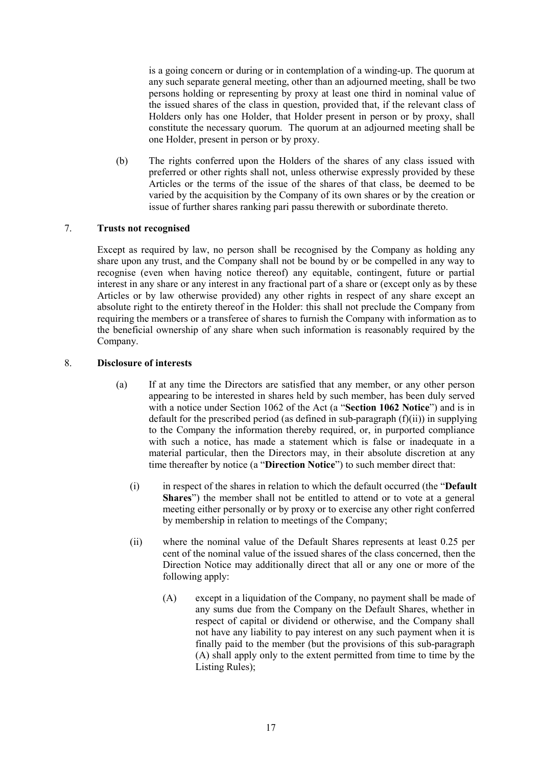is a going concern or during or in contemplation of a winding-up. The quorum at any such separate general meeting, other than an adjourned meeting, shall be two persons holding or representing by proxy at least one third in nominal value of the issued shares of the class in question, provided that, if the relevant class of Holders only has one Holder, that Holder present in person or by proxy, shall constitute the necessary quorum. The quorum at an adjourned meeting shall be one Holder, present in person or by proxy.

(b) The rights conferred upon the Holders of the shares of any class issued with preferred or other rights shall not, unless otherwise expressly provided by these Articles or the terms of the issue of the shares of that class, be deemed to be varied by the acquisition by the Company of its own shares or by the creation or issue of further shares ranking pari passu therewith or subordinate thereto.

# 7. **Trusts not recognised**

Except as required by law, no person shall be recognised by the Company as holding any share upon any trust, and the Company shall not be bound by or be compelled in any way to recognise (even when having notice thereof) any equitable, contingent, future or partial interest in any share or any interest in any fractional part of a share or (except only as by these Articles or by law otherwise provided) any other rights in respect of any share except an absolute right to the entirety thereof in the Holder: this shall not preclude the Company from requiring the members or a transferee of shares to furnish the Company with information as to the beneficial ownership of any share when such information is reasonably required by the Company.

# 8. **Disclosure of interests**

- (a) If at any time the Directors are satisfied that any member, or any other person appearing to be interested in shares held by such member, has been duly served with a notice under Section 1062 of the Act (a "**Section 1062 Notice**") and is in default for the prescribed period (as defined in sub-paragraph  $(f)(ii)$ ) in supplying to the Company the information thereby required, or, in purported compliance with such a notice, has made a statement which is false or inadequate in a material particular, then the Directors may, in their absolute discretion at any time thereafter by notice (a "**Direction Notice**") to such member direct that:
	- (i) in respect of the shares in relation to which the default occurred (the "**Default Shares**") the member shall not be entitled to attend or to vote at a general meeting either personally or by proxy or to exercise any other right conferred by membership in relation to meetings of the Company;
	- (ii) where the nominal value of the Default Shares represents at least 0.25 per cent of the nominal value of the issued shares of the class concerned, then the Direction Notice may additionally direct that all or any one or more of the following apply:
		- (A) except in a liquidation of the Company, no payment shall be made of any sums due from the Company on the Default Shares, whether in respect of capital or dividend or otherwise, and the Company shall not have any liability to pay interest on any such payment when it is finally paid to the member (but the provisions of this sub-paragraph (A) shall apply only to the extent permitted from time to time by the Listing Rules);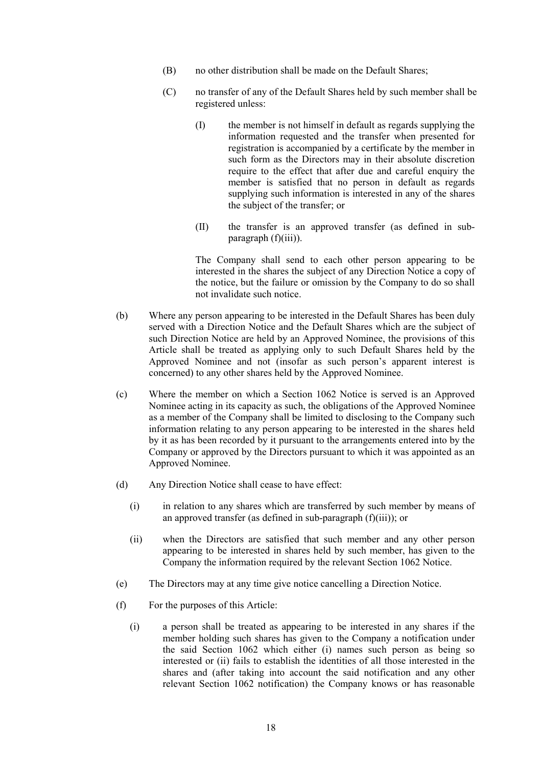- (B) no other distribution shall be made on the Default Shares;
- (C) no transfer of any of the Default Shares held by such member shall be registered unless:
	- (I) the member is not himself in default as regards supplying the information requested and the transfer when presented for registration is accompanied by a certificate by the member in such form as the Directors may in their absolute discretion require to the effect that after due and careful enquiry the member is satisfied that no person in default as regards supplying such information is interested in any of the shares the subject of the transfer; or
	- (II) the transfer is an approved transfer (as defined in subparagraph (f)(iii)).

The Company shall send to each other person appearing to be interested in the shares the subject of any Direction Notice a copy of the notice, but the failure or omission by the Company to do so shall not invalidate such notice.

- (b) Where any person appearing to be interested in the Default Shares has been duly served with a Direction Notice and the Default Shares which are the subject of such Direction Notice are held by an Approved Nominee, the provisions of this Article shall be treated as applying only to such Default Shares held by the Approved Nominee and not (insofar as such person's apparent interest is concerned) to any other shares held by the Approved Nominee.
- (c) Where the member on which a Section 1062 Notice is served is an Approved Nominee acting in its capacity as such, the obligations of the Approved Nominee as a member of the Company shall be limited to disclosing to the Company such information relating to any person appearing to be interested in the shares held by it as has been recorded by it pursuant to the arrangements entered into by the Company or approved by the Directors pursuant to which it was appointed as an Approved Nominee.
- (d) Any Direction Notice shall cease to have effect:
	- (i) in relation to any shares which are transferred by such member by means of an approved transfer (as defined in sub-paragraph (f)(iii)); or
	- (ii) when the Directors are satisfied that such member and any other person appearing to be interested in shares held by such member, has given to the Company the information required by the relevant Section 1062 Notice.
- (e) The Directors may at any time give notice cancelling a Direction Notice.
- (f) For the purposes of this Article:
	- (i) a person shall be treated as appearing to be interested in any shares if the member holding such shares has given to the Company a notification under the said Section 1062 which either (i) names such person as being so interested or (ii) fails to establish the identities of all those interested in the shares and (after taking into account the said notification and any other relevant Section 1062 notification) the Company knows or has reasonable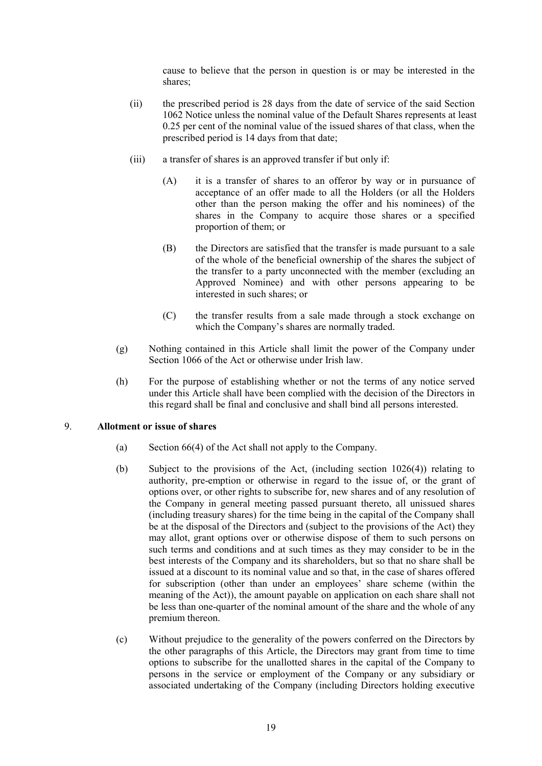cause to believe that the person in question is or may be interested in the shares;

- (ii) the prescribed period is 28 days from the date of service of the said Section 1062 Notice unless the nominal value of the Default Shares represents at least 0.25 per cent of the nominal value of the issued shares of that class, when the prescribed period is 14 days from that date;
- (iii) a transfer of shares is an approved transfer if but only if:
	- (A) it is a transfer of shares to an offeror by way or in pursuance of acceptance of an offer made to all the Holders (or all the Holders other than the person making the offer and his nominees) of the shares in the Company to acquire those shares or a specified proportion of them; or
	- (B) the Directors are satisfied that the transfer is made pursuant to a sale of the whole of the beneficial ownership of the shares the subject of the transfer to a party unconnected with the member (excluding an Approved Nominee) and with other persons appearing to be interested in such shares; or
	- (C) the transfer results from a sale made through a stock exchange on which the Company's shares are normally traded.
- (g) Nothing contained in this Article shall limit the power of the Company under Section 1066 of the Act or otherwise under Irish law.
- (h) For the purpose of establishing whether or not the terms of any notice served under this Article shall have been complied with the decision of the Directors in this regard shall be final and conclusive and shall bind all persons interested.

### 9. **Allotment or issue of shares**

- (a) Section 66(4) of the Act shall not apply to the Company.
- (b) Subject to the provisions of the Act, (including section 1026(4)) relating to authority, pre-emption or otherwise in regard to the issue of, or the grant of options over, or other rights to subscribe for, new shares and of any resolution of the Company in general meeting passed pursuant thereto, all unissued shares (including treasury shares) for the time being in the capital of the Company shall be at the disposal of the Directors and (subject to the provisions of the Act) they may allot, grant options over or otherwise dispose of them to such persons on such terms and conditions and at such times as they may consider to be in the best interests of the Company and its shareholders, but so that no share shall be issued at a discount to its nominal value and so that, in the case of shares offered for subscription (other than under an employees' share scheme (within the meaning of the Act)), the amount payable on application on each share shall not be less than one-quarter of the nominal amount of the share and the whole of any premium thereon.
- (c) Without prejudice to the generality of the powers conferred on the Directors by the other paragraphs of this Article, the Directors may grant from time to time options to subscribe for the unallotted shares in the capital of the Company to persons in the service or employment of the Company or any subsidiary or associated undertaking of the Company (including Directors holding executive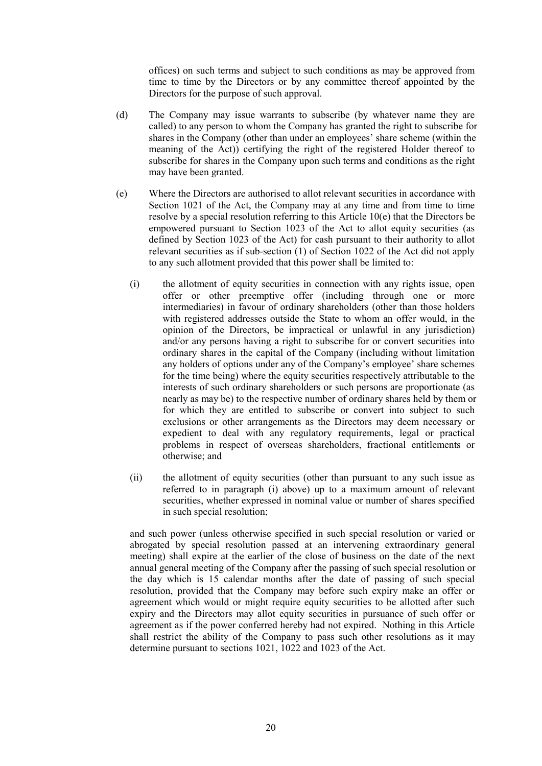offices) on such terms and subject to such conditions as may be approved from time to time by the Directors or by any committee thereof appointed by the Directors for the purpose of such approval.

- (d) The Company may issue warrants to subscribe (by whatever name they are called) to any person to whom the Company has granted the right to subscribe for shares in the Company (other than under an employees' share scheme (within the meaning of the Act)) certifying the right of the registered Holder thereof to subscribe for shares in the Company upon such terms and conditions as the right may have been granted.
- (e) Where the Directors are authorised to allot relevant securities in accordance with Section 1021 of the Act, the Company may at any time and from time to time resolve by a special resolution referring to this Article 10(e) that the Directors be empowered pursuant to Section 1023 of the Act to allot equity securities (as defined by Section 1023 of the Act) for cash pursuant to their authority to allot relevant securities as if sub-section (1) of Section 1022 of the Act did not apply to any such allotment provided that this power shall be limited to:
	- (i) the allotment of equity securities in connection with any rights issue, open offer or other preemptive offer (including through one or more intermediaries) in favour of ordinary shareholders (other than those holders with registered addresses outside the State to whom an offer would, in the opinion of the Directors, be impractical or unlawful in any jurisdiction) and/or any persons having a right to subscribe for or convert securities into ordinary shares in the capital of the Company (including without limitation any holders of options under any of the Company's employee' share schemes for the time being) where the equity securities respectively attributable to the interests of such ordinary shareholders or such persons are proportionate (as nearly as may be) to the respective number of ordinary shares held by them or for which they are entitled to subscribe or convert into subject to such exclusions or other arrangements as the Directors may deem necessary or expedient to deal with any regulatory requirements, legal or practical problems in respect of overseas shareholders, fractional entitlements or otherwise; and
	- (ii) the allotment of equity securities (other than pursuant to any such issue as referred to in paragraph (i) above) up to a maximum amount of relevant securities, whether expressed in nominal value or number of shares specified in such special resolution;

and such power (unless otherwise specified in such special resolution or varied or abrogated by special resolution passed at an intervening extraordinary general meeting) shall expire at the earlier of the close of business on the date of the next annual general meeting of the Company after the passing of such special resolution or the day which is 15 calendar months after the date of passing of such special resolution, provided that the Company may before such expiry make an offer or agreement which would or might require equity securities to be allotted after such expiry and the Directors may allot equity securities in pursuance of such offer or agreement as if the power conferred hereby had not expired. Nothing in this Article shall restrict the ability of the Company to pass such other resolutions as it may determine pursuant to sections 1021, 1022 and 1023 of the Act.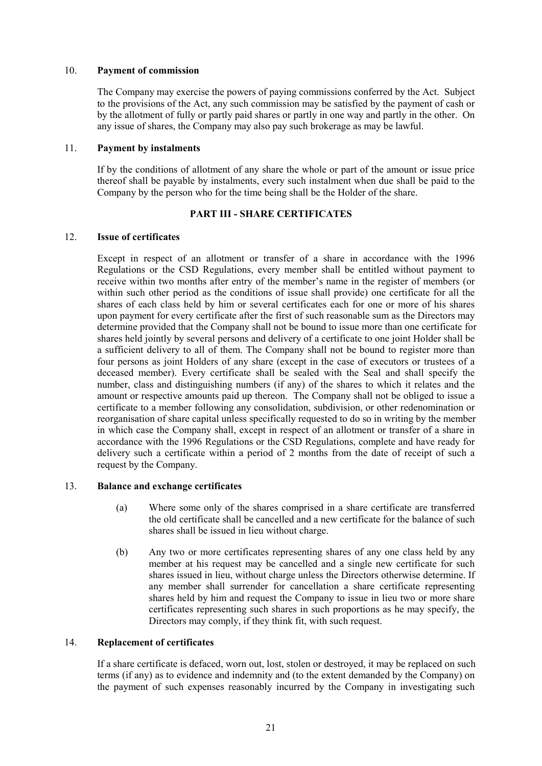# 10. **Payment of commission**

The Company may exercise the powers of paying commissions conferred by the Act. Subject to the provisions of the Act, any such commission may be satisfied by the payment of cash or by the allotment of fully or partly paid shares or partly in one way and partly in the other. On any issue of shares, the Company may also pay such brokerage as may be lawful.

### 11. **Payment by instalments**

If by the conditions of allotment of any share the whole or part of the amount or issue price thereof shall be payable by instalments, every such instalment when due shall be paid to the Company by the person who for the time being shall be the Holder of the share.

# **PART III - SHARE CERTIFICATES**

### 12. **Issue of certificates**

Except in respect of an allotment or transfer of a share in accordance with the 1996 Regulations or the CSD Regulations, every member shall be entitled without payment to receive within two months after entry of the member's name in the register of members (or within such other period as the conditions of issue shall provide) one certificate for all the shares of each class held by him or several certificates each for one or more of his shares upon payment for every certificate after the first of such reasonable sum as the Directors may determine provided that the Company shall not be bound to issue more than one certificate for shares held jointly by several persons and delivery of a certificate to one joint Holder shall be a sufficient delivery to all of them. The Company shall not be bound to register more than four persons as joint Holders of any share (except in the case of executors or trustees of a deceased member). Every certificate shall be sealed with the Seal and shall specify the number, class and distinguishing numbers (if any) of the shares to which it relates and the amount or respective amounts paid up thereon. The Company shall not be obliged to issue a certificate to a member following any consolidation, subdivision, or other redenomination or reorganisation of share capital unless specifically requested to do so in writing by the member in which case the Company shall, except in respect of an allotment or transfer of a share in accordance with the 1996 Regulations or the CSD Regulations, complete and have ready for delivery such a certificate within a period of 2 months from the date of receipt of such a request by the Company.

# 13. **Balance and exchange certificates**

- (a) Where some only of the shares comprised in a share certificate are transferred the old certificate shall be cancelled and a new certificate for the balance of such shares shall be issued in lieu without charge.
- (b) Any two or more certificates representing shares of any one class held by any member at his request may be cancelled and a single new certificate for such shares issued in lieu, without charge unless the Directors otherwise determine. If any member shall surrender for cancellation a share certificate representing shares held by him and request the Company to issue in lieu two or more share certificates representing such shares in such proportions as he may specify, the Directors may comply, if they think fit, with such request.

# 14. **Replacement of certificates**

If a share certificate is defaced, worn out, lost, stolen or destroyed, it may be replaced on such terms (if any) as to evidence and indemnity and (to the extent demanded by the Company) on the payment of such expenses reasonably incurred by the Company in investigating such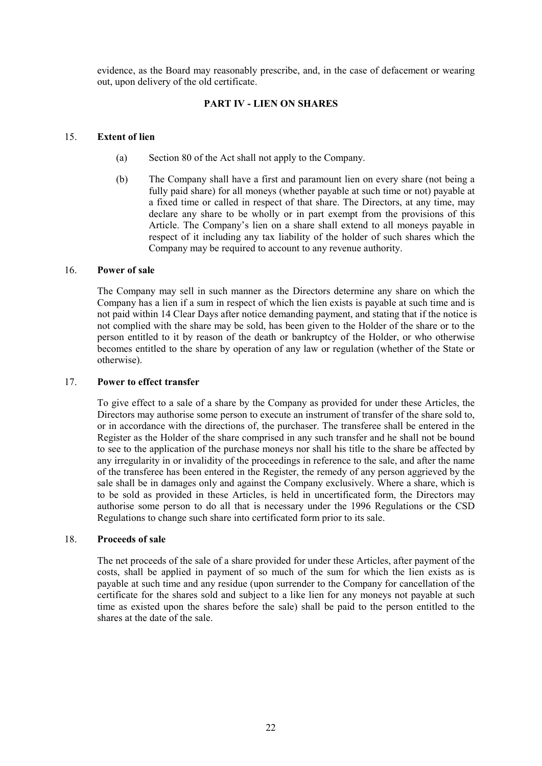evidence, as the Board may reasonably prescribe, and, in the case of defacement or wearing out, upon delivery of the old certificate.

# **PART IV - LIEN ON SHARES**

# 15. **Extent of lien**

- (a) Section 80 of the Act shall not apply to the Company.
- (b) The Company shall have a first and paramount lien on every share (not being a fully paid share) for all moneys (whether payable at such time or not) payable at a fixed time or called in respect of that share. The Directors, at any time, may declare any share to be wholly or in part exempt from the provisions of this Article. The Company's lien on a share shall extend to all moneys payable in respect of it including any tax liability of the holder of such shares which the Company may be required to account to any revenue authority.

# 16. **Power of sale**

The Company may sell in such manner as the Directors determine any share on which the Company has a lien if a sum in respect of which the lien exists is payable at such time and is not paid within 14 Clear Days after notice demanding payment, and stating that if the notice is not complied with the share may be sold, has been given to the Holder of the share or to the person entitled to it by reason of the death or bankruptcy of the Holder, or who otherwise becomes entitled to the share by operation of any law or regulation (whether of the State or otherwise).

# 17. **Power to effect transfer**

To give effect to a sale of a share by the Company as provided for under these Articles, the Directors may authorise some person to execute an instrument of transfer of the share sold to, or in accordance with the directions of, the purchaser. The transferee shall be entered in the Register as the Holder of the share comprised in any such transfer and he shall not be bound to see to the application of the purchase moneys nor shall his title to the share be affected by any irregularity in or invalidity of the proceedings in reference to the sale, and after the name of the transferee has been entered in the Register, the remedy of any person aggrieved by the sale shall be in damages only and against the Company exclusively. Where a share, which is to be sold as provided in these Articles, is held in uncertificated form, the Directors may authorise some person to do all that is necessary under the 1996 Regulations or the CSD Regulations to change such share into certificated form prior to its sale.

# 18. **Proceeds of sale**

The net proceeds of the sale of a share provided for under these Articles, after payment of the costs, shall be applied in payment of so much of the sum for which the lien exists as is payable at such time and any residue (upon surrender to the Company for cancellation of the certificate for the shares sold and subject to a like lien for any moneys not payable at such time as existed upon the shares before the sale) shall be paid to the person entitled to the shares at the date of the sale.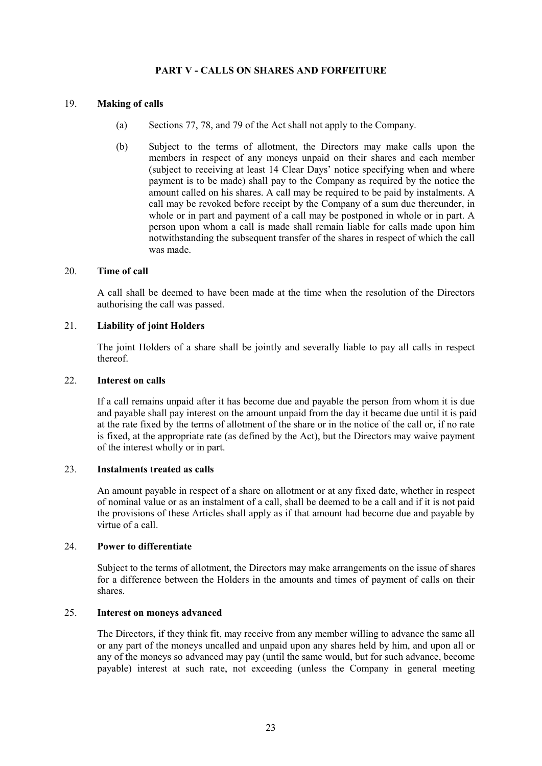# **PART V - CALLS ON SHARES AND FORFEITURE**

# 19. **Making of calls**

- (a) Sections 77, 78, and 79 of the Act shall not apply to the Company.
- (b) Subject to the terms of allotment, the Directors may make calls upon the members in respect of any moneys unpaid on their shares and each member (subject to receiving at least 14 Clear Days' notice specifying when and where payment is to be made) shall pay to the Company as required by the notice the amount called on his shares. A call may be required to be paid by instalments. A call may be revoked before receipt by the Company of a sum due thereunder, in whole or in part and payment of a call may be postponed in whole or in part. A person upon whom a call is made shall remain liable for calls made upon him notwithstanding the subsequent transfer of the shares in respect of which the call was made.

# 20. **Time of call**

A call shall be deemed to have been made at the time when the resolution of the Directors authorising the call was passed.

# 21. **Liability of joint Holders**

The joint Holders of a share shall be jointly and severally liable to pay all calls in respect thereof.

### 22. **Interest on calls**

If a call remains unpaid after it has become due and payable the person from whom it is due and payable shall pay interest on the amount unpaid from the day it became due until it is paid at the rate fixed by the terms of allotment of the share or in the notice of the call or, if no rate is fixed, at the appropriate rate (as defined by the Act), but the Directors may waive payment of the interest wholly or in part.

# 23. **Instalments treated as calls**

An amount payable in respect of a share on allotment or at any fixed date, whether in respect of nominal value or as an instalment of a call, shall be deemed to be a call and if it is not paid the provisions of these Articles shall apply as if that amount had become due and payable by virtue of a call.

#### 24. **Power to differentiate**

Subject to the terms of allotment, the Directors may make arrangements on the issue of shares for a difference between the Holders in the amounts and times of payment of calls on their shares.

# 25. **Interest on moneys advanced**

The Directors, if they think fit, may receive from any member willing to advance the same all or any part of the moneys uncalled and unpaid upon any shares held by him, and upon all or any of the moneys so advanced may pay (until the same would, but for such advance, become payable) interest at such rate, not exceeding (unless the Company in general meeting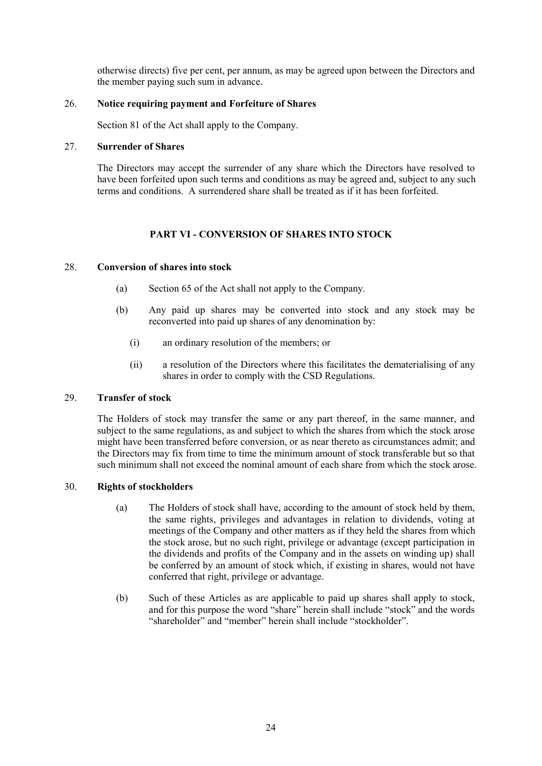otherwise directs) five per cent, per annum, as may be agreed upon between the Directors and the member paying such sum in advance.

# 26. **Notice requiring payment and Forfeiture of Shares**

Section 81 of the Act shall apply to the Company.

# 27. **Surrender of Shares**

The Directors may accept the surrender of any share which the Directors have resolved to have been forfeited upon such terms and conditions as may be agreed and, subject to any such terms and conditions. A surrendered share shall be treated as if it has been forfeited.

# **PART VI - CONVERSION OF SHARES INTO STOCK**

### 28. **Conversion of shares into stock**

- (a) Section 65 of the Act shall not apply to the Company.
- (b) Any paid up shares may be converted into stock and any stock may be reconverted into paid up shares of any denomination by:
	- (i) an ordinary resolution of the members; or
	- (ii) a resolution of the Directors where this facilitates the dematerialising of any shares in order to comply with the CSD Regulations.

# 29. **Transfer of stock**

The Holders of stock may transfer the same or any part thereof, in the same manner, and subject to the same regulations, as and subject to which the shares from which the stock arose might have been transferred before conversion, or as near thereto as circumstances admit; and the Directors may fix from time to time the minimum amount of stock transferable but so that such minimum shall not exceed the nominal amount of each share from which the stock arose.

# 30. **Rights of stockholders**

- (a) The Holders of stock shall have, according to the amount of stock held by them, the same rights, privileges and advantages in relation to dividends, voting at meetings of the Company and other matters as if they held the shares from which the stock arose, but no such right, privilege or advantage (except participation in the dividends and profits of the Company and in the assets on winding up) shall be conferred by an amount of stock which, if existing in shares, would not have conferred that right, privilege or advantage.
- (b) Such of these Articles as are applicable to paid up shares shall apply to stock, and for this purpose the word "share" herein shall include "stock" and the words "shareholder" and "member" herein shall include "stockholder".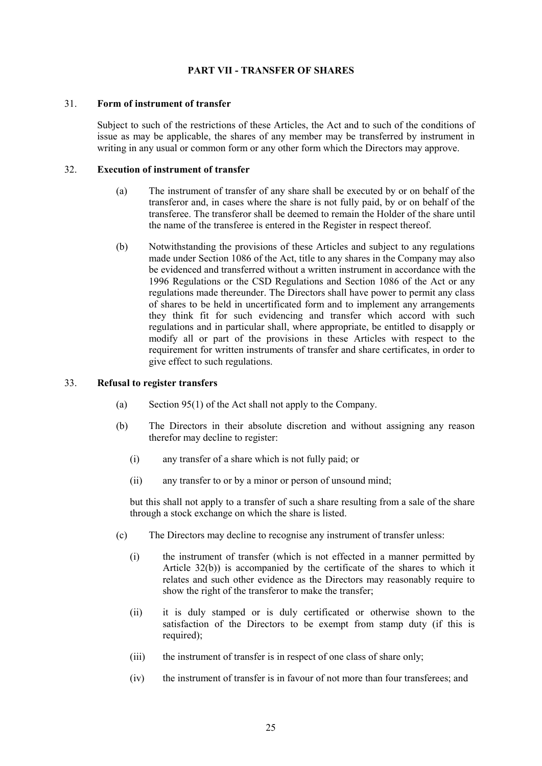# **PART VII - TRANSFER OF SHARES**

### 31. **Form of instrument of transfer**

Subject to such of the restrictions of these Articles, the Act and to such of the conditions of issue as may be applicable, the shares of any member may be transferred by instrument in writing in any usual or common form or any other form which the Directors may approve.

### 32. **Execution of instrument of transfer**

- (a) The instrument of transfer of any share shall be executed by or on behalf of the transferor and, in cases where the share is not fully paid, by or on behalf of the transferee. The transferor shall be deemed to remain the Holder of the share until the name of the transferee is entered in the Register in respect thereof.
- (b) Notwithstanding the provisions of these Articles and subject to any regulations made under Section 1086 of the Act, title to any shares in the Company may also be evidenced and transferred without a written instrument in accordance with the 1996 Regulations or the CSD Regulations and Section 1086 of the Act or any regulations made thereunder. The Directors shall have power to permit any class of shares to be held in uncertificated form and to implement any arrangements they think fit for such evidencing and transfer which accord with such regulations and in particular shall, where appropriate, be entitled to disapply or modify all or part of the provisions in these Articles with respect to the requirement for written instruments of transfer and share certificates, in order to give effect to such regulations.

#### 33. **Refusal to register transfers**

- (a) Section 95(1) of the Act shall not apply to the Company.
- (b) The Directors in their absolute discretion and without assigning any reason therefor may decline to register:
	- (i) any transfer of a share which is not fully paid; or
	- (ii) any transfer to or by a minor or person of unsound mind;

but this shall not apply to a transfer of such a share resulting from a sale of the share through a stock exchange on which the share is listed.

- (c) The Directors may decline to recognise any instrument of transfer unless:
	- (i) the instrument of transfer (which is not effected in a manner permitted by Article 32(b)) is accompanied by the certificate of the shares to which it relates and such other evidence as the Directors may reasonably require to show the right of the transferor to make the transfer;
	- (ii) it is duly stamped or is duly certificated or otherwise shown to the satisfaction of the Directors to be exempt from stamp duty (if this is required);
	- (iii) the instrument of transfer is in respect of one class of share only;
	- (iv) the instrument of transfer is in favour of not more than four transferees; and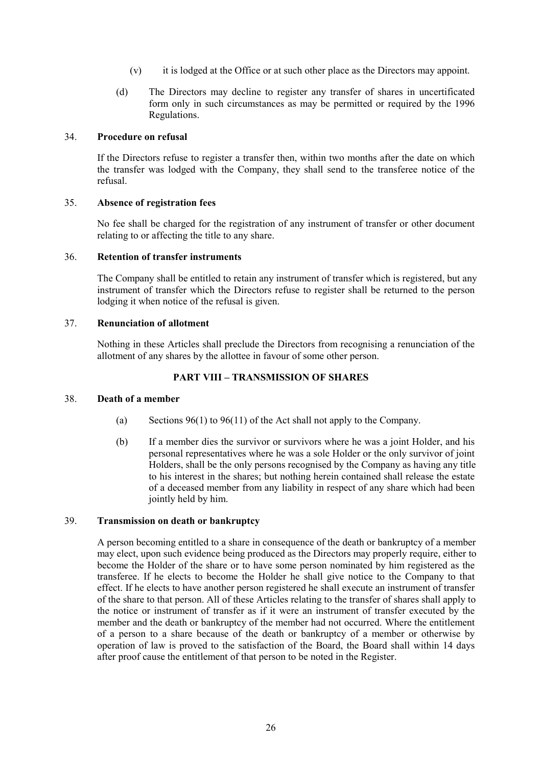- (v) it is lodged at the Office or at such other place as the Directors may appoint.
- (d) The Directors may decline to register any transfer of shares in uncertificated form only in such circumstances as may be permitted or required by the 1996 Regulations.

### 34. **Procedure on refusal**

If the Directors refuse to register a transfer then, within two months after the date on which the transfer was lodged with the Company, they shall send to the transferee notice of the refusal.

### 35. **Absence of registration fees**

No fee shall be charged for the registration of any instrument of transfer or other document relating to or affecting the title to any share.

#### 36. **Retention of transfer instruments**

The Company shall be entitled to retain any instrument of transfer which is registered, but any instrument of transfer which the Directors refuse to register shall be returned to the person lodging it when notice of the refusal is given.

### 37. **Renunciation of allotment**

Nothing in these Articles shall preclude the Directors from recognising a renunciation of the allotment of any shares by the allottee in favour of some other person.

# **PART VIII – TRANSMISSION OF SHARES**

### 38. **Death of a member**

- (a) Sections  $96(1)$  to  $96(11)$  of the Act shall not apply to the Company.
- (b) If a member dies the survivor or survivors where he was a joint Holder, and his personal representatives where he was a sole Holder or the only survivor of joint Holders, shall be the only persons recognised by the Company as having any title to his interest in the shares; but nothing herein contained shall release the estate of a deceased member from any liability in respect of any share which had been jointly held by him.

### 39. **Transmission on death or bankruptcy**

A person becoming entitled to a share in consequence of the death or bankruptcy of a member may elect, upon such evidence being produced as the Directors may properly require, either to become the Holder of the share or to have some person nominated by him registered as the transferee. If he elects to become the Holder he shall give notice to the Company to that effect. If he elects to have another person registered he shall execute an instrument of transfer of the share to that person. All of these Articles relating to the transfer of shares shall apply to the notice or instrument of transfer as if it were an instrument of transfer executed by the member and the death or bankruptcy of the member had not occurred. Where the entitlement of a person to a share because of the death or bankruptcy of a member or otherwise by operation of law is proved to the satisfaction of the Board, the Board shall within 14 days after proof cause the entitlement of that person to be noted in the Register.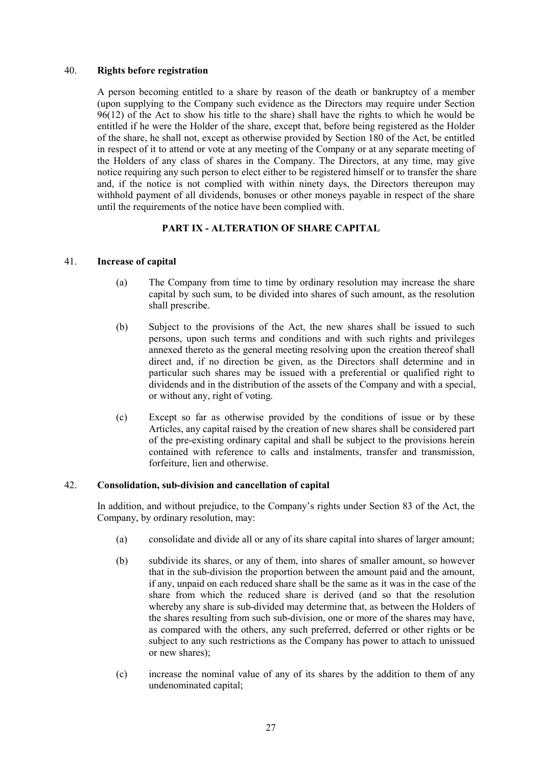### 40. **Rights before registration**

A person becoming entitled to a share by reason of the death or bankruptcy of a member (upon supplying to the Company such evidence as the Directors may require under Section 96(12) of the Act to show his title to the share) shall have the rights to which he would be entitled if he were the Holder of the share, except that, before being registered as the Holder of the share, he shall not, except as otherwise provided by Section 180 of the Act, be entitled in respect of it to attend or vote at any meeting of the Company or at any separate meeting of the Holders of any class of shares in the Company. The Directors, at any time, may give notice requiring any such person to elect either to be registered himself or to transfer the share and, if the notice is not complied with within ninety days, the Directors thereupon may withhold payment of all dividends, bonuses or other moneys payable in respect of the share until the requirements of the notice have been complied with.

# **PART IX - ALTERATION OF SHARE CAPITAL**

### 41. **Increase of capital**

- (a) The Company from time to time by ordinary resolution may increase the share capital by such sum, to be divided into shares of such amount, as the resolution shall prescribe.
- (b) Subject to the provisions of the Act, the new shares shall be issued to such persons, upon such terms and conditions and with such rights and privileges annexed thereto as the general meeting resolving upon the creation thereof shall direct and, if no direction be given, as the Directors shall determine and in particular such shares may be issued with a preferential or qualified right to dividends and in the distribution of the assets of the Company and with a special, or without any, right of voting.
- (c) Except so far as otherwise provided by the conditions of issue or by these Articles, any capital raised by the creation of new shares shall be considered part of the pre-existing ordinary capital and shall be subject to the provisions herein contained with reference to calls and instalments, transfer and transmission, forfeiture, lien and otherwise.

# 42. **Consolidation, sub-division and cancellation of capital**

In addition, and without prejudice, to the Company's rights under Section 83 of the Act, the Company, by ordinary resolution, may:

- (a) consolidate and divide all or any of its share capital into shares of larger amount;
- (b) subdivide its shares, or any of them, into shares of smaller amount, so however that in the sub-division the proportion between the amount paid and the amount, if any, unpaid on each reduced share shall be the same as it was in the case of the share from which the reduced share is derived (and so that the resolution whereby any share is sub-divided may determine that, as between the Holders of the shares resulting from such sub-division, one or more of the shares may have, as compared with the others, any such preferred, deferred or other rights or be subject to any such restrictions as the Company has power to attach to unissued or new shares);
- (c) increase the nominal value of any of its shares by the addition to them of any undenominated capital;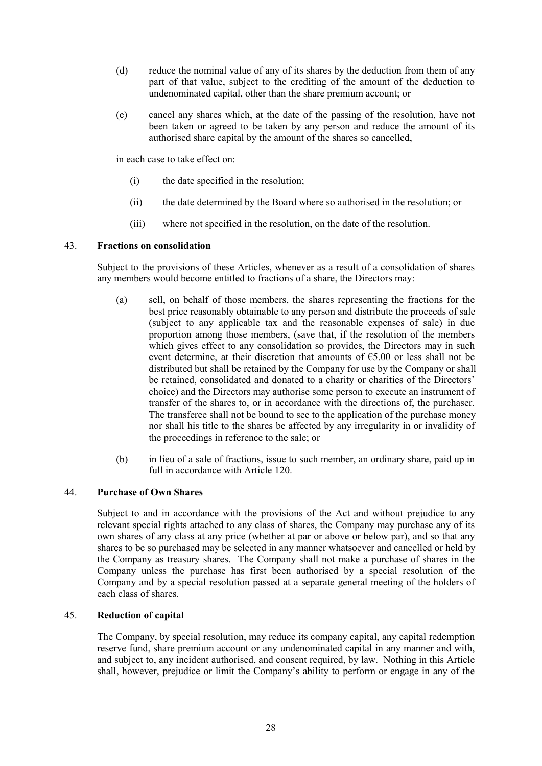- (d) reduce the nominal value of any of its shares by the deduction from them of any part of that value, subject to the crediting of the amount of the deduction to undenominated capital, other than the share premium account; or
- (e) cancel any shares which, at the date of the passing of the resolution, have not been taken or agreed to be taken by any person and reduce the amount of its authorised share capital by the amount of the shares so cancelled,

in each case to take effect on:

- (i) the date specified in the resolution;
- (ii) the date determined by the Board where so authorised in the resolution; or
- (iii) where not specified in the resolution, on the date of the resolution.

### 43. **Fractions on consolidation**

Subject to the provisions of these Articles, whenever as a result of a consolidation of shares any members would become entitled to fractions of a share, the Directors may:

- (a) sell, on behalf of those members, the shares representing the fractions for the best price reasonably obtainable to any person and distribute the proceeds of sale (subject to any applicable tax and the reasonable expenses of sale) in due proportion among those members, (save that, if the resolution of the members which gives effect to any consolidation so provides, the Directors may in such event determine, at their discretion that amounts of  $\epsilon$ 5.00 or less shall not be distributed but shall be retained by the Company for use by the Company or shall be retained, consolidated and donated to a charity or charities of the Directors' choice) and the Directors may authorise some person to execute an instrument of transfer of the shares to, or in accordance with the directions of, the purchaser. The transferee shall not be bound to see to the application of the purchase money nor shall his title to the shares be affected by any irregularity in or invalidity of the proceedings in reference to the sale; or
- (b) in lieu of a sale of fractions, issue to such member, an ordinary share, paid up in full in accordance with Article 120.

### 44. **Purchase of Own Shares**

Subject to and in accordance with the provisions of the Act and without prejudice to any relevant special rights attached to any class of shares, the Company may purchase any of its own shares of any class at any price (whether at par or above or below par), and so that any shares to be so purchased may be selected in any manner whatsoever and cancelled or held by the Company as treasury shares. The Company shall not make a purchase of shares in the Company unless the purchase has first been authorised by a special resolution of the Company and by a special resolution passed at a separate general meeting of the holders of each class of shares.

#### 45. **Reduction of capital**

The Company, by special resolution, may reduce its company capital, any capital redemption reserve fund, share premium account or any undenominated capital in any manner and with, and subject to, any incident authorised, and consent required, by law. Nothing in this Article shall, however, prejudice or limit the Company's ability to perform or engage in any of the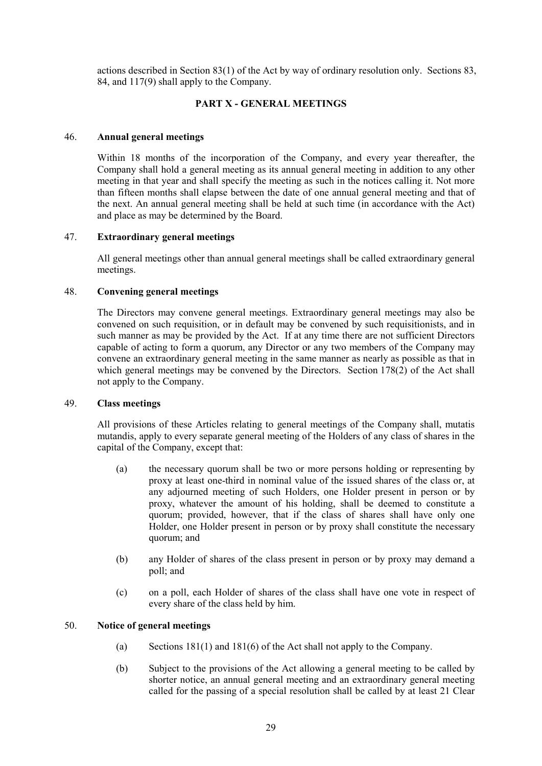actions described in Section 83(1) of the Act by way of ordinary resolution only. Sections 83, 84, and 117(9) shall apply to the Company.

# **PART X - GENERAL MEETINGS**

# 46. **Annual general meetings**

Within 18 months of the incorporation of the Company, and every year thereafter, the Company shall hold a general meeting as its annual general meeting in addition to any other meeting in that year and shall specify the meeting as such in the notices calling it. Not more than fifteen months shall elapse between the date of one annual general meeting and that of the next. An annual general meeting shall be held at such time (in accordance with the Act) and place as may be determined by the Board.

# 47. **Extraordinary general meetings**

All general meetings other than annual general meetings shall be called extraordinary general meetings.

# 48. **Convening general meetings**

The Directors may convene general meetings. Extraordinary general meetings may also be convened on such requisition, or in default may be convened by such requisitionists, and in such manner as may be provided by the Act. If at any time there are not sufficient Directors capable of acting to form a quorum, any Director or any two members of the Company may convene an extraordinary general meeting in the same manner as nearly as possible as that in which general meetings may be convened by the Directors. Section 178(2) of the Act shall not apply to the Company.

# 49. **Class meetings**

All provisions of these Articles relating to general meetings of the Company shall, mutatis mutandis, apply to every separate general meeting of the Holders of any class of shares in the capital of the Company, except that:

- (a) the necessary quorum shall be two or more persons holding or representing by proxy at least one-third in nominal value of the issued shares of the class or, at any adjourned meeting of such Holders, one Holder present in person or by proxy, whatever the amount of his holding, shall be deemed to constitute a quorum; provided, however, that if the class of shares shall have only one Holder, one Holder present in person or by proxy shall constitute the necessary quorum; and
- (b) any Holder of shares of the class present in person or by proxy may demand a poll; and
- (c) on a poll, each Holder of shares of the class shall have one vote in respect of every share of the class held by him.

# 50. **Notice of general meetings**

- (a) Sections 181(1) and 181(6) of the Act shall not apply to the Company.
- (b) Subject to the provisions of the Act allowing a general meeting to be called by shorter notice, an annual general meeting and an extraordinary general meeting called for the passing of a special resolution shall be called by at least 21 Clear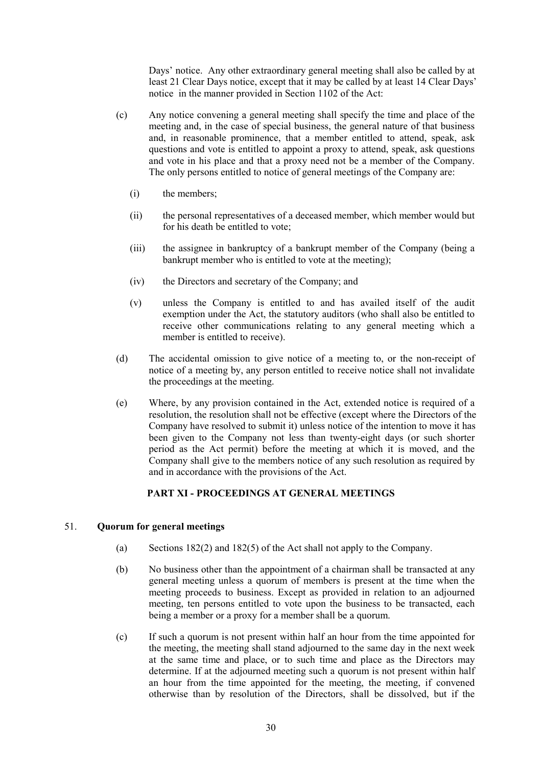Days' notice. Any other extraordinary general meeting shall also be called by at least 21 Clear Days notice, except that it may be called by at least 14 Clear Days' notice in the manner provided in Section 1102 of the Act:

- (c) Any notice convening a general meeting shall specify the time and place of the meeting and, in the case of special business, the general nature of that business and, in reasonable prominence, that a member entitled to attend, speak, ask questions and vote is entitled to appoint a proxy to attend, speak, ask questions and vote in his place and that a proxy need not be a member of the Company. The only persons entitled to notice of general meetings of the Company are:
	- (i) the members;
	- (ii) the personal representatives of a deceased member, which member would but for his death be entitled to vote;
	- (iii) the assignee in bankruptcy of a bankrupt member of the Company (being a bankrupt member who is entitled to vote at the meeting);
	- (iv) the Directors and secretary of the Company; and
	- (v) unless the Company is entitled to and has availed itself of the audit exemption under the Act, the statutory auditors (who shall also be entitled to receive other communications relating to any general meeting which a member is entitled to receive).
- (d) The accidental omission to give notice of a meeting to, or the non-receipt of notice of a meeting by, any person entitled to receive notice shall not invalidate the proceedings at the meeting.
- (e) Where, by any provision contained in the Act, extended notice is required of a resolution, the resolution shall not be effective (except where the Directors of the Company have resolved to submit it) unless notice of the intention to move it has been given to the Company not less than twenty-eight days (or such shorter period as the Act permit) before the meeting at which it is moved, and the Company shall give to the members notice of any such resolution as required by and in accordance with the provisions of the Act.

# **PART XI - PROCEEDINGS AT GENERAL MEETINGS**

# 51. **Quorum for general meetings**

- (a) Sections 182(2) and 182(5) of the Act shall not apply to the Company.
- (b) No business other than the appointment of a chairman shall be transacted at any general meeting unless a quorum of members is present at the time when the meeting proceeds to business. Except as provided in relation to an adjourned meeting, ten persons entitled to vote upon the business to be transacted, each being a member or a proxy for a member shall be a quorum.
- (c) If such a quorum is not present within half an hour from the time appointed for the meeting, the meeting shall stand adjourned to the same day in the next week at the same time and place, or to such time and place as the Directors may determine. If at the adjourned meeting such a quorum is not present within half an hour from the time appointed for the meeting, the meeting, if convened otherwise than by resolution of the Directors, shall be dissolved, but if the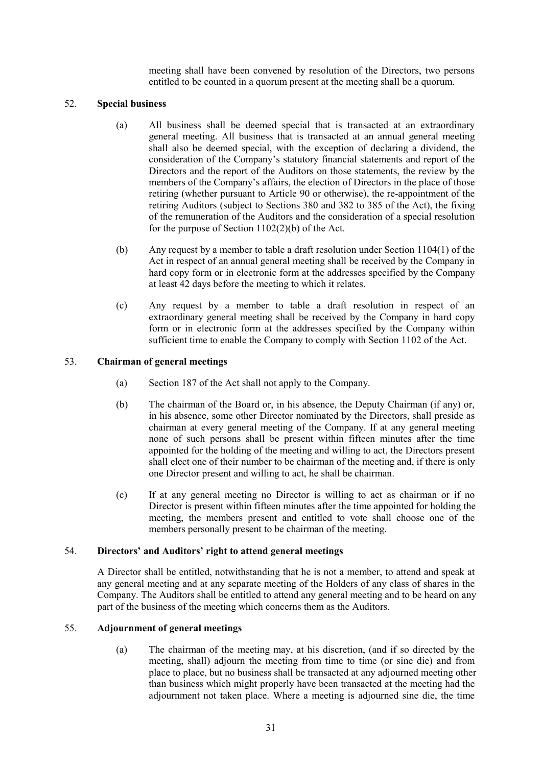meeting shall have been convened by resolution of the Directors, two persons entitled to be counted in a quorum present at the meeting shall be a quorum.

# 52. **Special business**

- (a) All business shall be deemed special that is transacted at an extraordinary general meeting. All business that is transacted at an annual general meeting shall also be deemed special, with the exception of declaring a dividend, the consideration of the Company's statutory financial statements and report of the Directors and the report of the Auditors on those statements, the review by the members of the Company's affairs, the election of Directors in the place of those retiring (whether pursuant to Article 90 or otherwise), the re-appointment of the retiring Auditors (subject to Sections 380 and 382 to 385 of the Act), the fixing of the remuneration of the Auditors and the consideration of a special resolution for the purpose of Section 1102(2)(b) of the Act.
- (b) Any request by a member to table a draft resolution under Section 1104(1) of the Act in respect of an annual general meeting shall be received by the Company in hard copy form or in electronic form at the addresses specified by the Company at least 42 days before the meeting to which it relates.
- (c) Any request by a member to table a draft resolution in respect of an extraordinary general meeting shall be received by the Company in hard copy form or in electronic form at the addresses specified by the Company within sufficient time to enable the Company to comply with Section 1102 of the Act.

### 53. **Chairman of general meetings**

- (a) Section 187 of the Act shall not apply to the Company.
- (b) The chairman of the Board or, in his absence, the Deputy Chairman (if any) or, in his absence, some other Director nominated by the Directors, shall preside as chairman at every general meeting of the Company. If at any general meeting none of such persons shall be present within fifteen minutes after the time appointed for the holding of the meeting and willing to act, the Directors present shall elect one of their number to be chairman of the meeting and, if there is only one Director present and willing to act, he shall be chairman.
- (c) If at any general meeting no Director is willing to act as chairman or if no Director is present within fifteen minutes after the time appointed for holding the meeting, the members present and entitled to vote shall choose one of the members personally present to be chairman of the meeting.

#### 54. **Directors' and Auditors' right to attend general meetings**

A Director shall be entitled, notwithstanding that he is not a member, to attend and speak at any general meeting and at any separate meeting of the Holders of any class of shares in the Company. The Auditors shall be entitled to attend any general meeting and to be heard on any part of the business of the meeting which concerns them as the Auditors.

# 55. **Adjournment of general meetings**

(a) The chairman of the meeting may, at his discretion, (and if so directed by the meeting, shall) adjourn the meeting from time to time (or sine die) and from place to place, but no business shall be transacted at any adjourned meeting other than business which might properly have been transacted at the meeting had the adjournment not taken place. Where a meeting is adjourned sine die, the time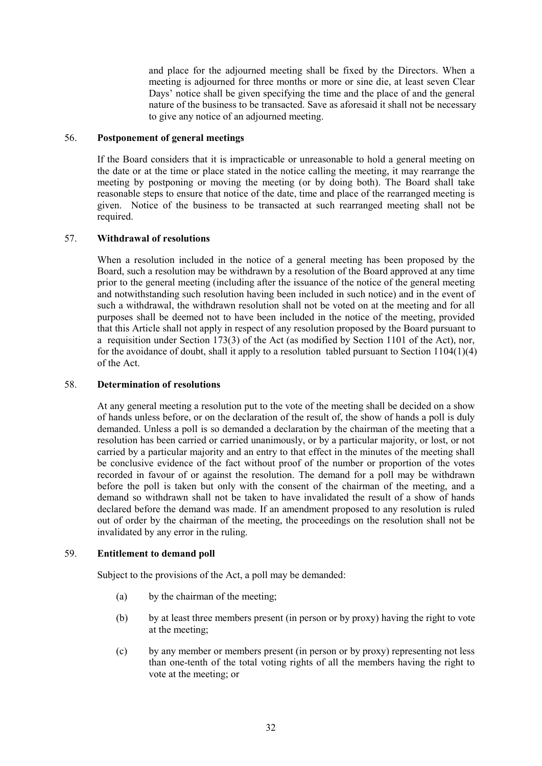and place for the adjourned meeting shall be fixed by the Directors. When a meeting is adjourned for three months or more or sine die, at least seven Clear Days' notice shall be given specifying the time and the place of and the general nature of the business to be transacted. Save as aforesaid it shall not be necessary to give any notice of an adjourned meeting.

# 56. **Postponement of general meetings**

If the Board considers that it is impracticable or unreasonable to hold a general meeting on the date or at the time or place stated in the notice calling the meeting, it may rearrange the meeting by postponing or moving the meeting (or by doing both). The Board shall take reasonable steps to ensure that notice of the date, time and place of the rearranged meeting is given. Notice of the business to be transacted at such rearranged meeting shall not be required.

# 57. **Withdrawal of resolutions**

When a resolution included in the notice of a general meeting has been proposed by the Board, such a resolution may be withdrawn by a resolution of the Board approved at any time prior to the general meeting (including after the issuance of the notice of the general meeting and notwithstanding such resolution having been included in such notice) and in the event of such a withdrawal, the withdrawn resolution shall not be voted on at the meeting and for all purposes shall be deemed not to have been included in the notice of the meeting, provided that this Article shall not apply in respect of any resolution proposed by the Board pursuant to a requisition under Section 173(3) of the Act (as modified by Section 1101 of the Act), nor, for the avoidance of doubt, shall it apply to a resolution tabled pursuant to Section 1104(1)(4) of the Act.

# 58. **Determination of resolutions**

At any general meeting a resolution put to the vote of the meeting shall be decided on a show of hands unless before, or on the declaration of the result of, the show of hands a poll is duly demanded. Unless a poll is so demanded a declaration by the chairman of the meeting that a resolution has been carried or carried unanimously, or by a particular majority, or lost, or not carried by a particular majority and an entry to that effect in the minutes of the meeting shall be conclusive evidence of the fact without proof of the number or proportion of the votes recorded in favour of or against the resolution. The demand for a poll may be withdrawn before the poll is taken but only with the consent of the chairman of the meeting, and a demand so withdrawn shall not be taken to have invalidated the result of a show of hands declared before the demand was made. If an amendment proposed to any resolution is ruled out of order by the chairman of the meeting, the proceedings on the resolution shall not be invalidated by any error in the ruling.

# 59. **Entitlement to demand poll**

Subject to the provisions of the Act, a poll may be demanded:

- (a) by the chairman of the meeting;
- (b) by at least three members present (in person or by proxy) having the right to vote at the meeting;
- (c) by any member or members present (in person or by proxy) representing not less than one-tenth of the total voting rights of all the members having the right to vote at the meeting; or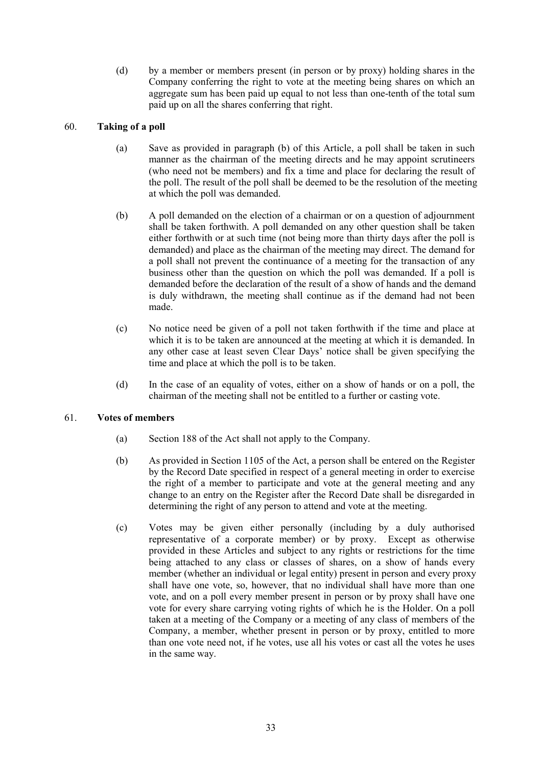(d) by a member or members present (in person or by proxy) holding shares in the Company conferring the right to vote at the meeting being shares on which an aggregate sum has been paid up equal to not less than one-tenth of the total sum paid up on all the shares conferring that right.

# 60. **Taking of a poll**

- (a) Save as provided in paragraph (b) of this Article, a poll shall be taken in such manner as the chairman of the meeting directs and he may appoint scrutineers (who need not be members) and fix a time and place for declaring the result of the poll. The result of the poll shall be deemed to be the resolution of the meeting at which the poll was demanded.
- (b) A poll demanded on the election of a chairman or on a question of adjournment shall be taken forthwith. A poll demanded on any other question shall be taken either forthwith or at such time (not being more than thirty days after the poll is demanded) and place as the chairman of the meeting may direct. The demand for a poll shall not prevent the continuance of a meeting for the transaction of any business other than the question on which the poll was demanded. If a poll is demanded before the declaration of the result of a show of hands and the demand is duly withdrawn, the meeting shall continue as if the demand had not been made.
- (c) No notice need be given of a poll not taken forthwith if the time and place at which it is to be taken are announced at the meeting at which it is demanded. In any other case at least seven Clear Days' notice shall be given specifying the time and place at which the poll is to be taken.
- (d) In the case of an equality of votes, either on a show of hands or on a poll, the chairman of the meeting shall not be entitled to a further or casting vote.

# 61. **Votes of members**

- (a) Section 188 of the Act shall not apply to the Company.
- (b) As provided in Section 1105 of the Act, a person shall be entered on the Register by the Record Date specified in respect of a general meeting in order to exercise the right of a member to participate and vote at the general meeting and any change to an entry on the Register after the Record Date shall be disregarded in determining the right of any person to attend and vote at the meeting.
- (c) Votes may be given either personally (including by a duly authorised representative of a corporate member) or by proxy. Except as otherwise provided in these Articles and subject to any rights or restrictions for the time being attached to any class or classes of shares, on a show of hands every member (whether an individual or legal entity) present in person and every proxy shall have one vote, so, however, that no individual shall have more than one vote, and on a poll every member present in person or by proxy shall have one vote for every share carrying voting rights of which he is the Holder. On a poll taken at a meeting of the Company or a meeting of any class of members of the Company, a member, whether present in person or by proxy, entitled to more than one vote need not, if he votes, use all his votes or cast all the votes he uses in the same way.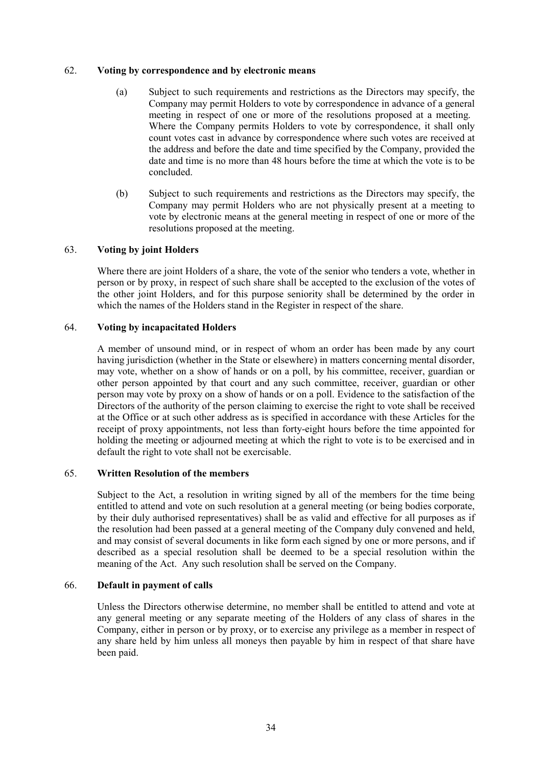# 62. **Voting by correspondence and by electronic means**

- (a) Subject to such requirements and restrictions as the Directors may specify, the Company may permit Holders to vote by correspondence in advance of a general meeting in respect of one or more of the resolutions proposed at a meeting. Where the Company permits Holders to vote by correspondence, it shall only count votes cast in advance by correspondence where such votes are received at the address and before the date and time specified by the Company, provided the date and time is no more than 48 hours before the time at which the vote is to be concluded.
- (b) Subject to such requirements and restrictions as the Directors may specify, the Company may permit Holders who are not physically present at a meeting to vote by electronic means at the general meeting in respect of one or more of the resolutions proposed at the meeting.

# 63. **Voting by joint Holders**

Where there are joint Holders of a share, the vote of the senior who tenders a vote, whether in person or by proxy, in respect of such share shall be accepted to the exclusion of the votes of the other joint Holders, and for this purpose seniority shall be determined by the order in which the names of the Holders stand in the Register in respect of the share.

# 64. **Voting by incapacitated Holders**

A member of unsound mind, or in respect of whom an order has been made by any court having jurisdiction (whether in the State or elsewhere) in matters concerning mental disorder, may vote, whether on a show of hands or on a poll, by his committee, receiver, guardian or other person appointed by that court and any such committee, receiver, guardian or other person may vote by proxy on a show of hands or on a poll. Evidence to the satisfaction of the Directors of the authority of the person claiming to exercise the right to vote shall be received at the Office or at such other address as is specified in accordance with these Articles for the receipt of proxy appointments, not less than forty-eight hours before the time appointed for holding the meeting or adjourned meeting at which the right to vote is to be exercised and in default the right to vote shall not be exercisable.

# 65. **Written Resolution of the members**

Subject to the Act, a resolution in writing signed by all of the members for the time being entitled to attend and vote on such resolution at a general meeting (or being bodies corporate, by their duly authorised representatives) shall be as valid and effective for all purposes as if the resolution had been passed at a general meeting of the Company duly convened and held, and may consist of several documents in like form each signed by one or more persons, and if described as a special resolution shall be deemed to be a special resolution within the meaning of the Act. Any such resolution shall be served on the Company.

# 66. **Default in payment of calls**

Unless the Directors otherwise determine, no member shall be entitled to attend and vote at any general meeting or any separate meeting of the Holders of any class of shares in the Company, either in person or by proxy, or to exercise any privilege as a member in respect of any share held by him unless all moneys then payable by him in respect of that share have been paid.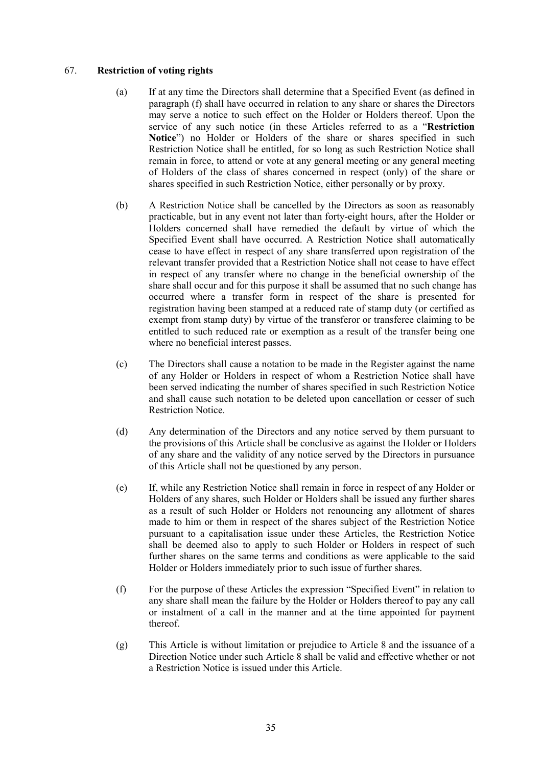# 67. **Restriction of voting rights**

- (a) If at any time the Directors shall determine that a Specified Event (as defined in paragraph (f) shall have occurred in relation to any share or shares the Directors may serve a notice to such effect on the Holder or Holders thereof. Upon the service of any such notice (in these Articles referred to as a "**Restriction Notice**") no Holder or Holders of the share or shares specified in such Restriction Notice shall be entitled, for so long as such Restriction Notice shall remain in force, to attend or vote at any general meeting or any general meeting of Holders of the class of shares concerned in respect (only) of the share or shares specified in such Restriction Notice, either personally or by proxy.
- (b) A Restriction Notice shall be cancelled by the Directors as soon as reasonably practicable, but in any event not later than forty-eight hours, after the Holder or Holders concerned shall have remedied the default by virtue of which the Specified Event shall have occurred. A Restriction Notice shall automatically cease to have effect in respect of any share transferred upon registration of the relevant transfer provided that a Restriction Notice shall not cease to have effect in respect of any transfer where no change in the beneficial ownership of the share shall occur and for this purpose it shall be assumed that no such change has occurred where a transfer form in respect of the share is presented for registration having been stamped at a reduced rate of stamp duty (or certified as exempt from stamp duty) by virtue of the transferor or transferee claiming to be entitled to such reduced rate or exemption as a result of the transfer being one where no beneficial interest passes.
- (c) The Directors shall cause a notation to be made in the Register against the name of any Holder or Holders in respect of whom a Restriction Notice shall have been served indicating the number of shares specified in such Restriction Notice and shall cause such notation to be deleted upon cancellation or cesser of such Restriction Notice.
- (d) Any determination of the Directors and any notice served by them pursuant to the provisions of this Article shall be conclusive as against the Holder or Holders of any share and the validity of any notice served by the Directors in pursuance of this Article shall not be questioned by any person.
- (e) If, while any Restriction Notice shall remain in force in respect of any Holder or Holders of any shares, such Holder or Holders shall be issued any further shares as a result of such Holder or Holders not renouncing any allotment of shares made to him or them in respect of the shares subject of the Restriction Notice pursuant to a capitalisation issue under these Articles, the Restriction Notice shall be deemed also to apply to such Holder or Holders in respect of such further shares on the same terms and conditions as were applicable to the said Holder or Holders immediately prior to such issue of further shares.
- (f) For the purpose of these Articles the expression "Specified Event" in relation to any share shall mean the failure by the Holder or Holders thereof to pay any call or instalment of a call in the manner and at the time appointed for payment thereof.
- (g) This Article is without limitation or prejudice to Article 8 and the issuance of a Direction Notice under such Article 8 shall be valid and effective whether or not a Restriction Notice is issued under this Article.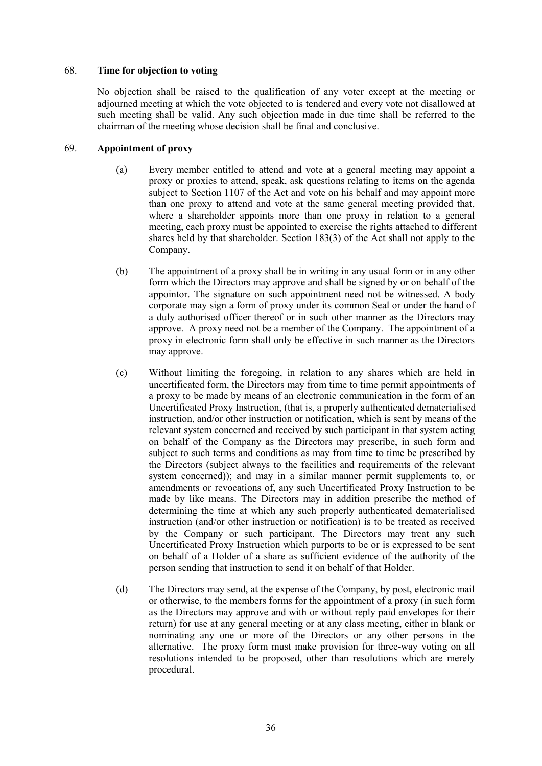# 68. **Time for objection to voting**

No objection shall be raised to the qualification of any voter except at the meeting or adjourned meeting at which the vote objected to is tendered and every vote not disallowed at such meeting shall be valid. Any such objection made in due time shall be referred to the chairman of the meeting whose decision shall be final and conclusive.

# 69. **Appointment of proxy**

- (a) Every member entitled to attend and vote at a general meeting may appoint a proxy or proxies to attend, speak, ask questions relating to items on the agenda subject to Section 1107 of the Act and vote on his behalf and may appoint more than one proxy to attend and vote at the same general meeting provided that, where a shareholder appoints more than one proxy in relation to a general meeting, each proxy must be appointed to exercise the rights attached to different shares held by that shareholder. Section 183(3) of the Act shall not apply to the Company.
- (b) The appointment of a proxy shall be in writing in any usual form or in any other form which the Directors may approve and shall be signed by or on behalf of the appointor. The signature on such appointment need not be witnessed. A body corporate may sign a form of proxy under its common Seal or under the hand of a duly authorised officer thereof or in such other manner as the Directors may approve. A proxy need not be a member of the Company. The appointment of a proxy in electronic form shall only be effective in such manner as the Directors may approve.
- (c) Without limiting the foregoing, in relation to any shares which are held in uncertificated form, the Directors may from time to time permit appointments of a proxy to be made by means of an electronic communication in the form of an Uncertificated Proxy Instruction, (that is, a properly authenticated dematerialised instruction, and/or other instruction or notification, which is sent by means of the relevant system concerned and received by such participant in that system acting on behalf of the Company as the Directors may prescribe, in such form and subject to such terms and conditions as may from time to time be prescribed by the Directors (subject always to the facilities and requirements of the relevant system concerned)); and may in a similar manner permit supplements to, or amendments or revocations of, any such Uncertificated Proxy Instruction to be made by like means. The Directors may in addition prescribe the method of determining the time at which any such properly authenticated dematerialised instruction (and/or other instruction or notification) is to be treated as received by the Company or such participant. The Directors may treat any such Uncertificated Proxy Instruction which purports to be or is expressed to be sent on behalf of a Holder of a share as sufficient evidence of the authority of the person sending that instruction to send it on behalf of that Holder.
- (d) The Directors may send, at the expense of the Company, by post, electronic mail or otherwise, to the members forms for the appointment of a proxy (in such form as the Directors may approve and with or without reply paid envelopes for their return) for use at any general meeting or at any class meeting, either in blank or nominating any one or more of the Directors or any other persons in the alternative. The proxy form must make provision for three-way voting on all resolutions intended to be proposed, other than resolutions which are merely procedural.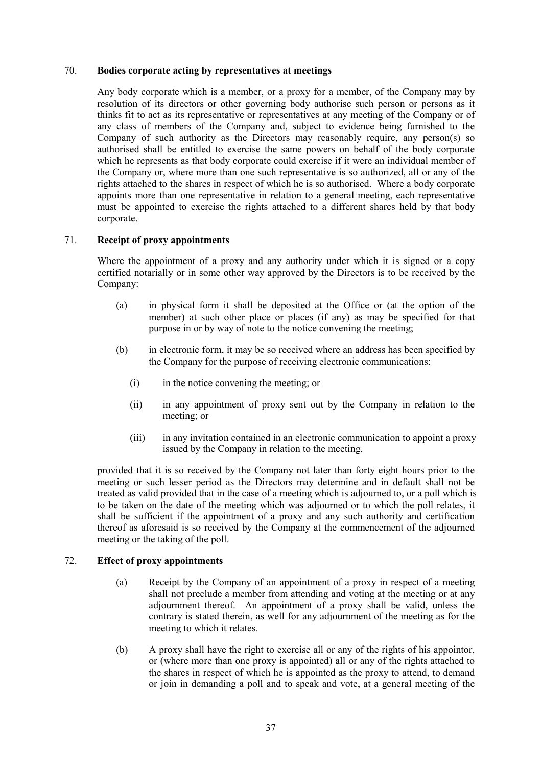### 70. **Bodies corporate acting by representatives at meetings**

Any body corporate which is a member, or a proxy for a member, of the Company may by resolution of its directors or other governing body authorise such person or persons as it thinks fit to act as its representative or representatives at any meeting of the Company or of any class of members of the Company and, subject to evidence being furnished to the Company of such authority as the Directors may reasonably require, any person(s) so authorised shall be entitled to exercise the same powers on behalf of the body corporate which he represents as that body corporate could exercise if it were an individual member of the Company or, where more than one such representative is so authorized, all or any of the rights attached to the shares in respect of which he is so authorised. Where a body corporate appoints more than one representative in relation to a general meeting, each representative must be appointed to exercise the rights attached to a different shares held by that body corporate.

# 71. **Receipt of proxy appointments**

Where the appointment of a proxy and any authority under which it is signed or a copy certified notarially or in some other way approved by the Directors is to be received by the Company:

- (a) in physical form it shall be deposited at the Office or (at the option of the member) at such other place or places (if any) as may be specified for that purpose in or by way of note to the notice convening the meeting;
- (b) in electronic form, it may be so received where an address has been specified by the Company for the purpose of receiving electronic communications:
	- (i) in the notice convening the meeting; or
	- (ii) in any appointment of proxy sent out by the Company in relation to the meeting; or
	- (iii) in any invitation contained in an electronic communication to appoint a proxy issued by the Company in relation to the meeting,

provided that it is so received by the Company not later than forty eight hours prior to the meeting or such lesser period as the Directors may determine and in default shall not be treated as valid provided that in the case of a meeting which is adjourned to, or a poll which is to be taken on the date of the meeting which was adjourned or to which the poll relates, it shall be sufficient if the appointment of a proxy and any such authority and certification thereof as aforesaid is so received by the Company at the commencement of the adjourned meeting or the taking of the poll.

#### 72. **Effect of proxy appointments**

- (a) Receipt by the Company of an appointment of a proxy in respect of a meeting shall not preclude a member from attending and voting at the meeting or at any adjournment thereof. An appointment of a proxy shall be valid, unless the contrary is stated therein, as well for any adjournment of the meeting as for the meeting to which it relates.
- (b) A proxy shall have the right to exercise all or any of the rights of his appointor, or (where more than one proxy is appointed) all or any of the rights attached to the shares in respect of which he is appointed as the proxy to attend, to demand or join in demanding a poll and to speak and vote, at a general meeting of the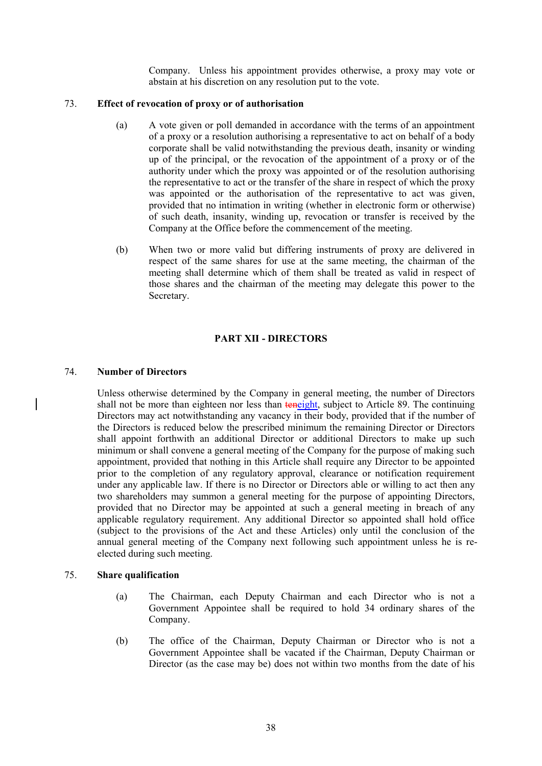Company. Unless his appointment provides otherwise, a proxy may vote or abstain at his discretion on any resolution put to the vote.

### 73. **Effect of revocation of proxy or of authorisation**

- (a) A vote given or poll demanded in accordance with the terms of an appointment of a proxy or a resolution authorising a representative to act on behalf of a body corporate shall be valid notwithstanding the previous death, insanity or winding up of the principal, or the revocation of the appointment of a proxy or of the authority under which the proxy was appointed or of the resolution authorising the representative to act or the transfer of the share in respect of which the proxy was appointed or the authorisation of the representative to act was given, provided that no intimation in writing (whether in electronic form or otherwise) of such death, insanity, winding up, revocation or transfer is received by the Company at the Office before the commencement of the meeting.
- (b) When two or more valid but differing instruments of proxy are delivered in respect of the same shares for use at the same meeting, the chairman of the meeting shall determine which of them shall be treated as valid in respect of those shares and the chairman of the meeting may delegate this power to the Secretary.

# **PART XII - DIRECTORS**

#### 74. **Number of Directors**

 $\overline{\phantom{a}}$ 

Unless otherwise determined by the Company in general meeting, the number of Directors shall not be more than eighteen nor less than teneight, subject to Article 89. The continuing Directors may act notwithstanding any vacancy in their body, provided that if the number of the Directors is reduced below the prescribed minimum the remaining Director or Directors shall appoint forthwith an additional Director or additional Directors to make up such minimum or shall convene a general meeting of the Company for the purpose of making such appointment, provided that nothing in this Article shall require any Director to be appointed prior to the completion of any regulatory approval, clearance or notification requirement under any applicable law. If there is no Director or Directors able or willing to act then any two shareholders may summon a general meeting for the purpose of appointing Directors, provided that no Director may be appointed at such a general meeting in breach of any applicable regulatory requirement. Any additional Director so appointed shall hold office (subject to the provisions of the Act and these Articles) only until the conclusion of the annual general meeting of the Company next following such appointment unless he is reelected during such meeting.

#### 75. **Share qualification**

- (a) The Chairman, each Deputy Chairman and each Director who is not a Government Appointee shall be required to hold 34 ordinary shares of the Company.
- (b) The office of the Chairman, Deputy Chairman or Director who is not a Government Appointee shall be vacated if the Chairman, Deputy Chairman or Director (as the case may be) does not within two months from the date of his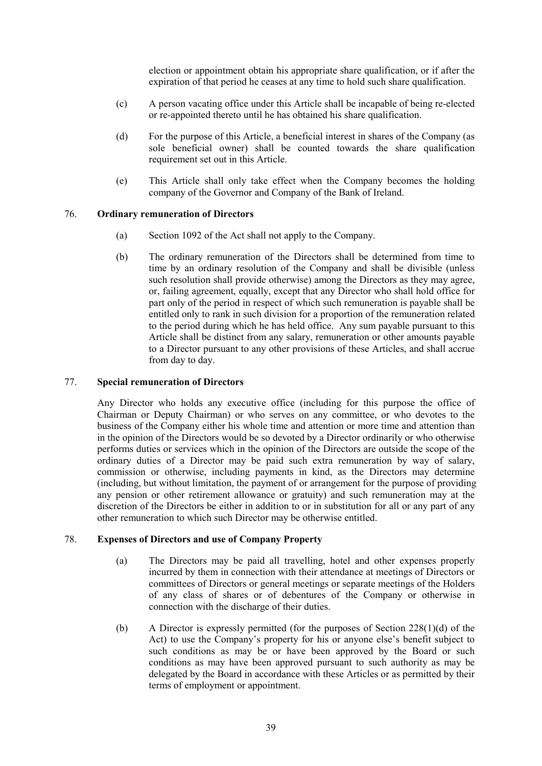election or appointment obtain his appropriate share qualification, or if after the expiration of that period he ceases at any time to hold such share qualification.

- (c) A person vacating office under this Article shall be incapable of being re-elected or re-appointed thereto until he has obtained his share qualification.
- (d) For the purpose of this Article, a beneficial interest in shares of the Company (as sole beneficial owner) shall be counted towards the share qualification requirement set out in this Article.
- (e) This Article shall only take effect when the Company becomes the holding company of the Governor and Company of the Bank of Ireland.

# 76. **Ordinary remuneration of Directors**

- (a) Section 1092 of the Act shall not apply to the Company.
- (b) The ordinary remuneration of the Directors shall be determined from time to time by an ordinary resolution of the Company and shall be divisible (unless such resolution shall provide otherwise) among the Directors as they may agree, or, failing agreement, equally, except that any Director who shall hold office for part only of the period in respect of which such remuneration is payable shall be entitled only to rank in such division for a proportion of the remuneration related to the period during which he has held office. Any sum payable pursuant to this Article shall be distinct from any salary, remuneration or other amounts payable to a Director pursuant to any other provisions of these Articles, and shall accrue from day to day.

### 77. **Special remuneration of Directors**

Any Director who holds any executive office (including for this purpose the office of Chairman or Deputy Chairman) or who serves on any committee, or who devotes to the business of the Company either his whole time and attention or more time and attention than in the opinion of the Directors would be so devoted by a Director ordinarily or who otherwise performs duties or services which in the opinion of the Directors are outside the scope of the ordinary duties of a Director may be paid such extra remuneration by way of salary, commission or otherwise, including payments in kind, as the Directors may determine (including, but without limitation, the payment of or arrangement for the purpose of providing any pension or other retirement allowance or gratuity) and such remuneration may at the discretion of the Directors be either in addition to or in substitution for all or any part of any other remuneration to which such Director may be otherwise entitled.

#### 78. **Expenses of Directors and use of Company Property**

- (a) The Directors may be paid all travelling, hotel and other expenses properly incurred by them in connection with their attendance at meetings of Directors or committees of Directors or general meetings or separate meetings of the Holders of any class of shares or of debentures of the Company or otherwise in connection with the discharge of their duties.
- (b) A Director is expressly permitted (for the purposes of Section 228(1)(d) of the Act) to use the Company's property for his or anyone else's benefit subject to such conditions as may be or have been approved by the Board or such conditions as may have been approved pursuant to such authority as may be delegated by the Board in accordance with these Articles or as permitted by their terms of employment or appointment.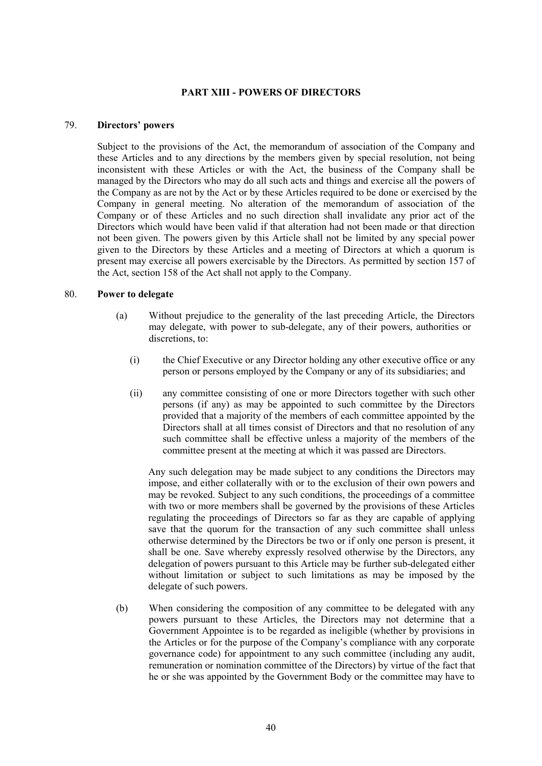# **PART XIII - POWERS OF DIRECTORS**

#### 79. **Directors' powers**

Subject to the provisions of the Act, the memorandum of association of the Company and these Articles and to any directions by the members given by special resolution, not being inconsistent with these Articles or with the Act, the business of the Company shall be managed by the Directors who may do all such acts and things and exercise all the powers of the Company as are not by the Act or by these Articles required to be done or exercised by the Company in general meeting. No alteration of the memorandum of association of the Company or of these Articles and no such direction shall invalidate any prior act of the Directors which would have been valid if that alteration had not been made or that direction not been given. The powers given by this Article shall not be limited by any special power given to the Directors by these Articles and a meeting of Directors at which a quorum is present may exercise all powers exercisable by the Directors. As permitted by section 157 of the Act, section 158 of the Act shall not apply to the Company.

### 80. **Power to delegate**

- (a) Without prejudice to the generality of the last preceding Article, the Directors may delegate, with power to sub-delegate, any of their powers, authorities or discretions, to:
	- (i) the Chief Executive or any Director holding any other executive office or any person or persons employed by the Company or any of its subsidiaries; and
	- (ii) any committee consisting of one or more Directors together with such other persons (if any) as may be appointed to such committee by the Directors provided that a majority of the members of each committee appointed by the Directors shall at all times consist of Directors and that no resolution of any such committee shall be effective unless a majority of the members of the committee present at the meeting at which it was passed are Directors.

Any such delegation may be made subject to any conditions the Directors may impose, and either collaterally with or to the exclusion of their own powers and may be revoked. Subject to any such conditions, the proceedings of a committee with two or more members shall be governed by the provisions of these Articles regulating the proceedings of Directors so far as they are capable of applying save that the quorum for the transaction of any such committee shall unless otherwise determined by the Directors be two or if only one person is present, it shall be one. Save whereby expressly resolved otherwise by the Directors, any delegation of powers pursuant to this Article may be further sub-delegated either without limitation or subject to such limitations as may be imposed by the delegate of such powers.

(b) When considering the composition of any committee to be delegated with any powers pursuant to these Articles, the Directors may not determine that a Government Appointee is to be regarded as ineligible (whether by provisions in the Articles or for the purpose of the Company's compliance with any corporate governance code) for appointment to any such committee (including any audit, remuneration or nomination committee of the Directors) by virtue of the fact that he or she was appointed by the Government Body or the committee may have to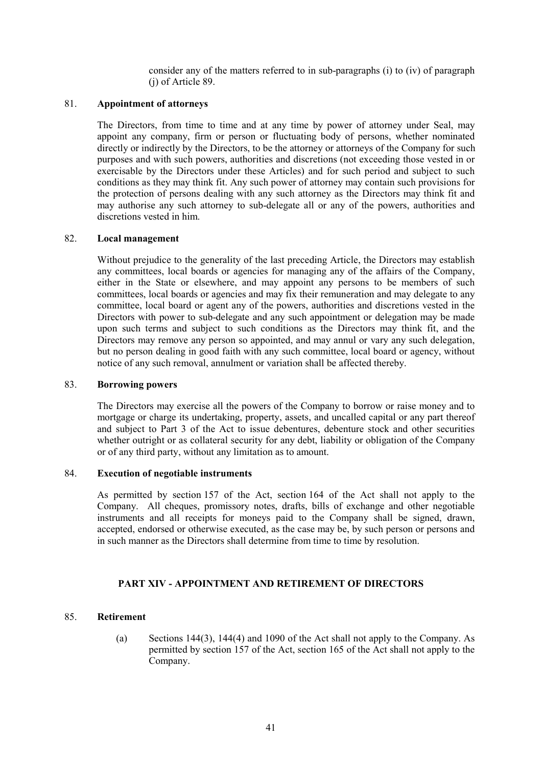consider any of the matters referred to in sub-paragraphs (i) to (iv) of paragraph (j) of Article 89.

### 81. **Appointment of attorneys**

The Directors, from time to time and at any time by power of attorney under Seal, may appoint any company, firm or person or fluctuating body of persons, whether nominated directly or indirectly by the Directors, to be the attorney or attorneys of the Company for such purposes and with such powers, authorities and discretions (not exceeding those vested in or exercisable by the Directors under these Articles) and for such period and subject to such conditions as they may think fit. Any such power of attorney may contain such provisions for the protection of persons dealing with any such attorney as the Directors may think fit and may authorise any such attorney to sub-delegate all or any of the powers, authorities and discretions vested in him.

### 82. **Local management**

Without prejudice to the generality of the last preceding Article, the Directors may establish any committees, local boards or agencies for managing any of the affairs of the Company, either in the State or elsewhere, and may appoint any persons to be members of such committees, local boards or agencies and may fix their remuneration and may delegate to any committee, local board or agent any of the powers, authorities and discretions vested in the Directors with power to sub-delegate and any such appointment or delegation may be made upon such terms and subject to such conditions as the Directors may think fit, and the Directors may remove any person so appointed, and may annul or vary any such delegation, but no person dealing in good faith with any such committee, local board or agency, without notice of any such removal, annulment or variation shall be affected thereby.

### 83. **Borrowing powers**

The Directors may exercise all the powers of the Company to borrow or raise money and to mortgage or charge its undertaking, property, assets, and uncalled capital or any part thereof and subject to Part 3 of the Act to issue debentures, debenture stock and other securities whether outright or as collateral security for any debt, liability or obligation of the Company or of any third party, without any limitation as to amount.

### 84. **Execution of negotiable instruments**

As permitted by section 157 of the Act, section 164 of the Act shall not apply to the Company. All cheques, promissory notes, drafts, bills of exchange and other negotiable instruments and all receipts for moneys paid to the Company shall be signed, drawn, accepted, endorsed or otherwise executed, as the case may be, by such person or persons and in such manner as the Directors shall determine from time to time by resolution.

# **PART XIV - APPOINTMENT AND RETIREMENT OF DIRECTORS**

# 85. **Retirement**

(a) Sections 144(3), 144(4) and 1090 of the Act shall not apply to the Company. As permitted by section 157 of the Act, section 165 of the Act shall not apply to the Company.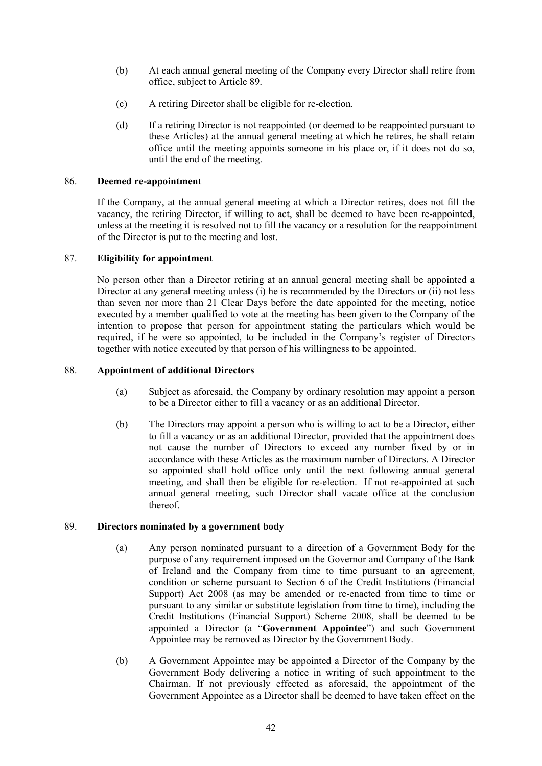- (b) At each annual general meeting of the Company every Director shall retire from office, subject to Article 89.
- (c) A retiring Director shall be eligible for re-election.
- (d) If a retiring Director is not reappointed (or deemed to be reappointed pursuant to these Articles) at the annual general meeting at which he retires, he shall retain office until the meeting appoints someone in his place or, if it does not do so, until the end of the meeting.

# 86. **Deemed re-appointment**

If the Company, at the annual general meeting at which a Director retires, does not fill the vacancy, the retiring Director, if willing to act, shall be deemed to have been re-appointed, unless at the meeting it is resolved not to fill the vacancy or a resolution for the reappointment of the Director is put to the meeting and lost.

# 87. **Eligibility for appointment**

No person other than a Director retiring at an annual general meeting shall be appointed a Director at any general meeting unless (i) he is recommended by the Directors or (ii) not less than seven nor more than 21 Clear Days before the date appointed for the meeting, notice executed by a member qualified to vote at the meeting has been given to the Company of the intention to propose that person for appointment stating the particulars which would be required, if he were so appointed, to be included in the Company's register of Directors together with notice executed by that person of his willingness to be appointed.

### 88. **Appointment of additional Directors**

- (a) Subject as aforesaid, the Company by ordinary resolution may appoint a person to be a Director either to fill a vacancy or as an additional Director.
- (b) The Directors may appoint a person who is willing to act to be a Director, either to fill a vacancy or as an additional Director, provided that the appointment does not cause the number of Directors to exceed any number fixed by or in accordance with these Articles as the maximum number of Directors. A Director so appointed shall hold office only until the next following annual general meeting, and shall then be eligible for re-election. If not re-appointed at such annual general meeting, such Director shall vacate office at the conclusion thereof.

#### 89. **Directors nominated by a government body**

- (a) Any person nominated pursuant to a direction of a Government Body for the purpose of any requirement imposed on the Governor and Company of the Bank of Ireland and the Company from time to time pursuant to an agreement, condition or scheme pursuant to Section 6 of the Credit Institutions (Financial Support) Act 2008 (as may be amended or re-enacted from time to time or pursuant to any similar or substitute legislation from time to time), including the Credit Institutions (Financial Support) Scheme 2008, shall be deemed to be appointed a Director (a "**Government Appointee**") and such Government Appointee may be removed as Director by the Government Body.
- (b) A Government Appointee may be appointed a Director of the Company by the Government Body delivering a notice in writing of such appointment to the Chairman. If not previously effected as aforesaid, the appointment of the Government Appointee as a Director shall be deemed to have taken effect on the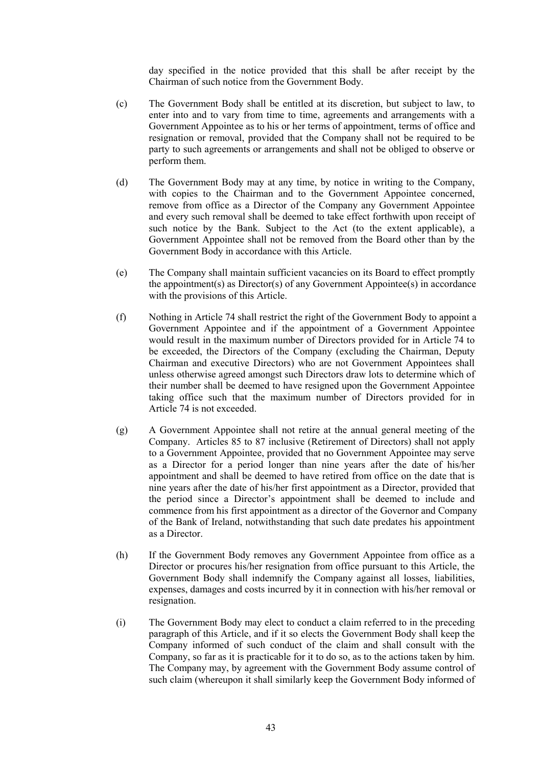day specified in the notice provided that this shall be after receipt by the Chairman of such notice from the Government Body.

- (c) The Government Body shall be entitled at its discretion, but subject to law, to enter into and to vary from time to time, agreements and arrangements with a Government Appointee as to his or her terms of appointment, terms of office and resignation or removal, provided that the Company shall not be required to be party to such agreements or arrangements and shall not be obliged to observe or perform them.
- (d) The Government Body may at any time, by notice in writing to the Company, with copies to the Chairman and to the Government Appointee concerned, remove from office as a Director of the Company any Government Appointee and every such removal shall be deemed to take effect forthwith upon receipt of such notice by the Bank. Subject to the Act (to the extent applicable), a Government Appointee shall not be removed from the Board other than by the Government Body in accordance with this Article.
- (e) The Company shall maintain sufficient vacancies on its Board to effect promptly the appointment(s) as Director(s) of any Government Appointee(s) in accordance with the provisions of this Article.
- (f) Nothing in Article 74 shall restrict the right of the Government Body to appoint a Government Appointee and if the appointment of a Government Appointee would result in the maximum number of Directors provided for in Article 74 to be exceeded, the Directors of the Company (excluding the Chairman, Deputy Chairman and executive Directors) who are not Government Appointees shall unless otherwise agreed amongst such Directors draw lots to determine which of their number shall be deemed to have resigned upon the Government Appointee taking office such that the maximum number of Directors provided for in Article 74 is not exceeded.
- (g) A Government Appointee shall not retire at the annual general meeting of the Company. Articles 85 to 87 inclusive (Retirement of Directors) shall not apply to a Government Appointee, provided that no Government Appointee may serve as a Director for a period longer than nine years after the date of his/her appointment and shall be deemed to have retired from office on the date that is nine years after the date of his/her first appointment as a Director, provided that the period since a Director's appointment shall be deemed to include and commence from his first appointment as a director of the Governor and Company of the Bank of Ireland, notwithstanding that such date predates his appointment as a Director.
- (h) If the Government Body removes any Government Appointee from office as a Director or procures his/her resignation from office pursuant to this Article, the Government Body shall indemnify the Company against all losses, liabilities, expenses, damages and costs incurred by it in connection with his/her removal or resignation.
- (i) The Government Body may elect to conduct a claim referred to in the preceding paragraph of this Article, and if it so elects the Government Body shall keep the Company informed of such conduct of the claim and shall consult with the Company, so far as it is practicable for it to do so, as to the actions taken by him. The Company may, by agreement with the Government Body assume control of such claim (whereupon it shall similarly keep the Government Body informed of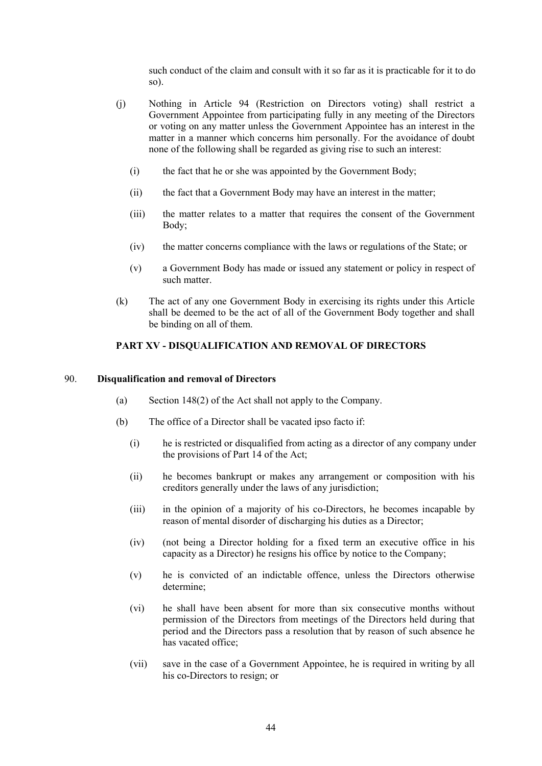such conduct of the claim and consult with it so far as it is practicable for it to do so).

- (j) Nothing in Article 94 (Restriction on Directors voting) shall restrict a Government Appointee from participating fully in any meeting of the Directors or voting on any matter unless the Government Appointee has an interest in the matter in a manner which concerns him personally. For the avoidance of doubt none of the following shall be regarded as giving rise to such an interest:
	- (i) the fact that he or she was appointed by the Government Body;
	- (ii) the fact that a Government Body may have an interest in the matter;
	- (iii) the matter relates to a matter that requires the consent of the Government Body;
	- (iv) the matter concerns compliance with the laws or regulations of the State; or
	- (v) a Government Body has made or issued any statement or policy in respect of such matter.
- (k) The act of any one Government Body in exercising its rights under this Article shall be deemed to be the act of all of the Government Body together and shall be binding on all of them.

# **PART XV - DISQUALIFICATION AND REMOVAL OF DIRECTORS**

### 90. **Disqualification and removal of Directors**

- (a) Section 148(2) of the Act shall not apply to the Company.
- (b) The office of a Director shall be vacated ipso facto if:
	- (i) he is restricted or disqualified from acting as a director of any company under the provisions of Part 14 of the Act;
	- (ii) he becomes bankrupt or makes any arrangement or composition with his creditors generally under the laws of any jurisdiction;
	- (iii) in the opinion of a majority of his co-Directors, he becomes incapable by reason of mental disorder of discharging his duties as a Director;
	- (iv) (not being a Director holding for a fixed term an executive office in his capacity as a Director) he resigns his office by notice to the Company;
	- (v) he is convicted of an indictable offence, unless the Directors otherwise determine;
	- (vi) he shall have been absent for more than six consecutive months without permission of the Directors from meetings of the Directors held during that period and the Directors pass a resolution that by reason of such absence he has vacated office;
	- (vii) save in the case of a Government Appointee, he is required in writing by all his co-Directors to resign; or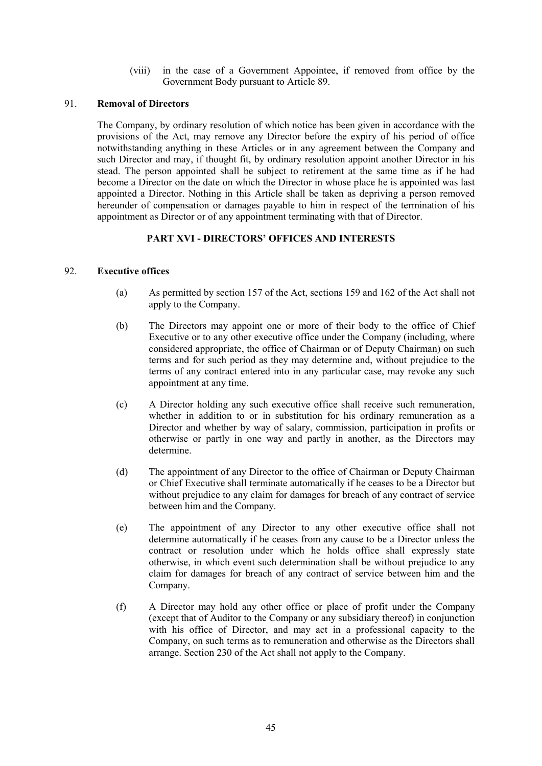(viii) in the case of a Government Appointee, if removed from office by the Government Body pursuant to Article 89.

#### 91. **Removal of Directors**

The Company, by ordinary resolution of which notice has been given in accordance with the provisions of the Act, may remove any Director before the expiry of his period of office notwithstanding anything in these Articles or in any agreement between the Company and such Director and may, if thought fit, by ordinary resolution appoint another Director in his stead. The person appointed shall be subject to retirement at the same time as if he had become a Director on the date on which the Director in whose place he is appointed was last appointed a Director. Nothing in this Article shall be taken as depriving a person removed hereunder of compensation or damages payable to him in respect of the termination of his appointment as Director or of any appointment terminating with that of Director.

# **PART XVI - DIRECTORS' OFFICES AND INTERESTS**

# 92. **Executive offices**

- (a) As permitted by section 157 of the Act, sections 159 and 162 of the Act shall not apply to the Company.
- (b) The Directors may appoint one or more of their body to the office of Chief Executive or to any other executive office under the Company (including, where considered appropriate, the office of Chairman or of Deputy Chairman) on such terms and for such period as they may determine and, without prejudice to the terms of any contract entered into in any particular case, may revoke any such appointment at any time.
- (c) A Director holding any such executive office shall receive such remuneration, whether in addition to or in substitution for his ordinary remuneration as a Director and whether by way of salary, commission, participation in profits or otherwise or partly in one way and partly in another, as the Directors may determine.
- (d) The appointment of any Director to the office of Chairman or Deputy Chairman or Chief Executive shall terminate automatically if he ceases to be a Director but without prejudice to any claim for damages for breach of any contract of service between him and the Company.
- (e) The appointment of any Director to any other executive office shall not determine automatically if he ceases from any cause to be a Director unless the contract or resolution under which he holds office shall expressly state otherwise, in which event such determination shall be without prejudice to any claim for damages for breach of any contract of service between him and the Company.
- (f) A Director may hold any other office or place of profit under the Company (except that of Auditor to the Company or any subsidiary thereof) in conjunction with his office of Director, and may act in a professional capacity to the Company, on such terms as to remuneration and otherwise as the Directors shall arrange. Section 230 of the Act shall not apply to the Company.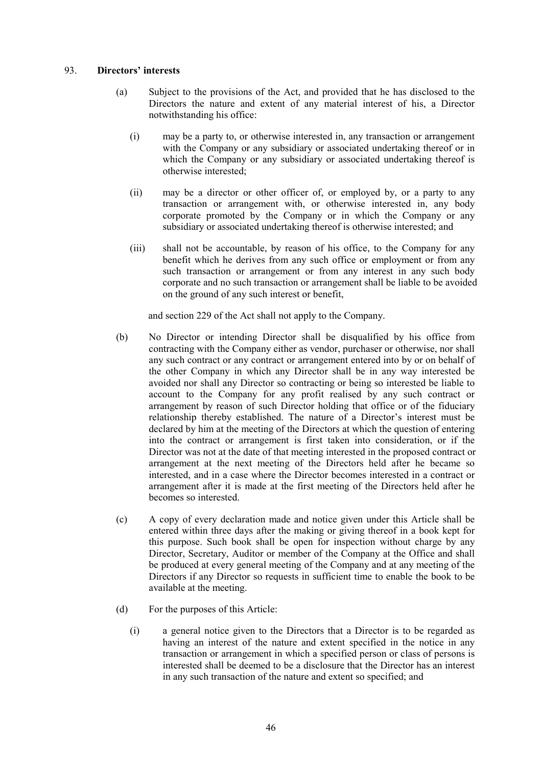# 93. **Directors' interests**

- (a) Subject to the provisions of the Act, and provided that he has disclosed to the Directors the nature and extent of any material interest of his, a Director notwithstanding his office:
	- (i) may be a party to, or otherwise interested in, any transaction or arrangement with the Company or any subsidiary or associated undertaking thereof or in which the Company or any subsidiary or associated undertaking thereof is otherwise interested;
	- (ii) may be a director or other officer of, or employed by, or a party to any transaction or arrangement with, or otherwise interested in, any body corporate promoted by the Company or in which the Company or any subsidiary or associated undertaking thereof is otherwise interested; and
	- (iii) shall not be accountable, by reason of his office, to the Company for any benefit which he derives from any such office or employment or from any such transaction or arrangement or from any interest in any such body corporate and no such transaction or arrangement shall be liable to be avoided on the ground of any such interest or benefit,

and section 229 of the Act shall not apply to the Company.

- (b) No Director or intending Director shall be disqualified by his office from contracting with the Company either as vendor, purchaser or otherwise, nor shall any such contract or any contract or arrangement entered into by or on behalf of the other Company in which any Director shall be in any way interested be avoided nor shall any Director so contracting or being so interested be liable to account to the Company for any profit realised by any such contract or arrangement by reason of such Director holding that office or of the fiduciary relationship thereby established. The nature of a Director's interest must be declared by him at the meeting of the Directors at which the question of entering into the contract or arrangement is first taken into consideration, or if the Director was not at the date of that meeting interested in the proposed contract or arrangement at the next meeting of the Directors held after he became so interested, and in a case where the Director becomes interested in a contract or arrangement after it is made at the first meeting of the Directors held after he becomes so interested.
- (c) A copy of every declaration made and notice given under this Article shall be entered within three days after the making or giving thereof in a book kept for this purpose. Such book shall be open for inspection without charge by any Director, Secretary, Auditor or member of the Company at the Office and shall be produced at every general meeting of the Company and at any meeting of the Directors if any Director so requests in sufficient time to enable the book to be available at the meeting.
- (d) For the purposes of this Article:
	- (i) a general notice given to the Directors that a Director is to be regarded as having an interest of the nature and extent specified in the notice in any transaction or arrangement in which a specified person or class of persons is interested shall be deemed to be a disclosure that the Director has an interest in any such transaction of the nature and extent so specified; and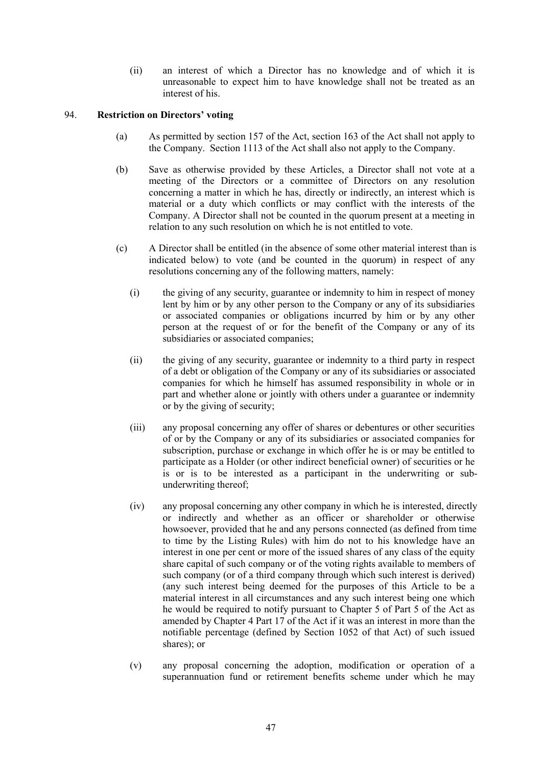(ii) an interest of which a Director has no knowledge and of which it is unreasonable to expect him to have knowledge shall not be treated as an interest of his.

# 94. **Restriction on Directors' voting**

- (a) As permitted by section 157 of the Act, section 163 of the Act shall not apply to the Company. Section 1113 of the Act shall also not apply to the Company.
- (b) Save as otherwise provided by these Articles, a Director shall not vote at a meeting of the Directors or a committee of Directors on any resolution concerning a matter in which he has, directly or indirectly, an interest which is material or a duty which conflicts or may conflict with the interests of the Company. A Director shall not be counted in the quorum present at a meeting in relation to any such resolution on which he is not entitled to vote.
- (c) A Director shall be entitled (in the absence of some other material interest than is indicated below) to vote (and be counted in the quorum) in respect of any resolutions concerning any of the following matters, namely:
	- (i) the giving of any security, guarantee or indemnity to him in respect of money lent by him or by any other person to the Company or any of its subsidiaries or associated companies or obligations incurred by him or by any other person at the request of or for the benefit of the Company or any of its subsidiaries or associated companies;
	- (ii) the giving of any security, guarantee or indemnity to a third party in respect of a debt or obligation of the Company or any of its subsidiaries or associated companies for which he himself has assumed responsibility in whole or in part and whether alone or jointly with others under a guarantee or indemnity or by the giving of security;
	- (iii) any proposal concerning any offer of shares or debentures or other securities of or by the Company or any of its subsidiaries or associated companies for subscription, purchase or exchange in which offer he is or may be entitled to participate as a Holder (or other indirect beneficial owner) of securities or he is or is to be interested as a participant in the underwriting or subunderwriting thereof;
	- (iv) any proposal concerning any other company in which he is interested, directly or indirectly and whether as an officer or shareholder or otherwise howsoever, provided that he and any persons connected (as defined from time to time by the Listing Rules) with him do not to his knowledge have an interest in one per cent or more of the issued shares of any class of the equity share capital of such company or of the voting rights available to members of such company (or of a third company through which such interest is derived) (any such interest being deemed for the purposes of this Article to be a material interest in all circumstances and any such interest being one which he would be required to notify pursuant to Chapter 5 of Part 5 of the Act as amended by Chapter 4 Part 17 of the Act if it was an interest in more than the notifiable percentage (defined by Section 1052 of that Act) of such issued shares); or
	- (v) any proposal concerning the adoption, modification or operation of a superannuation fund or retirement benefits scheme under which he may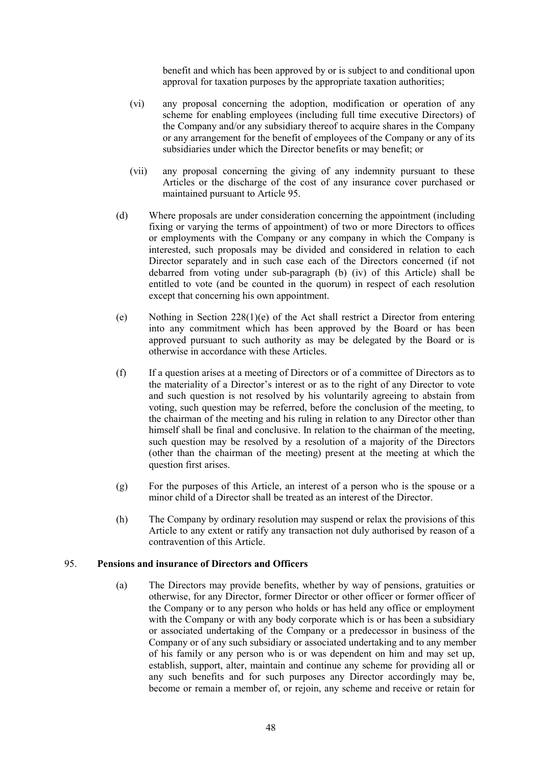benefit and which has been approved by or is subject to and conditional upon approval for taxation purposes by the appropriate taxation authorities;

- (vi) any proposal concerning the adoption, modification or operation of any scheme for enabling employees (including full time executive Directors) of the Company and/or any subsidiary thereof to acquire shares in the Company or any arrangement for the benefit of employees of the Company or any of its subsidiaries under which the Director benefits or may benefit; or
- (vii) any proposal concerning the giving of any indemnity pursuant to these Articles or the discharge of the cost of any insurance cover purchased or maintained pursuant to Article 95.
- (d) Where proposals are under consideration concerning the appointment (including fixing or varying the terms of appointment) of two or more Directors to offices or employments with the Company or any company in which the Company is interested, such proposals may be divided and considered in relation to each Director separately and in such case each of the Directors concerned (if not debarred from voting under sub-paragraph (b) (iv) of this Article) shall be entitled to vote (and be counted in the quorum) in respect of each resolution except that concerning his own appointment.
- (e) Nothing in Section  $228(1)(e)$  of the Act shall restrict a Director from entering into any commitment which has been approved by the Board or has been approved pursuant to such authority as may be delegated by the Board or is otherwise in accordance with these Articles.
- (f) If a question arises at a meeting of Directors or of a committee of Directors as to the materiality of a Director's interest or as to the right of any Director to vote and such question is not resolved by his voluntarily agreeing to abstain from voting, such question may be referred, before the conclusion of the meeting, to the chairman of the meeting and his ruling in relation to any Director other than himself shall be final and conclusive. In relation to the chairman of the meeting, such question may be resolved by a resolution of a majority of the Directors (other than the chairman of the meeting) present at the meeting at which the question first arises.
- (g) For the purposes of this Article, an interest of a person who is the spouse or a minor child of a Director shall be treated as an interest of the Director.
- (h) The Company by ordinary resolution may suspend or relax the provisions of this Article to any extent or ratify any transaction not duly authorised by reason of a contravention of this Article.

# 95. **Pensions and insurance of Directors and Officers**

(a) The Directors may provide benefits, whether by way of pensions, gratuities or otherwise, for any Director, former Director or other officer or former officer of the Company or to any person who holds or has held any office or employment with the Company or with any body corporate which is or has been a subsidiary or associated undertaking of the Company or a predecessor in business of the Company or of any such subsidiary or associated undertaking and to any member of his family or any person who is or was dependent on him and may set up, establish, support, alter, maintain and continue any scheme for providing all or any such benefits and for such purposes any Director accordingly may be, become or remain a member of, or rejoin, any scheme and receive or retain for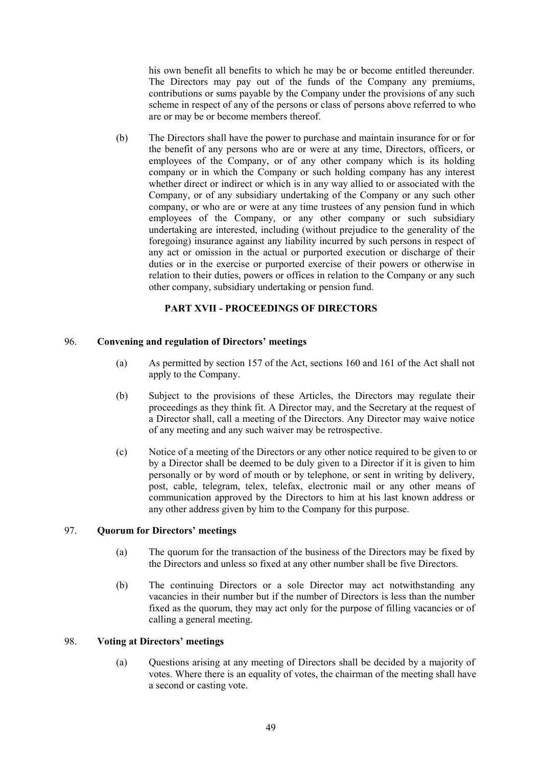his own benefit all benefits to which he may be or become entitled thereunder. The Directors may pay out of the funds of the Company any premiums, contributions or sums payable by the Company under the provisions of any such scheme in respect of any of the persons or class of persons above referred to who are or may be or become members thereof.

(b) The Directors shall have the power to purchase and maintain insurance for or for the benefit of any persons who are or were at any time, Directors, officers, or employees of the Company, or of any other company which is its holding company or in which the Company or such holding company has any interest whether direct or indirect or which is in any way allied to or associated with the Company, or of any subsidiary undertaking of the Company or any such other company, or who are or were at any time trustees of any pension fund in which employees of the Company, or any other company or such subsidiary undertaking are interested, including (without prejudice to the generality of the foregoing) insurance against any liability incurred by such persons in respect of any act or omission in the actual or purported execution or discharge of their duties or in the exercise or purported exercise of their powers or otherwise in relation to their duties, powers or offices in relation to the Company or any such other company, subsidiary undertaking or pension fund.

# **PART XVII - PROCEEDINGS OF DIRECTORS**

# 96. **Convening and regulation of Directors' meetings**

- (a) As permitted by section 157 of the Act, sections 160 and 161 of the Act shall not apply to the Company.
- (b) Subject to the provisions of these Articles, the Directors may regulate their proceedings as they think fit. A Director may, and the Secretary at the request of a Director shall, call a meeting of the Directors. Any Director may waive notice of any meeting and any such waiver may be retrospective.
- (c) Notice of a meeting of the Directors or any other notice required to be given to or by a Director shall be deemed to be duly given to a Director if it is given to him personally or by word of mouth or by telephone, or sent in writing by delivery, post, cable, telegram, telex, telefax, electronic mail or any other means of communication approved by the Directors to him at his last known address or any other address given by him to the Company for this purpose.

# 97. **Quorum for Directors' meetings**

- (a) The quorum for the transaction of the business of the Directors may be fixed by the Directors and unless so fixed at any other number shall be five Directors.
- (b) The continuing Directors or a sole Director may act notwithstanding any vacancies in their number but if the number of Directors is less than the number fixed as the quorum, they may act only for the purpose of filling vacancies or of calling a general meeting.

# 98. **Voting at Directors' meetings**

(a) Questions arising at any meeting of Directors shall be decided by a majority of votes. Where there is an equality of votes, the chairman of the meeting shall have a second or casting vote.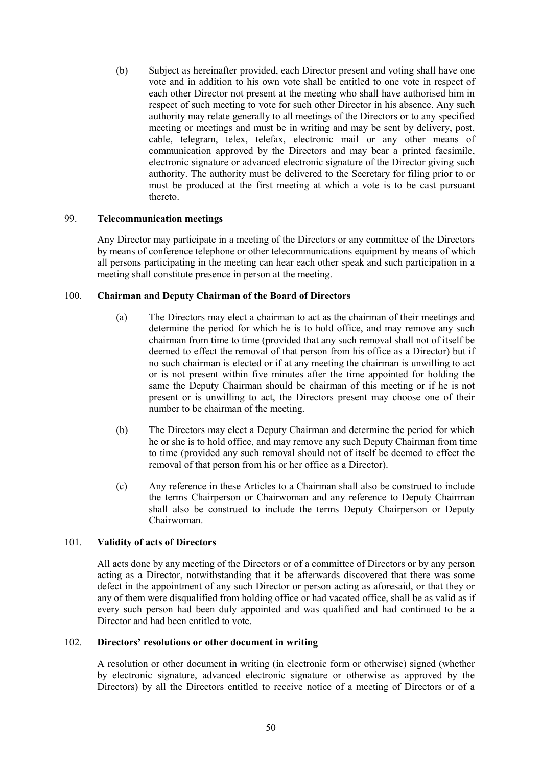(b) Subject as hereinafter provided, each Director present and voting shall have one vote and in addition to his own vote shall be entitled to one vote in respect of each other Director not present at the meeting who shall have authorised him in respect of such meeting to vote for such other Director in his absence. Any such authority may relate generally to all meetings of the Directors or to any specified meeting or meetings and must be in writing and may be sent by delivery, post, cable, telegram, telex, telefax, electronic mail or any other means of communication approved by the Directors and may bear a printed facsimile, electronic signature or advanced electronic signature of the Director giving such authority. The authority must be delivered to the Secretary for filing prior to or must be produced at the first meeting at which a vote is to be cast pursuant thereto.

# 99. **Telecommunication meetings**

Any Director may participate in a meeting of the Directors or any committee of the Directors by means of conference telephone or other telecommunications equipment by means of which all persons participating in the meeting can hear each other speak and such participation in a meeting shall constitute presence in person at the meeting.

### 100. **Chairman and Deputy Chairman of the Board of Directors**

- (a) The Directors may elect a chairman to act as the chairman of their meetings and determine the period for which he is to hold office, and may remove any such chairman from time to time (provided that any such removal shall not of itself be deemed to effect the removal of that person from his office as a Director) but if no such chairman is elected or if at any meeting the chairman is unwilling to act or is not present within five minutes after the time appointed for holding the same the Deputy Chairman should be chairman of this meeting or if he is not present or is unwilling to act, the Directors present may choose one of their number to be chairman of the meeting.
- (b) The Directors may elect a Deputy Chairman and determine the period for which he or she is to hold office, and may remove any such Deputy Chairman from time to time (provided any such removal should not of itself be deemed to effect the removal of that person from his or her office as a Director).
- (c) Any reference in these Articles to a Chairman shall also be construed to include the terms Chairperson or Chairwoman and any reference to Deputy Chairman shall also be construed to include the terms Deputy Chairperson or Deputy Chairwoman.

# 101. **Validity of acts of Directors**

All acts done by any meeting of the Directors or of a committee of Directors or by any person acting as a Director, notwithstanding that it be afterwards discovered that there was some defect in the appointment of any such Director or person acting as aforesaid, or that they or any of them were disqualified from holding office or had vacated office, shall be as valid as if every such person had been duly appointed and was qualified and had continued to be a Director and had been entitled to vote.

#### 102. **Directors' resolutions or other document in writing**

A resolution or other document in writing (in electronic form or otherwise) signed (whether by electronic signature, advanced electronic signature or otherwise as approved by the Directors) by all the Directors entitled to receive notice of a meeting of Directors or of a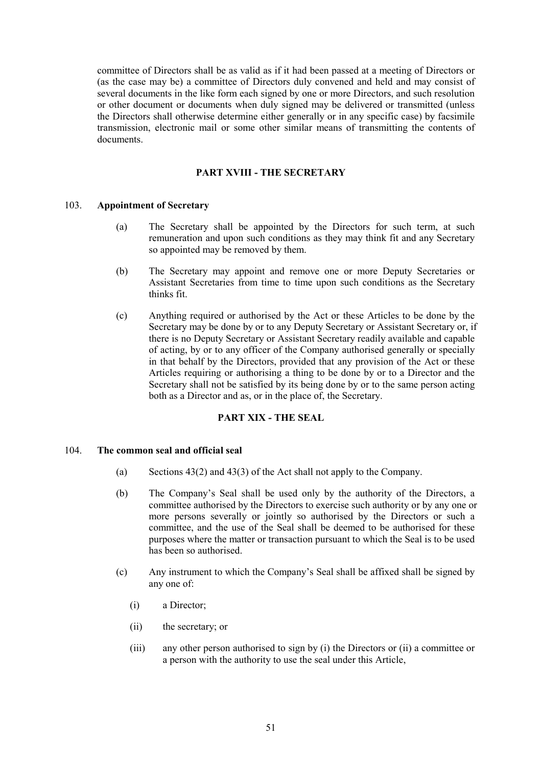committee of Directors shall be as valid as if it had been passed at a meeting of Directors or (as the case may be) a committee of Directors duly convened and held and may consist of several documents in the like form each signed by one or more Directors, and such resolution or other document or documents when duly signed may be delivered or transmitted (unless the Directors shall otherwise determine either generally or in any specific case) by facsimile transmission, electronic mail or some other similar means of transmitting the contents of documents.

### **PART XVIII - THE SECRETARY**

# 103. **Appointment of Secretary**

- (a) The Secretary shall be appointed by the Directors for such term, at such remuneration and upon such conditions as they may think fit and any Secretary so appointed may be removed by them.
- (b) The Secretary may appoint and remove one or more Deputy Secretaries or Assistant Secretaries from time to time upon such conditions as the Secretary thinks fit.
- (c) Anything required or authorised by the Act or these Articles to be done by the Secretary may be done by or to any Deputy Secretary or Assistant Secretary or, if there is no Deputy Secretary or Assistant Secretary readily available and capable of acting, by or to any officer of the Company authorised generally or specially in that behalf by the Directors, provided that any provision of the Act or these Articles requiring or authorising a thing to be done by or to a Director and the Secretary shall not be satisfied by its being done by or to the same person acting both as a Director and as, or in the place of, the Secretary.

# **PART XIX - THE SEAL**

#### 104. **The common seal and official seal**

- (a) Sections 43(2) and 43(3) of the Act shall not apply to the Company.
- (b) The Company's Seal shall be used only by the authority of the Directors, a committee authorised by the Directors to exercise such authority or by any one or more persons severally or jointly so authorised by the Directors or such a committee, and the use of the Seal shall be deemed to be authorised for these purposes where the matter or transaction pursuant to which the Seal is to be used has been so authorised.
- (c) Any instrument to which the Company's Seal shall be affixed shall be signed by any one of:
	- (i) a Director;
	- (ii) the secretary; or
	- (iii) any other person authorised to sign by (i) the Directors or (ii) a committee or a person with the authority to use the seal under this Article,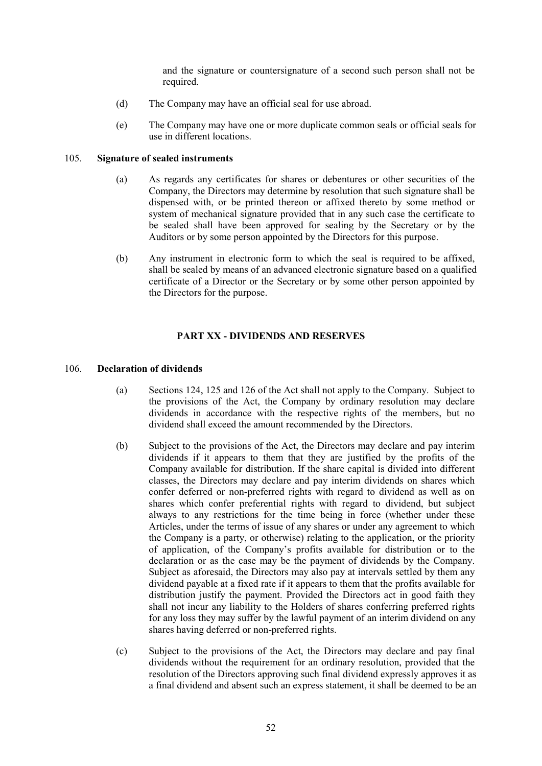and the signature or countersignature of a second such person shall not be required.

- (d) The Company may have an official seal for use abroad.
- (e) The Company may have one or more duplicate common seals or official seals for use in different locations.

# 105. **Signature of sealed instruments**

- (a) As regards any certificates for shares or debentures or other securities of the Company, the Directors may determine by resolution that such signature shall be dispensed with, or be printed thereon or affixed thereto by some method or system of mechanical signature provided that in any such case the certificate to be sealed shall have been approved for sealing by the Secretary or by the Auditors or by some person appointed by the Directors for this purpose.
- (b) Any instrument in electronic form to which the seal is required to be affixed, shall be sealed by means of an advanced electronic signature based on a qualified certificate of a Director or the Secretary or by some other person appointed by the Directors for the purpose.

# **PART XX - DIVIDENDS AND RESERVES**

### 106. **Declaration of dividends**

- (a) Sections 124, 125 and 126 of the Act shall not apply to the Company. Subject to the provisions of the Act, the Company by ordinary resolution may declare dividends in accordance with the respective rights of the members, but no dividend shall exceed the amount recommended by the Directors.
- (b) Subject to the provisions of the Act, the Directors may declare and pay interim dividends if it appears to them that they are justified by the profits of the Company available for distribution. If the share capital is divided into different classes, the Directors may declare and pay interim dividends on shares which confer deferred or non-preferred rights with regard to dividend as well as on shares which confer preferential rights with regard to dividend, but subject always to any restrictions for the time being in force (whether under these Articles, under the terms of issue of any shares or under any agreement to which the Company is a party, or otherwise) relating to the application, or the priority of application, of the Company's profits available for distribution or to the declaration or as the case may be the payment of dividends by the Company. Subject as aforesaid, the Directors may also pay at intervals settled by them any dividend payable at a fixed rate if it appears to them that the profits available for distribution justify the payment. Provided the Directors act in good faith they shall not incur any liability to the Holders of shares conferring preferred rights for any loss they may suffer by the lawful payment of an interim dividend on any shares having deferred or non-preferred rights.
- (c) Subject to the provisions of the Act, the Directors may declare and pay final dividends without the requirement for an ordinary resolution, provided that the resolution of the Directors approving such final dividend expressly approves it as a final dividend and absent such an express statement, it shall be deemed to be an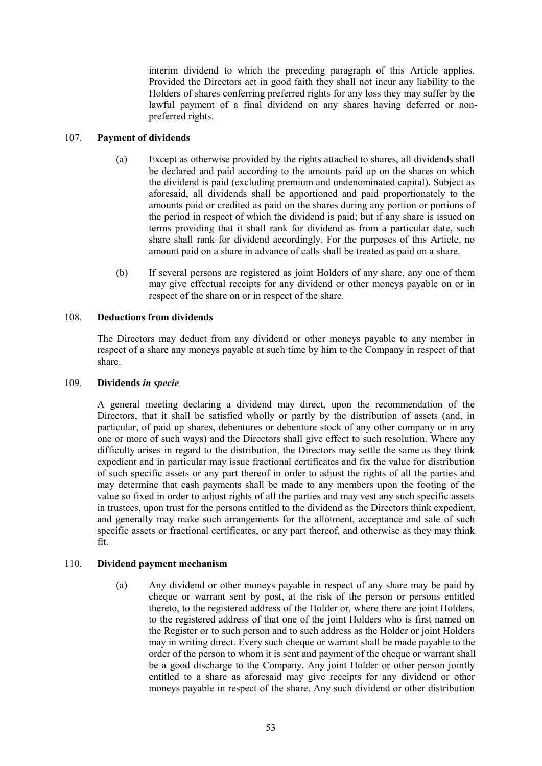interim dividend to which the preceding paragraph of this Article applies. Provided the Directors act in good faith they shall not incur any liability to the Holders of shares conferring preferred rights for any loss they may suffer by the lawful payment of a final dividend on any shares having deferred or nonpreferred rights.

# 107. **Payment of dividends**

- (a) Except as otherwise provided by the rights attached to shares, all dividends shall be declared and paid according to the amounts paid up on the shares on which the dividend is paid (excluding premium and undenominated capital). Subject as aforesaid, all dividends shall be apportioned and paid proportionately to the amounts paid or credited as paid on the shares during any portion or portions of the period in respect of which the dividend is paid; but if any share is issued on terms providing that it shall rank for dividend as from a particular date, such share shall rank for dividend accordingly. For the purposes of this Article, no amount paid on a share in advance of calls shall be treated as paid on a share.
- (b) If several persons are registered as joint Holders of any share, any one of them may give effectual receipts for any dividend or other moneys payable on or in respect of the share on or in respect of the share.

# 108. **Deductions from dividends**

The Directors may deduct from any dividend or other moneys payable to any member in respect of a share any moneys payable at such time by him to the Company in respect of that share.

# 109. **Dividends** *in specie*

A general meeting declaring a dividend may direct, upon the recommendation of the Directors, that it shall be satisfied wholly or partly by the distribution of assets (and, in particular, of paid up shares, debentures or debenture stock of any other company or in any one or more of such ways) and the Directors shall give effect to such resolution. Where any difficulty arises in regard to the distribution, the Directors may settle the same as they think expedient and in particular may issue fractional certificates and fix the value for distribution of such specific assets or any part thereof in order to adjust the rights of all the parties and may determine that cash payments shall be made to any members upon the footing of the value so fixed in order to adjust rights of all the parties and may vest any such specific assets in trustees, upon trust for the persons entitled to the dividend as the Directors think expedient, and generally may make such arrangements for the allotment, acceptance and sale of such specific assets or fractional certificates, or any part thereof, and otherwise as they may think fit.

# 110. **Dividend payment mechanism**

(a) Any dividend or other moneys payable in respect of any share may be paid by cheque or warrant sent by post, at the risk of the person or persons entitled thereto, to the registered address of the Holder or, where there are joint Holders, to the registered address of that one of the joint Holders who is first named on the Register or to such person and to such address as the Holder or joint Holders may in writing direct. Every such cheque or warrant shall be made payable to the order of the person to whom it is sent and payment of the cheque or warrant shall be a good discharge to the Company. Any joint Holder or other person jointly entitled to a share as aforesaid may give receipts for any dividend or other moneys payable in respect of the share. Any such dividend or other distribution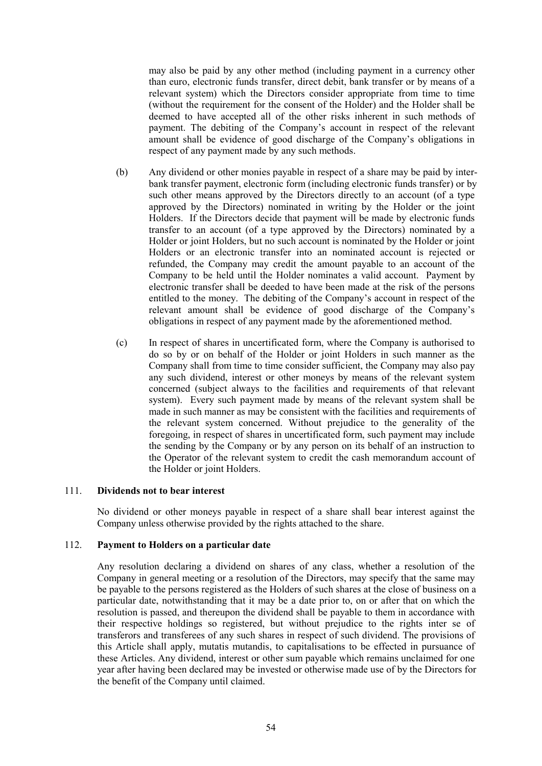may also be paid by any other method (including payment in a currency other than euro, electronic funds transfer, direct debit, bank transfer or by means of a relevant system) which the Directors consider appropriate from time to time (without the requirement for the consent of the Holder) and the Holder shall be deemed to have accepted all of the other risks inherent in such methods of payment. The debiting of the Company's account in respect of the relevant amount shall be evidence of good discharge of the Company's obligations in respect of any payment made by any such methods.

- (b) Any dividend or other monies payable in respect of a share may be paid by interbank transfer payment, electronic form (including electronic funds transfer) or by such other means approved by the Directors directly to an account (of a type approved by the Directors) nominated in writing by the Holder or the joint Holders. If the Directors decide that payment will be made by electronic funds transfer to an account (of a type approved by the Directors) nominated by a Holder or joint Holders, but no such account is nominated by the Holder or joint Holders or an electronic transfer into an nominated account is rejected or refunded, the Company may credit the amount payable to an account of the Company to be held until the Holder nominates a valid account. Payment by electronic transfer shall be deeded to have been made at the risk of the persons entitled to the money. The debiting of the Company's account in respect of the relevant amount shall be evidence of good discharge of the Company's obligations in respect of any payment made by the aforementioned method.
- (c) In respect of shares in uncertificated form, where the Company is authorised to do so by or on behalf of the Holder or joint Holders in such manner as the Company shall from time to time consider sufficient, the Company may also pay any such dividend, interest or other moneys by means of the relevant system concerned (subject always to the facilities and requirements of that relevant system). Every such payment made by means of the relevant system shall be made in such manner as may be consistent with the facilities and requirements of the relevant system concerned. Without prejudice to the generality of the foregoing, in respect of shares in uncertificated form, such payment may include the sending by the Company or by any person on its behalf of an instruction to the Operator of the relevant system to credit the cash memorandum account of the Holder or joint Holders.

#### 111. **Dividends not to bear interest**

No dividend or other moneys payable in respect of a share shall bear interest against the Company unless otherwise provided by the rights attached to the share.

### 112. **Payment to Holders on a particular date**

Any resolution declaring a dividend on shares of any class, whether a resolution of the Company in general meeting or a resolution of the Directors, may specify that the same may be payable to the persons registered as the Holders of such shares at the close of business on a particular date, notwithstanding that it may be a date prior to, on or after that on which the resolution is passed, and thereupon the dividend shall be payable to them in accordance with their respective holdings so registered, but without prejudice to the rights inter se of transferors and transferees of any such shares in respect of such dividend. The provisions of this Article shall apply, mutatis mutandis, to capitalisations to be effected in pursuance of these Articles. Any dividend, interest or other sum payable which remains unclaimed for one year after having been declared may be invested or otherwise made use of by the Directors for the benefit of the Company until claimed.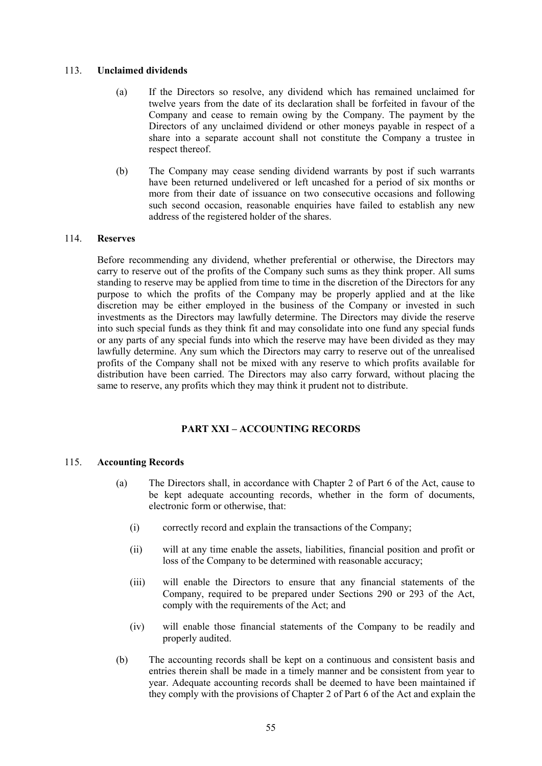# 113. **Unclaimed dividends**

- (a) If the Directors so resolve, any dividend which has remained unclaimed for twelve years from the date of its declaration shall be forfeited in favour of the Company and cease to remain owing by the Company. The payment by the Directors of any unclaimed dividend or other moneys payable in respect of a share into a separate account shall not constitute the Company a trustee in respect thereof.
- (b) The Company may cease sending dividend warrants by post if such warrants have been returned undelivered or left uncashed for a period of six months or more from their date of issuance on two consecutive occasions and following such second occasion, reasonable enquiries have failed to establish any new address of the registered holder of the shares.

# 114. **Reserves**

Before recommending any dividend, whether preferential or otherwise, the Directors may carry to reserve out of the profits of the Company such sums as they think proper. All sums standing to reserve may be applied from time to time in the discretion of the Directors for any purpose to which the profits of the Company may be properly applied and at the like discretion may be either employed in the business of the Company or invested in such investments as the Directors may lawfully determine. The Directors may divide the reserve into such special funds as they think fit and may consolidate into one fund any special funds or any parts of any special funds into which the reserve may have been divided as they may lawfully determine. Any sum which the Directors may carry to reserve out of the unrealised profits of the Company shall not be mixed with any reserve to which profits available for distribution have been carried. The Directors may also carry forward, without placing the same to reserve, any profits which they may think it prudent not to distribute.

# **PART XXI – ACCOUNTING RECORDS**

# 115. **Accounting Records**

- (a) The Directors shall, in accordance with Chapter 2 of Part 6 of the Act, cause to be kept adequate accounting records, whether in the form of documents, electronic form or otherwise, that:
	- (i) correctly record and explain the transactions of the Company;
	- (ii) will at any time enable the assets, liabilities, financial position and profit or loss of the Company to be determined with reasonable accuracy;
	- (iii) will enable the Directors to ensure that any financial statements of the Company, required to be prepared under Sections 290 or 293 of the Act, comply with the requirements of the Act; and
	- (iv) will enable those financial statements of the Company to be readily and properly audited.
- (b) The accounting records shall be kept on a continuous and consistent basis and entries therein shall be made in a timely manner and be consistent from year to year. Adequate accounting records shall be deemed to have been maintained if they comply with the provisions of Chapter 2 of Part 6 of the Act and explain the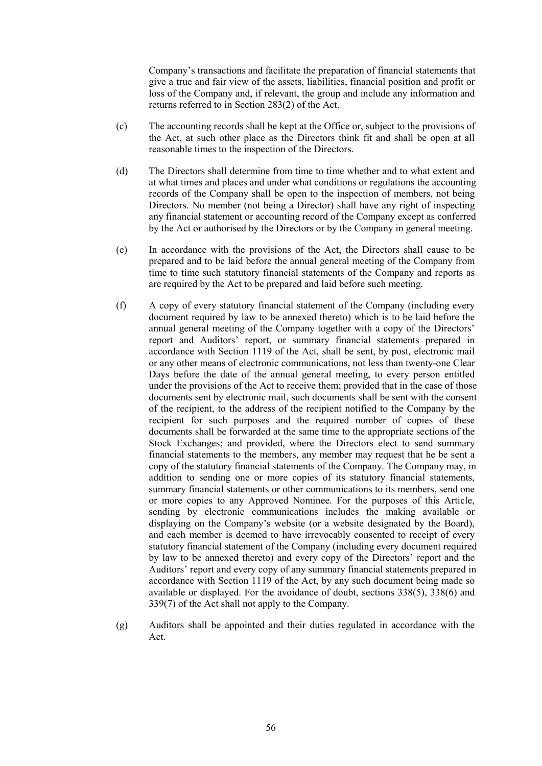Company's transactions and facilitate the preparation of financial statements that give a true and fair view of the assets, liabilities, financial position and profit or loss of the Company and, if relevant, the group and include any information and returns referred to in Section 283(2) of the Act.

- (c) The accounting records shall be kept at the Office or, subject to the provisions of the Act, at such other place as the Directors think fit and shall be open at all reasonable times to the inspection of the Directors.
- (d) The Directors shall determine from time to time whether and to what extent and at what times and places and under what conditions or regulations the accounting records of the Company shall be open to the inspection of members, not being Directors. No member (not being a Director) shall have any right of inspecting any financial statement or accounting record of the Company except as conferred by the Act or authorised by the Directors or by the Company in general meeting.
- (e) In accordance with the provisions of the Act, the Directors shall cause to be prepared and to be laid before the annual general meeting of the Company from time to time such statutory financial statements of the Company and reports as are required by the Act to be prepared and laid before such meeting.
- (f) A copy of every statutory financial statement of the Company (including every document required by law to be annexed thereto) which is to be laid before the annual general meeting of the Company together with a copy of the Directors' report and Auditors' report, or summary financial statements prepared in accordance with Section 1119 of the Act, shall be sent, by post, electronic mail or any other means of electronic communications, not less than twenty-one Clear Days before the date of the annual general meeting, to every person entitled under the provisions of the Act to receive them; provided that in the case of those documents sent by electronic mail, such documents shall be sent with the consent of the recipient, to the address of the recipient notified to the Company by the recipient for such purposes and the required number of copies of these documents shall be forwarded at the same time to the appropriate sections of the Stock Exchanges; and provided, where the Directors elect to send summary financial statements to the members, any member may request that he be sent a copy of the statutory financial statements of the Company. The Company may, in addition to sending one or more copies of its statutory financial statements, summary financial statements or other communications to its members, send one or more copies to any Approved Nominee. For the purposes of this Article, sending by electronic communications includes the making available or displaying on the Company's website (or a website designated by the Board), and each member is deemed to have irrevocably consented to receipt of every statutory financial statement of the Company (including every document required by law to be annexed thereto) and every copy of the Directors' report and the Auditors' report and every copy of any summary financial statements prepared in accordance with Section 1119 of the Act, by any such document being made so available or displayed. For the avoidance of doubt, sections 338(5), 338(6) and 339(7) of the Act shall not apply to the Company.
- (g) Auditors shall be appointed and their duties regulated in accordance with the Act.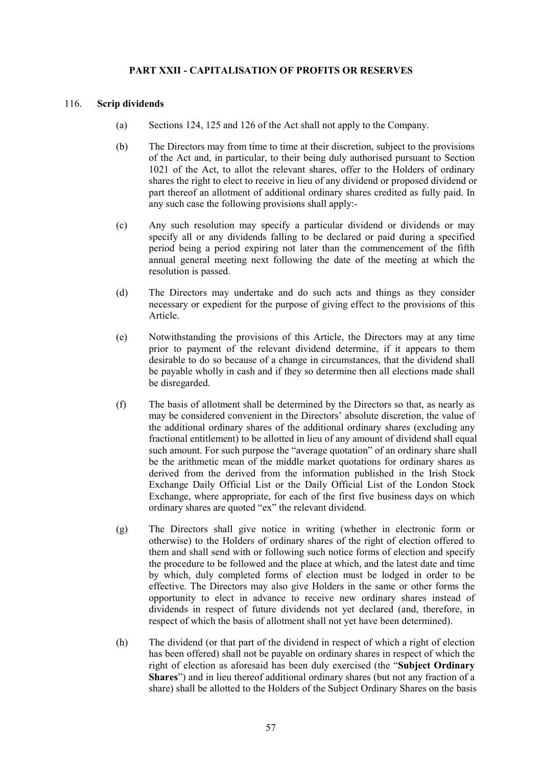# **PART XXII - CAPITALISATION OF PROFITS OR RESERVES**

### 116. **Scrip dividends**

- (a) Sections 124, 125 and 126 of the Act shall not apply to the Company.
- (b) The Directors may from time to time at their discretion, subject to the provisions of the Act and, in particular, to their being duly authorised pursuant to Section 1021 of the Act, to allot the relevant shares, offer to the Holders of ordinary shares the right to elect to receive in lieu of any dividend or proposed dividend or part thereof an allotment of additional ordinary shares credited as fully paid. In any such case the following provisions shall apply:-
- (c) Any such resolution may specify a particular dividend or dividends or may specify all or any dividends falling to be declared or paid during a specified period being a period expiring not later than the commencement of the fifth annual general meeting next following the date of the meeting at which the resolution is passed.
- (d) The Directors may undertake and do such acts and things as they consider necessary or expedient for the purpose of giving effect to the provisions of this Article.
- (e) Notwithstanding the provisions of this Article, the Directors may at any time prior to payment of the relevant dividend determine, if it appears to them desirable to do so because of a change in circumstances, that the dividend shall be payable wholly in cash and if they so determine then all elections made shall be disregarded.
- (f) The basis of allotment shall be determined by the Directors so that, as nearly as may be considered convenient in the Directors' absolute discretion, the value of the additional ordinary shares of the additional ordinary shares (excluding any fractional entitlement) to be allotted in lieu of any amount of dividend shall equal such amount. For such purpose the "average quotation" of an ordinary share shall be the arithmetic mean of the middle market quotations for ordinary shares as derived from the derived from the information published in the Irish Stock Exchange Daily Official List or the Daily Official List of the London Stock Exchange, where appropriate, for each of the first five business days on which ordinary shares are quoted "ex" the relevant dividend.
- (g) The Directors shall give notice in writing (whether in electronic form or otherwise) to the Holders of ordinary shares of the right of election offered to them and shall send with or following such notice forms of election and specify the procedure to be followed and the place at which, and the latest date and time by which, duly completed forms of election must be lodged in order to be effective. The Directors may also give Holders in the same or other forms the opportunity to elect in advance to receive new ordinary shares instead of dividends in respect of future dividends not yet declared (and, therefore, in respect of which the basis of allotment shall not yet have been determined).
- (h) The dividend (or that part of the dividend in respect of which a right of election has been offered) shall not be payable on ordinary shares in respect of which the right of election as aforesaid has been duly exercised (the "**Subject Ordinary Shares**") and in lieu thereof additional ordinary shares (but not any fraction of a share) shall be allotted to the Holders of the Subject Ordinary Shares on the basis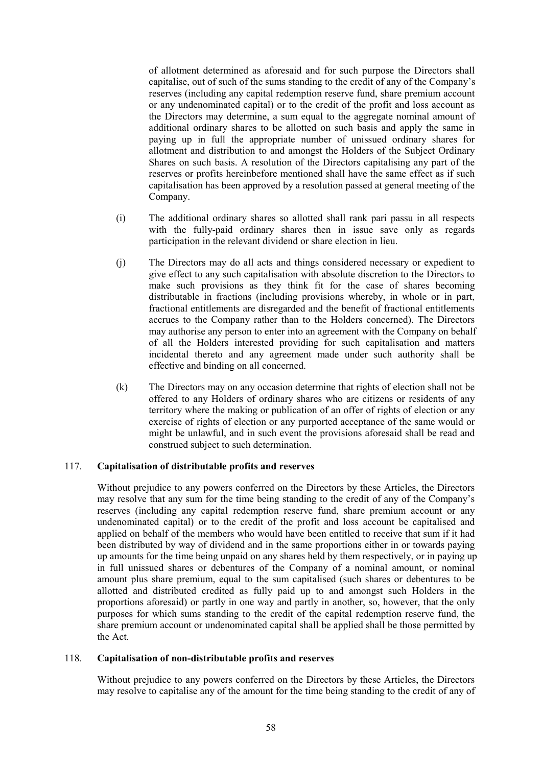of allotment determined as aforesaid and for such purpose the Directors shall capitalise, out of such of the sums standing to the credit of any of the Company's reserves (including any capital redemption reserve fund, share premium account or any undenominated capital) or to the credit of the profit and loss account as the Directors may determine, a sum equal to the aggregate nominal amount of additional ordinary shares to be allotted on such basis and apply the same in paying up in full the appropriate number of unissued ordinary shares for allotment and distribution to and amongst the Holders of the Subject Ordinary Shares on such basis. A resolution of the Directors capitalising any part of the reserves or profits hereinbefore mentioned shall have the same effect as if such capitalisation has been approved by a resolution passed at general meeting of the Company.

- (i) The additional ordinary shares so allotted shall rank pari passu in all respects with the fully-paid ordinary shares then in issue save only as regards participation in the relevant dividend or share election in lieu.
- (j) The Directors may do all acts and things considered necessary or expedient to give effect to any such capitalisation with absolute discretion to the Directors to make such provisions as they think fit for the case of shares becoming distributable in fractions (including provisions whereby, in whole or in part, fractional entitlements are disregarded and the benefit of fractional entitlements accrues to the Company rather than to the Holders concerned). The Directors may authorise any person to enter into an agreement with the Company on behalf of all the Holders interested providing for such capitalisation and matters incidental thereto and any agreement made under such authority shall be effective and binding on all concerned.
- (k) The Directors may on any occasion determine that rights of election shall not be offered to any Holders of ordinary shares who are citizens or residents of any territory where the making or publication of an offer of rights of election or any exercise of rights of election or any purported acceptance of the same would or might be unlawful, and in such event the provisions aforesaid shall be read and construed subject to such determination.

# 117. **Capitalisation of distributable profits and reserves**

Without prejudice to any powers conferred on the Directors by these Articles, the Directors may resolve that any sum for the time being standing to the credit of any of the Company's reserves (including any capital redemption reserve fund, share premium account or any undenominated capital) or to the credit of the profit and loss account be capitalised and applied on behalf of the members who would have been entitled to receive that sum if it had been distributed by way of dividend and in the same proportions either in or towards paying up amounts for the time being unpaid on any shares held by them respectively, or in paying up in full unissued shares or debentures of the Company of a nominal amount, or nominal amount plus share premium, equal to the sum capitalised (such shares or debentures to be allotted and distributed credited as fully paid up to and amongst such Holders in the proportions aforesaid) or partly in one way and partly in another, so, however, that the only purposes for which sums standing to the credit of the capital redemption reserve fund, the share premium account or undenominated capital shall be applied shall be those permitted by the Act.

#### 118. **Capitalisation of non-distributable profits and reserves**

Without prejudice to any powers conferred on the Directors by these Articles, the Directors may resolve to capitalise any of the amount for the time being standing to the credit of any of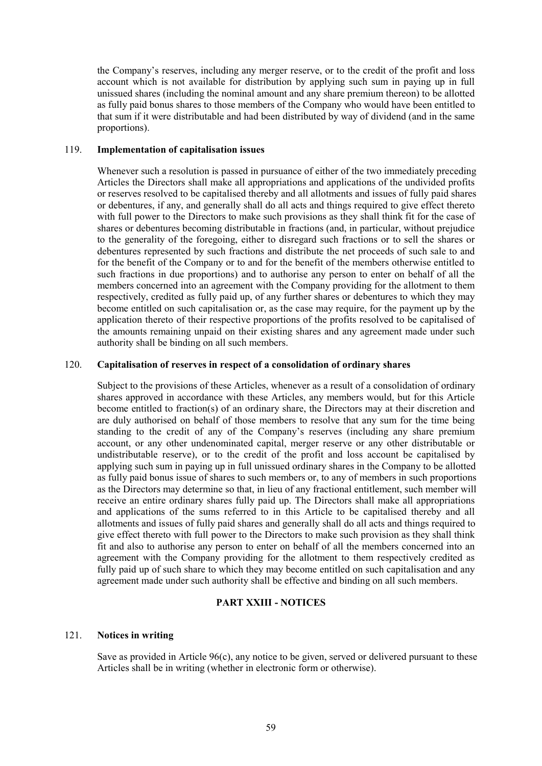the Company's reserves, including any merger reserve, or to the credit of the profit and loss account which is not available for distribution by applying such sum in paying up in full unissued shares (including the nominal amount and any share premium thereon) to be allotted as fully paid bonus shares to those members of the Company who would have been entitled to that sum if it were distributable and had been distributed by way of dividend (and in the same proportions).

### 119. **Implementation of capitalisation issues**

Whenever such a resolution is passed in pursuance of either of the two immediately preceding Articles the Directors shall make all appropriations and applications of the undivided profits or reserves resolved to be capitalised thereby and all allotments and issues of fully paid shares or debentures, if any, and generally shall do all acts and things required to give effect thereto with full power to the Directors to make such provisions as they shall think fit for the case of shares or debentures becoming distributable in fractions (and, in particular, without prejudice to the generality of the foregoing, either to disregard such fractions or to sell the shares or debentures represented by such fractions and distribute the net proceeds of such sale to and for the benefit of the Company or to and for the benefit of the members otherwise entitled to such fractions in due proportions) and to authorise any person to enter on behalf of all the members concerned into an agreement with the Company providing for the allotment to them respectively, credited as fully paid up, of any further shares or debentures to which they may become entitled on such capitalisation or, as the case may require, for the payment up by the application thereto of their respective proportions of the profits resolved to be capitalised of the amounts remaining unpaid on their existing shares and any agreement made under such authority shall be binding on all such members.

### 120. **Capitalisation of reserves in respect of a consolidation of ordinary shares**

Subject to the provisions of these Articles, whenever as a result of a consolidation of ordinary shares approved in accordance with these Articles, any members would, but for this Article become entitled to fraction(s) of an ordinary share, the Directors may at their discretion and are duly authorised on behalf of those members to resolve that any sum for the time being standing to the credit of any of the Company's reserves (including any share premium account, or any other undenominated capital, merger reserve or any other distributable or undistributable reserve), or to the credit of the profit and loss account be capitalised by applying such sum in paying up in full unissued ordinary shares in the Company to be allotted as fully paid bonus issue of shares to such members or, to any of members in such proportions as the Directors may determine so that, in lieu of any fractional entitlement, such member will receive an entire ordinary shares fully paid up. The Directors shall make all appropriations and applications of the sums referred to in this Article to be capitalised thereby and all allotments and issues of fully paid shares and generally shall do all acts and things required to give effect thereto with full power to the Directors to make such provision as they shall think fit and also to authorise any person to enter on behalf of all the members concerned into an agreement with the Company providing for the allotment to them respectively credited as fully paid up of such share to which they may become entitled on such capitalisation and any agreement made under such authority shall be effective and binding on all such members.

# **PART XXIII - NOTICES**

#### 121. **Notices in writing**

Save as provided in Article 96(c), any notice to be given, served or delivered pursuant to these Articles shall be in writing (whether in electronic form or otherwise).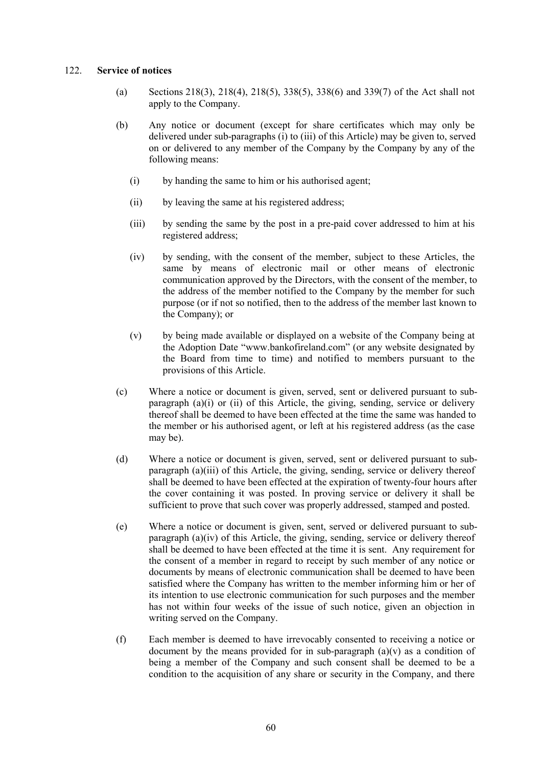### 122. **Service of notices**

- (a) Sections 218(3), 218(4), 218(5), 338(5), 338(6) and 339(7) of the Act shall not apply to the Company.
- (b) Any notice or document (except for share certificates which may only be delivered under sub-paragraphs (i) to (iii) of this Article) may be given to, served on or delivered to any member of the Company by the Company by any of the following means:
	- (i) by handing the same to him or his authorised agent;
	- (ii) by leaving the same at his registered address;
	- (iii) by sending the same by the post in a pre-paid cover addressed to him at his registered address;
	- (iv) by sending, with the consent of the member, subject to these Articles, the same by means of electronic mail or other means of electronic communication approved by the Directors, with the consent of the member, to the address of the member notified to the Company by the member for such purpose (or if not so notified, then to the address of the member last known to the Company); or
	- (v) by being made available or displayed on a website of the Company being at the Adoption Date "www.bankofireland.com" (or any website designated by the Board from time to time) and notified to members pursuant to the provisions of this Article.
- (c) Where a notice or document is given, served, sent or delivered pursuant to subparagraph  $(a)(i)$  or  $(ii)$  of this Article, the giving, sending, service or delivery thereof shall be deemed to have been effected at the time the same was handed to the member or his authorised agent, or left at his registered address (as the case may be).
- (d) Where a notice or document is given, served, sent or delivered pursuant to subparagraph (a)(iii) of this Article, the giving, sending, service or delivery thereof shall be deemed to have been effected at the expiration of twenty-four hours after the cover containing it was posted. In proving service or delivery it shall be sufficient to prove that such cover was properly addressed, stamped and posted.
- (e) Where a notice or document is given, sent, served or delivered pursuant to subparagraph (a)(iv) of this Article, the giving, sending, service or delivery thereof shall be deemed to have been effected at the time it is sent. Any requirement for the consent of a member in regard to receipt by such member of any notice or documents by means of electronic communication shall be deemed to have been satisfied where the Company has written to the member informing him or her of its intention to use electronic communication for such purposes and the member has not within four weeks of the issue of such notice, given an objection in writing served on the Company.
- (f) Each member is deemed to have irrevocably consented to receiving a notice or document by the means provided for in sub-paragraph  $(a)(v)$  as a condition of being a member of the Company and such consent shall be deemed to be a condition to the acquisition of any share or security in the Company, and there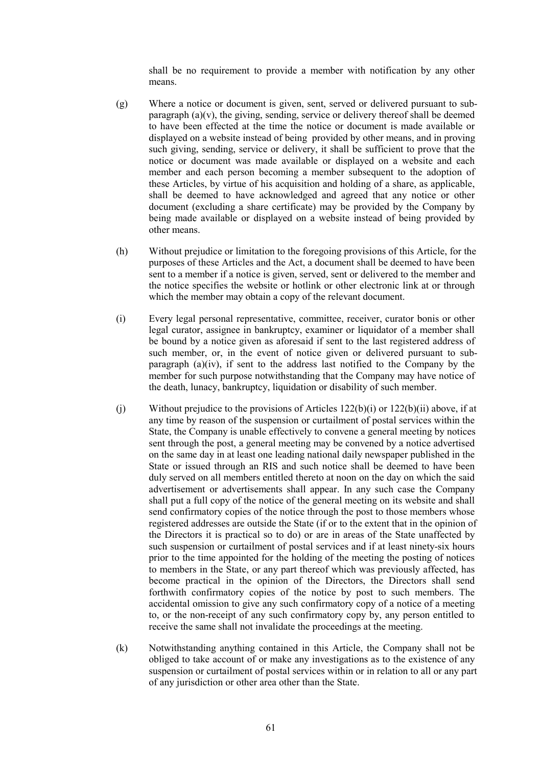shall be no requirement to provide a member with notification by any other means.

- (g) Where a notice or document is given, sent, served or delivered pursuant to subparagraph  $(a)(v)$ , the giving, sending, service or delivery thereof shall be deemed to have been effected at the time the notice or document is made available or displayed on a website instead of being provided by other means, and in proving such giving, sending, service or delivery, it shall be sufficient to prove that the notice or document was made available or displayed on a website and each member and each person becoming a member subsequent to the adoption of these Articles, by virtue of his acquisition and holding of a share, as applicable, shall be deemed to have acknowledged and agreed that any notice or other document (excluding a share certificate) may be provided by the Company by being made available or displayed on a website instead of being provided by other means.
- (h) Without prejudice or limitation to the foregoing provisions of this Article, for the purposes of these Articles and the Act, a document shall be deemed to have been sent to a member if a notice is given, served, sent or delivered to the member and the notice specifies the website or hotlink or other electronic link at or through which the member may obtain a copy of the relevant document.
- (i) Every legal personal representative, committee, receiver, curator bonis or other legal curator, assignee in bankruptcy, examiner or liquidator of a member shall be bound by a notice given as aforesaid if sent to the last registered address of such member, or, in the event of notice given or delivered pursuant to subparagraph (a)(iv), if sent to the address last notified to the Company by the member for such purpose notwithstanding that the Company may have notice of the death, lunacy, bankruptcy, liquidation or disability of such member.
- (i) Without prejudice to the provisions of Articles  $122(b)(i)$  or  $122(b)(ii)$  above, if at any time by reason of the suspension or curtailment of postal services within the State, the Company is unable effectively to convene a general meeting by notices sent through the post, a general meeting may be convened by a notice advertised on the same day in at least one leading national daily newspaper published in the State or issued through an RIS and such notice shall be deemed to have been duly served on all members entitled thereto at noon on the day on which the said advertisement or advertisements shall appear. In any such case the Company shall put a full copy of the notice of the general meeting on its website and shall send confirmatory copies of the notice through the post to those members whose registered addresses are outside the State (if or to the extent that in the opinion of the Directors it is practical so to do) or are in areas of the State unaffected by such suspension or curtailment of postal services and if at least ninety-six hours prior to the time appointed for the holding of the meeting the posting of notices to members in the State, or any part thereof which was previously affected, has become practical in the opinion of the Directors, the Directors shall send forthwith confirmatory copies of the notice by post to such members. The accidental omission to give any such confirmatory copy of a notice of a meeting to, or the non-receipt of any such confirmatory copy by, any person entitled to receive the same shall not invalidate the proceedings at the meeting.
- (k) Notwithstanding anything contained in this Article, the Company shall not be obliged to take account of or make any investigations as to the existence of any suspension or curtailment of postal services within or in relation to all or any part of any jurisdiction or other area other than the State.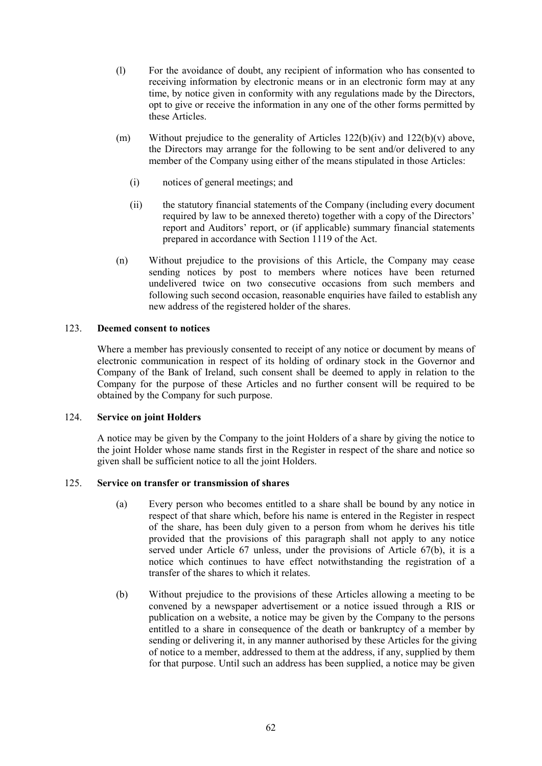- (l) For the avoidance of doubt, any recipient of information who has consented to receiving information by electronic means or in an electronic form may at any time, by notice given in conformity with any regulations made by the Directors, opt to give or receive the information in any one of the other forms permitted by these Articles.
- (m) Without prejudice to the generality of Articles  $122(b)(iv)$  and  $122(b)(v)$  above, the Directors may arrange for the following to be sent and/or delivered to any member of the Company using either of the means stipulated in those Articles:
	- (i) notices of general meetings; and
	- (ii) the statutory financial statements of the Company (including every document required by law to be annexed thereto) together with a copy of the Directors' report and Auditors' report, or (if applicable) summary financial statements prepared in accordance with Section 1119 of the Act.
- (n) Without prejudice to the provisions of this Article, the Company may cease sending notices by post to members where notices have been returned undelivered twice on two consecutive occasions from such members and following such second occasion, reasonable enquiries have failed to establish any new address of the registered holder of the shares.

# 123. **Deemed consent to notices**

Where a member has previously consented to receipt of any notice or document by means of electronic communication in respect of its holding of ordinary stock in the Governor and Company of the Bank of Ireland, such consent shall be deemed to apply in relation to the Company for the purpose of these Articles and no further consent will be required to be obtained by the Company for such purpose.

# 124. **Service on joint Holders**

A notice may be given by the Company to the joint Holders of a share by giving the notice to the joint Holder whose name stands first in the Register in respect of the share and notice so given shall be sufficient notice to all the joint Holders.

# 125. **Service on transfer or transmission of shares**

- (a) Every person who becomes entitled to a share shall be bound by any notice in respect of that share which, before his name is entered in the Register in respect of the share, has been duly given to a person from whom he derives his title provided that the provisions of this paragraph shall not apply to any notice served under Article 67 unless, under the provisions of Article 67(b), it is a notice which continues to have effect notwithstanding the registration of a transfer of the shares to which it relates.
- (b) Without prejudice to the provisions of these Articles allowing a meeting to be convened by a newspaper advertisement or a notice issued through a RIS or publication on a website, a notice may be given by the Company to the persons entitled to a share in consequence of the death or bankruptcy of a member by sending or delivering it, in any manner authorised by these Articles for the giving of notice to a member, addressed to them at the address, if any, supplied by them for that purpose. Until such an address has been supplied, a notice may be given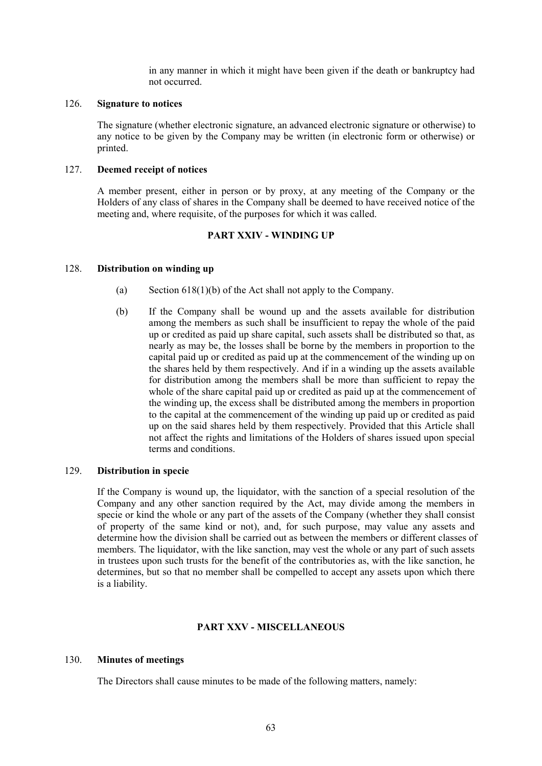in any manner in which it might have been given if the death or bankruptcy had not occurred.

### 126. **Signature to notices**

The signature (whether electronic signature, an advanced electronic signature or otherwise) to any notice to be given by the Company may be written (in electronic form or otherwise) or printed.

#### 127. **Deemed receipt of notices**

A member present, either in person or by proxy, at any meeting of the Company or the Holders of any class of shares in the Company shall be deemed to have received notice of the meeting and, where requisite, of the purposes for which it was called.

### **PART XXIV - WINDING UP**

### 128. **Distribution on winding up**

- (a) Section 618(1)(b) of the Act shall not apply to the Company.
- (b) If the Company shall be wound up and the assets available for distribution among the members as such shall be insufficient to repay the whole of the paid up or credited as paid up share capital, such assets shall be distributed so that, as nearly as may be, the losses shall be borne by the members in proportion to the capital paid up or credited as paid up at the commencement of the winding up on the shares held by them respectively. And if in a winding up the assets available for distribution among the members shall be more than sufficient to repay the whole of the share capital paid up or credited as paid up at the commencement of the winding up, the excess shall be distributed among the members in proportion to the capital at the commencement of the winding up paid up or credited as paid up on the said shares held by them respectively. Provided that this Article shall not affect the rights and limitations of the Holders of shares issued upon special terms and conditions.

### 129. **Distribution in specie**

If the Company is wound up, the liquidator, with the sanction of a special resolution of the Company and any other sanction required by the Act, may divide among the members in specie or kind the whole or any part of the assets of the Company (whether they shall consist of property of the same kind or not), and, for such purpose, may value any assets and determine how the division shall be carried out as between the members or different classes of members. The liquidator, with the like sanction, may vest the whole or any part of such assets in trustees upon such trusts for the benefit of the contributories as, with the like sanction, he determines, but so that no member shall be compelled to accept any assets upon which there is a liability.

### **PART XXV - MISCELLANEOUS**

#### 130. **Minutes of meetings**

The Directors shall cause minutes to be made of the following matters, namely: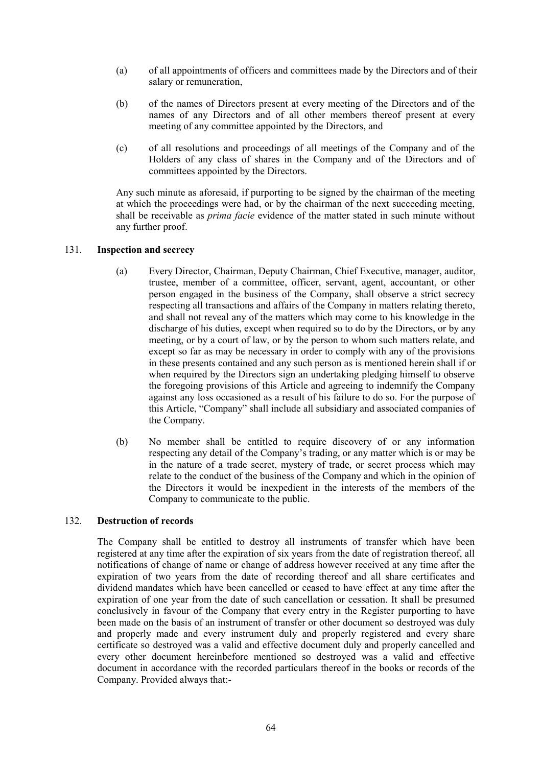- (a) of all appointments of officers and committees made by the Directors and of their salary or remuneration,
- (b) of the names of Directors present at every meeting of the Directors and of the names of any Directors and of all other members thereof present at every meeting of any committee appointed by the Directors, and
- (c) of all resolutions and proceedings of all meetings of the Company and of the Holders of any class of shares in the Company and of the Directors and of committees appointed by the Directors.

Any such minute as aforesaid, if purporting to be signed by the chairman of the meeting at which the proceedings were had, or by the chairman of the next succeeding meeting, shall be receivable as *prima facie* evidence of the matter stated in such minute without any further proof.

# 131. **Inspection and secrecy**

- (a) Every Director, Chairman, Deputy Chairman, Chief Executive, manager, auditor, trustee, member of a committee, officer, servant, agent, accountant, or other person engaged in the business of the Company, shall observe a strict secrecy respecting all transactions and affairs of the Company in matters relating thereto, and shall not reveal any of the matters which may come to his knowledge in the discharge of his duties, except when required so to do by the Directors, or by any meeting, or by a court of law, or by the person to whom such matters relate, and except so far as may be necessary in order to comply with any of the provisions in these presents contained and any such person as is mentioned herein shall if or when required by the Directors sign an undertaking pledging himself to observe the foregoing provisions of this Article and agreeing to indemnify the Company against any loss occasioned as a result of his failure to do so. For the purpose of this Article, "Company" shall include all subsidiary and associated companies of the Company.
- (b) No member shall be entitled to require discovery of or any information respecting any detail of the Company's trading, or any matter which is or may be in the nature of a trade secret, mystery of trade, or secret process which may relate to the conduct of the business of the Company and which in the opinion of the Directors it would be inexpedient in the interests of the members of the Company to communicate to the public.

#### 132. **Destruction of records**

The Company shall be entitled to destroy all instruments of transfer which have been registered at any time after the expiration of six years from the date of registration thereof, all notifications of change of name or change of address however received at any time after the expiration of two years from the date of recording thereof and all share certificates and dividend mandates which have been cancelled or ceased to have effect at any time after the expiration of one year from the date of such cancellation or cessation. It shall be presumed conclusively in favour of the Company that every entry in the Register purporting to have been made on the basis of an instrument of transfer or other document so destroyed was duly and properly made and every instrument duly and properly registered and every share certificate so destroyed was a valid and effective document duly and properly cancelled and every other document hereinbefore mentioned so destroyed was a valid and effective document in accordance with the recorded particulars thereof in the books or records of the Company. Provided always that:-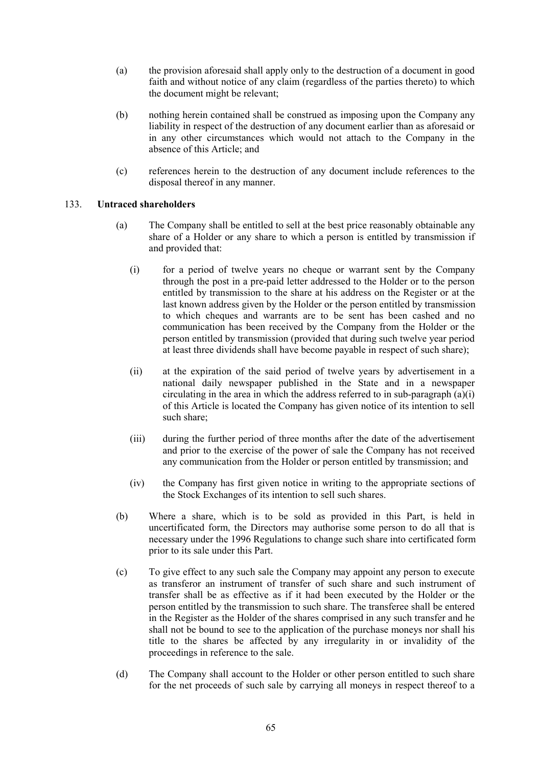- (a) the provision aforesaid shall apply only to the destruction of a document in good faith and without notice of any claim (regardless of the parties thereto) to which the document might be relevant;
- (b) nothing herein contained shall be construed as imposing upon the Company any liability in respect of the destruction of any document earlier than as aforesaid or in any other circumstances which would not attach to the Company in the absence of this Article; and
- (c) references herein to the destruction of any document include references to the disposal thereof in any manner.

# 133. **Untraced shareholders**

- (a) The Company shall be entitled to sell at the best price reasonably obtainable any share of a Holder or any share to which a person is entitled by transmission if and provided that:
	- (i) for a period of twelve years no cheque or warrant sent by the Company through the post in a pre-paid letter addressed to the Holder or to the person entitled by transmission to the share at his address on the Register or at the last known address given by the Holder or the person entitled by transmission to which cheques and warrants are to be sent has been cashed and no communication has been received by the Company from the Holder or the person entitled by transmission (provided that during such twelve year period at least three dividends shall have become payable in respect of such share);
	- (ii) at the expiration of the said period of twelve years by advertisement in a national daily newspaper published in the State and in a newspaper circulating in the area in which the address referred to in sub-paragraph  $(a)(i)$ of this Article is located the Company has given notice of its intention to sell such share;
	- (iii) during the further period of three months after the date of the advertisement and prior to the exercise of the power of sale the Company has not received any communication from the Holder or person entitled by transmission; and
	- (iv) the Company has first given notice in writing to the appropriate sections of the Stock Exchanges of its intention to sell such shares.
- (b) Where a share, which is to be sold as provided in this Part, is held in uncertificated form, the Directors may authorise some person to do all that is necessary under the 1996 Regulations to change such share into certificated form prior to its sale under this Part.
- (c) To give effect to any such sale the Company may appoint any person to execute as transferor an instrument of transfer of such share and such instrument of transfer shall be as effective as if it had been executed by the Holder or the person entitled by the transmission to such share. The transferee shall be entered in the Register as the Holder of the shares comprised in any such transfer and he shall not be bound to see to the application of the purchase moneys nor shall his title to the shares be affected by any irregularity in or invalidity of the proceedings in reference to the sale.
- (d) The Company shall account to the Holder or other person entitled to such share for the net proceeds of such sale by carrying all moneys in respect thereof to a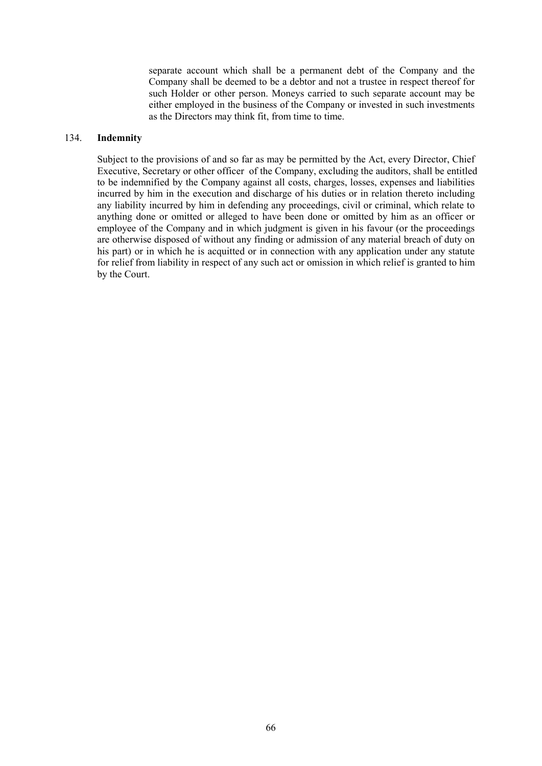separate account which shall be a permanent debt of the Company and the Company shall be deemed to be a debtor and not a trustee in respect thereof for such Holder or other person. Moneys carried to such separate account may be either employed in the business of the Company or invested in such investments as the Directors may think fit, from time to time.

### 134. **Indemnity**

Subject to the provisions of and so far as may be permitted by the Act, every Director, Chief Executive, Secretary or other officer of the Company, excluding the auditors, shall be entitled to be indemnified by the Company against all costs, charges, losses, expenses and liabilities incurred by him in the execution and discharge of his duties or in relation thereto including any liability incurred by him in defending any proceedings, civil or criminal, which relate to anything done or omitted or alleged to have been done or omitted by him as an officer or employee of the Company and in which judgment is given in his favour (or the proceedings are otherwise disposed of without any finding or admission of any material breach of duty on his part) or in which he is acquitted or in connection with any application under any statute for relief from liability in respect of any such act or omission in which relief is granted to him by the Court.